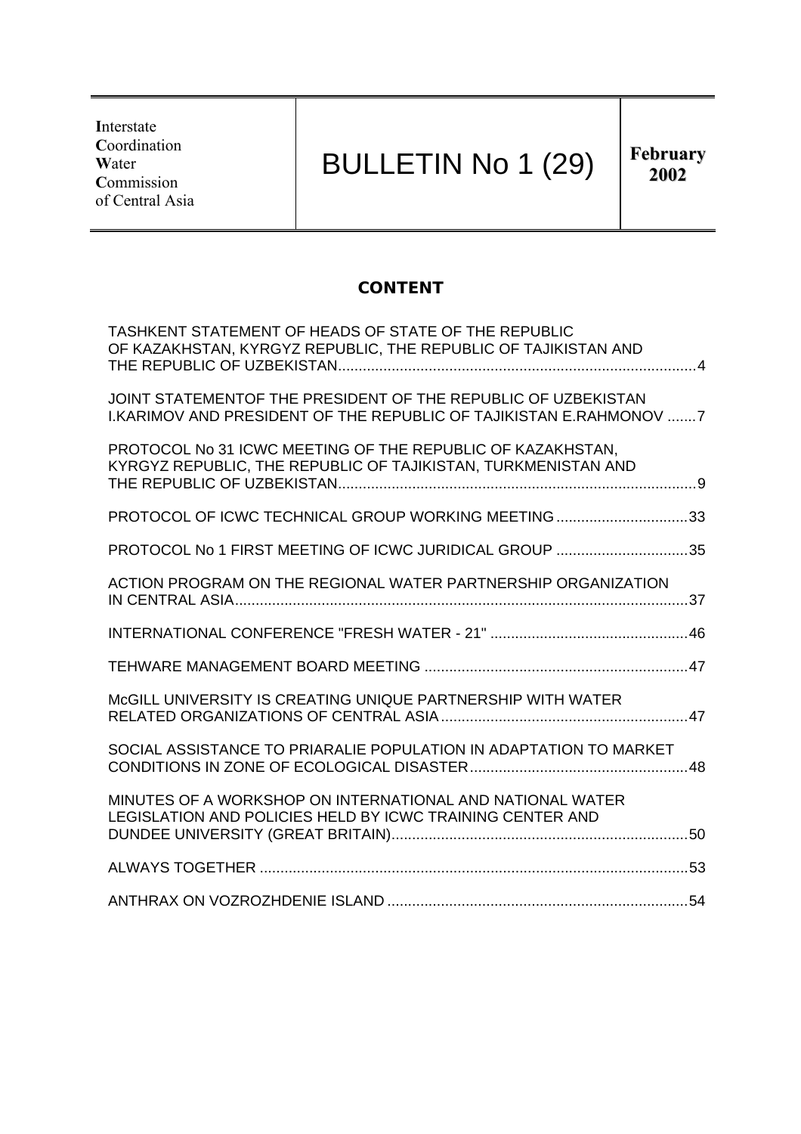**I**nterstate **C**oordination **W**ater **C**ommission of Central Asia

# BULLETIN No 1 (29)

**2002**

## **CONTENT**

| TASHKENT STATEMENT OF HEADS OF STATE OF THE REPUBLIC<br>OF KAZAKHSTAN, KYRGYZ REPUBLIC, THE REPUBLIC OF TAJIKISTAN AND                     |  |
|--------------------------------------------------------------------------------------------------------------------------------------------|--|
| JOINT STATEMENTOF THE PRESIDENT OF THE REPUBLIC OF UZBEKISTAN<br><b>I.KARIMOV AND PRESIDENT OF THE REPUBLIC OF TAJIKISTAN E.RAHMONOV 7</b> |  |
| PROTOCOL No 31 ICWC MEETING OF THE REPUBLIC OF KAZAKHSTAN,<br>KYRGYZ REPUBLIC, THE REPUBLIC OF TAJIKISTAN, TURKMENISTAN AND                |  |
| PROTOCOL OF ICWC TECHNICAL GROUP WORKING MEETING33                                                                                         |  |
| PROTOCOL No 1 FIRST MEETING OF ICWC JURIDICAL GROUP 35                                                                                     |  |
| ACTION PROGRAM ON THE REGIONAL WATER PARTNERSHIP ORGANIZATION                                                                              |  |
|                                                                                                                                            |  |
|                                                                                                                                            |  |
| MCGILL UNIVERSITY IS CREATING UNIQUE PARTNERSHIP WITH WATER                                                                                |  |
| SOCIAL ASSISTANCE TO PRIARALIE POPULATION IN ADAPTATION TO MARKET                                                                          |  |
| MINUTES OF A WORKSHOP ON INTERNATIONAL AND NATIONAL WATER<br>LEGISLATION AND POLICIES HELD BY ICWC TRAINING CENTER AND                     |  |
|                                                                                                                                            |  |
|                                                                                                                                            |  |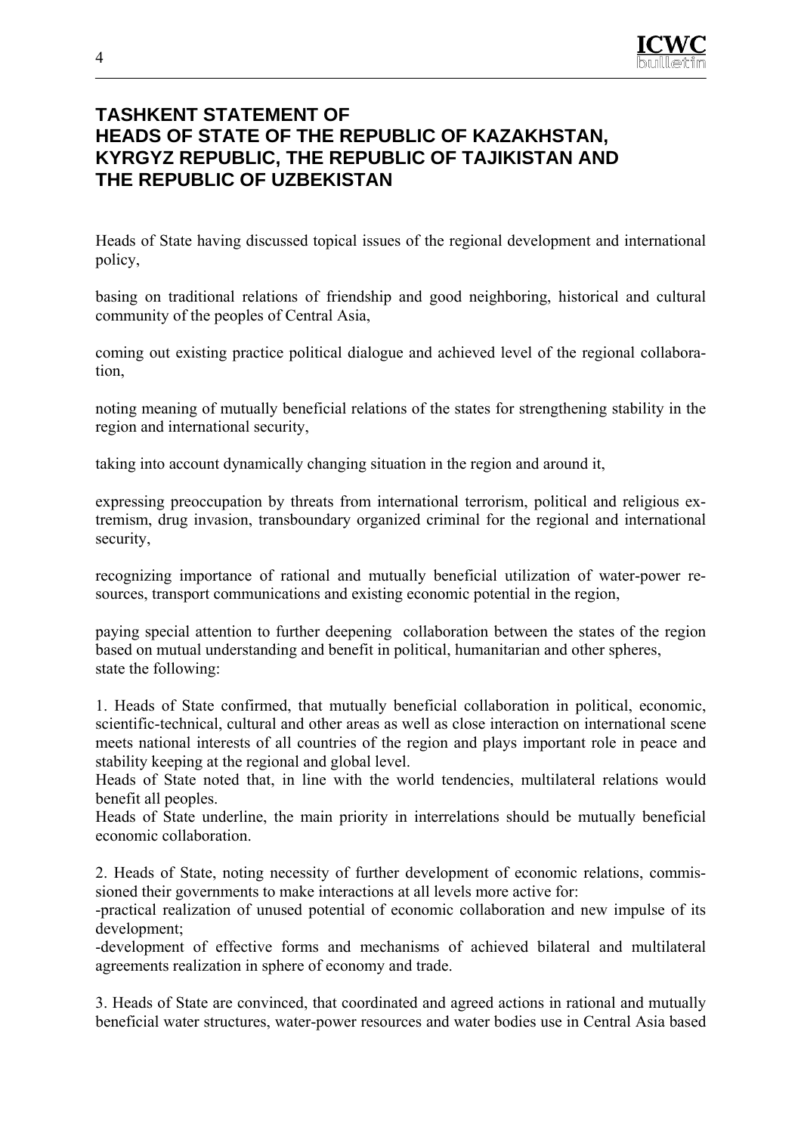

## **TASHKENT STATEMENT OF HEADS OF STATE OF THE REPUBLIC OF KAZAKHSTAN, KYRGYZ REPUBLIC, THE REPUBLIC OF TAJIKISTAN AND THE REPUBLIC OF UZBEKISTAN**

Heads of State having discussed topical issues of the regional development and international policy,

basing on traditional relations of friendship and good neighboring, historical and cultural community of the peoples of Central Asia,

coming out existing practice political dialogue and achieved level of the regional collaboration,

noting meaning of mutually beneficial relations of the states for strengthening stability in the region and international security,

taking into account dynamically changing situation in the region and around it,

expressing preoccupation by threats from international terrorism, political and religious extremism, drug invasion, transboundary organized criminal for the regional and international security,

recognizing importance of rational and mutually beneficial utilization of water-power resources, transport communications and existing economic potential in the region,

paying special attention to further deepening collaboration between the states of the region based on mutual understanding and benefit in political, humanitarian and other spheres, state the following:

1. Heads of State confirmed, that mutually beneficial collaboration in political, economic, scientific-technical, cultural and other areas as well as close interaction on international scene meets national interests of all countries of the region and plays important role in peace and stability keeping at the regional and global level.

Heads of State noted that, in line with the world tendencies, multilateral relations would benefit all peoples.

Heads of State underline, the main priority in interrelations should be mutually beneficial economic collaboration.

2. Heads of State, noting necessity of further development of economic relations, commissioned their governments to make interactions at all levels more active for:

-practical realization of unused potential of economic collaboration and new impulse of its development;

-development of effective forms and mechanisms of achieved bilateral and multilateral agreements realization in sphere of economy and trade.

3. Heads of State are convinced, that coordinated and agreed actions in rational and mutually beneficial water structures, water-power resources and water bodies use in Central Asia based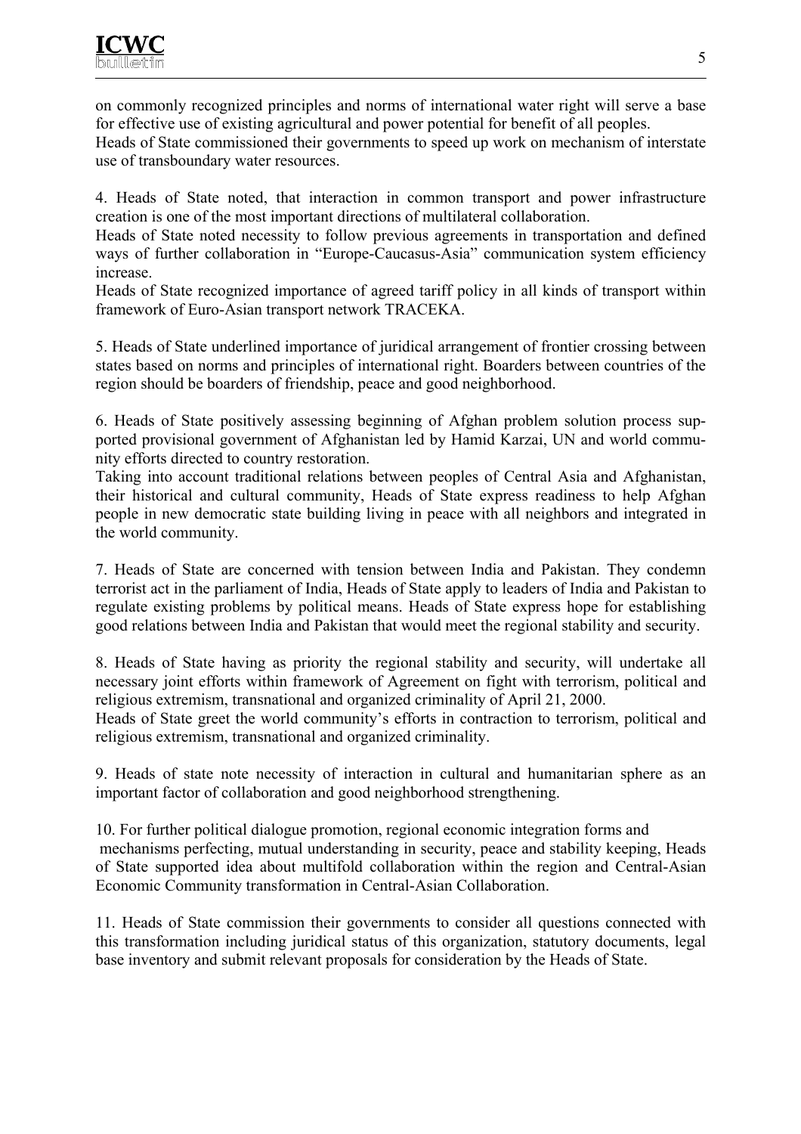on commonly recognized principles and norms of international water right will serve a base for effective use of existing agricultural and power potential for benefit of all peoples.

Heads of State commissioned their governments to speed up work on mechanism of interstate use of transboundary water resources.

4. Heads of State noted, that interaction in common transport and power infrastructure creation is one of the most important directions of multilateral collaboration.

Heads of State noted necessity to follow previous agreements in transportation and defined ways of further collaboration in "Europe-Caucasus-Asia" communication system efficiency increase.

Heads of State recognized importance of agreed tariff policy in all kinds of transport within framework of Euro-Asian transport network TRACEKA.

5. Heads of State underlined importance of juridical arrangement of frontier crossing between states based on norms and principles of international right. Boarders between countries of the region should be boarders of friendship, peace and good neighborhood.

6. Heads of State positively assessing beginning of Afghan problem solution process supported provisional government of Afghanistan led by Hamid Karzai, UN and world community efforts directed to country restoration.

Taking into account traditional relations between peoples of Central Asia and Afghanistan, their historical and cultural community, Heads of State express readiness to help Afghan people in new democratic state building living in peace with all neighbors and integrated in the world community.

7. Heads of State are concerned with tension between India and Pakistan. They condemn terrorist act in the parliament of India, Heads of State apply to leaders of India and Pakistan to regulate existing problems by political means. Heads of State express hope for establishing good relations between India and Pakistan that would meet the regional stability and security.

8. Heads of State having as priority the regional stability and security, will undertake all necessary joint efforts within framework of Agreement on fight with terrorism, political and religious extremism, transnational and organized criminality of April 21, 2000.

Heads of State greet the world community's efforts in contraction to terrorism, political and religious extremism, transnational and organized criminality.

9. Heads of state note necessity of interaction in cultural and humanitarian sphere as an important factor of collaboration and good neighborhood strengthening.

10. For further political dialogue promotion, regional economic integration forms and mechanisms perfecting, mutual understanding in security, peace and stability keeping, Heads of State supported idea about multifold collaboration within the region and Central-Asian Economic Community transformation in Central-Asian Collaboration.

11. Heads of State commission their governments to consider all questions connected with this transformation including juridical status of this organization, statutory documents, legal base inventory and submit relevant proposals for consideration by the Heads of State.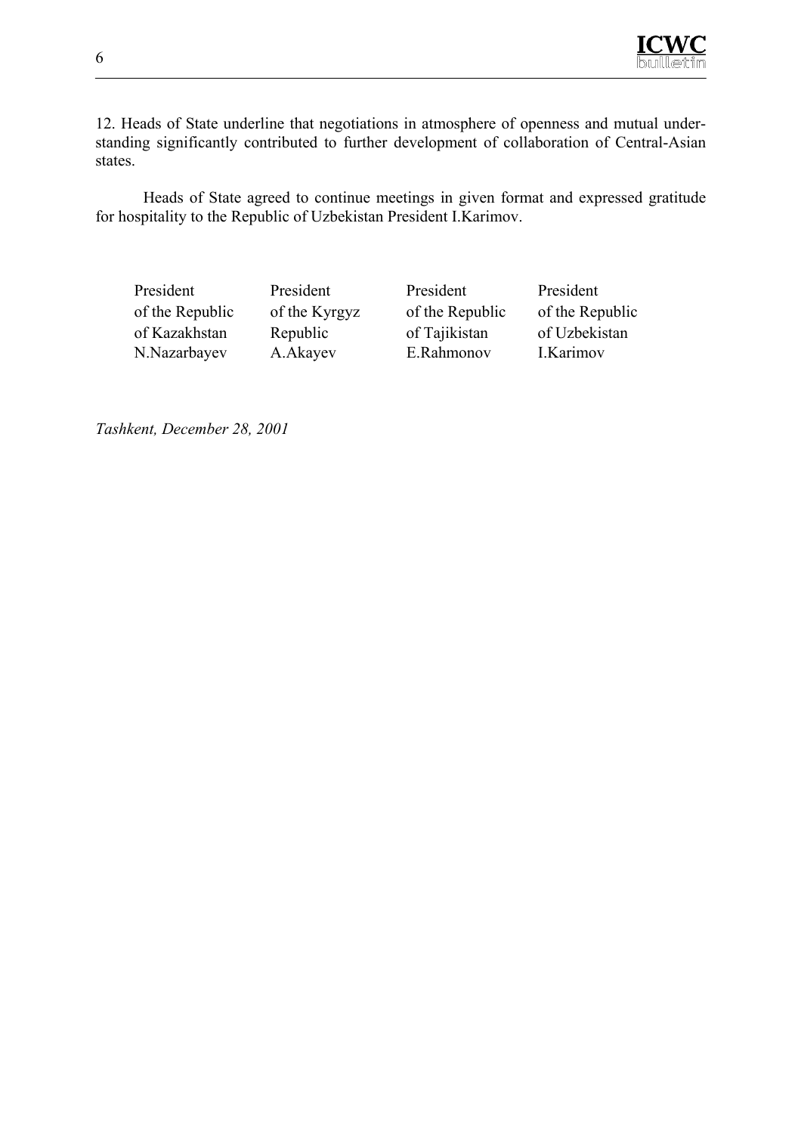

12. Heads of State underline that negotiations in atmosphere of openness and mutual understanding significantly contributed to further development of collaboration of Central-Asian states.

Heads of State agreed to continue meetings in given format and expressed gratitude for hospitality to the Republic of Uzbekistan President I.Karimov.

President President President President of the Republic of the Kyrgyz of the Republic of the Republic of Kazakhstan Republic of Tajikistan of Uzbekistan N.Nazarbayev A.Akayev E.Rahmonov I.Karimov

*Tashkent, December 28, 2001*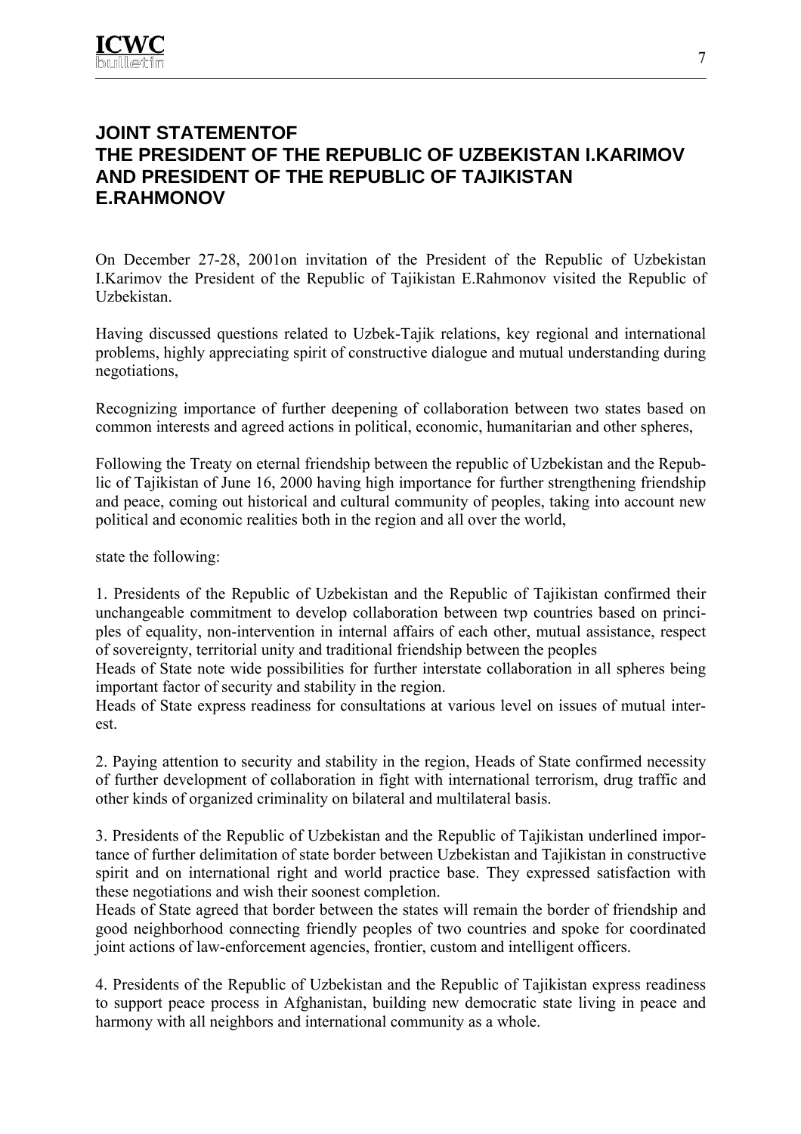# **JOINT STATEMENTOF THE PRESIDENT OF THE REPUBLIC OF UZBEKISTAN I.KARIMOV AND PRESIDENT OF THE REPUBLIC OF TAJIKISTAN E.RAHMONOV**

On December 27-28, 2001on invitation of the President of the Republic of Uzbekistan I.Karimov the President of the Republic of Tajikistan E.Rahmonov visited the Republic of Uzbekistan.

Having discussed questions related to Uzbek-Tajik relations, key regional and international problems, highly appreciating spirit of constructive dialogue and mutual understanding during negotiations,

Recognizing importance of further deepening of collaboration between two states based on common interests and agreed actions in political, economic, humanitarian and other spheres,

Following the Treaty on eternal friendship between the republic of Uzbekistan and the Republic of Tajikistan of June 16, 2000 having high importance for further strengthening friendship and peace, coming out historical and cultural community of peoples, taking into account new political and economic realities both in the region and all over the world,

state the following:

1. Presidents of the Republic of Uzbekistan and the Republic of Tajikistan confirmed their unchangeable commitment to develop collaboration between twp countries based on principles of equality, non-intervention in internal affairs of each other, mutual assistance, respect of sovereignty, territorial unity and traditional friendship between the peoples

Heads of State note wide possibilities for further interstate collaboration in all spheres being important factor of security and stability in the region.

Heads of State express readiness for consultations at various level on issues of mutual interest.

2. Paying attention to security and stability in the region, Heads of State confirmed necessity of further development of collaboration in fight with international terrorism, drug traffic and other kinds of organized criminality on bilateral and multilateral basis.

3. Presidents of the Republic of Uzbekistan and the Republic of Tajikistan underlined importance of further delimitation of state border between Uzbekistan and Tajikistan in constructive spirit and on international right and world practice base. They expressed satisfaction with these negotiations and wish their soonest completion.

Heads of State agreed that border between the states will remain the border of friendship and good neighborhood connecting friendly peoples of two countries and spoke for coordinated joint actions of law-enforcement agencies, frontier, custom and intelligent officers.

4. Presidents of the Republic of Uzbekistan and the Republic of Tajikistan express readiness to support peace process in Afghanistan, building new democratic state living in peace and harmony with all neighbors and international community as a whole.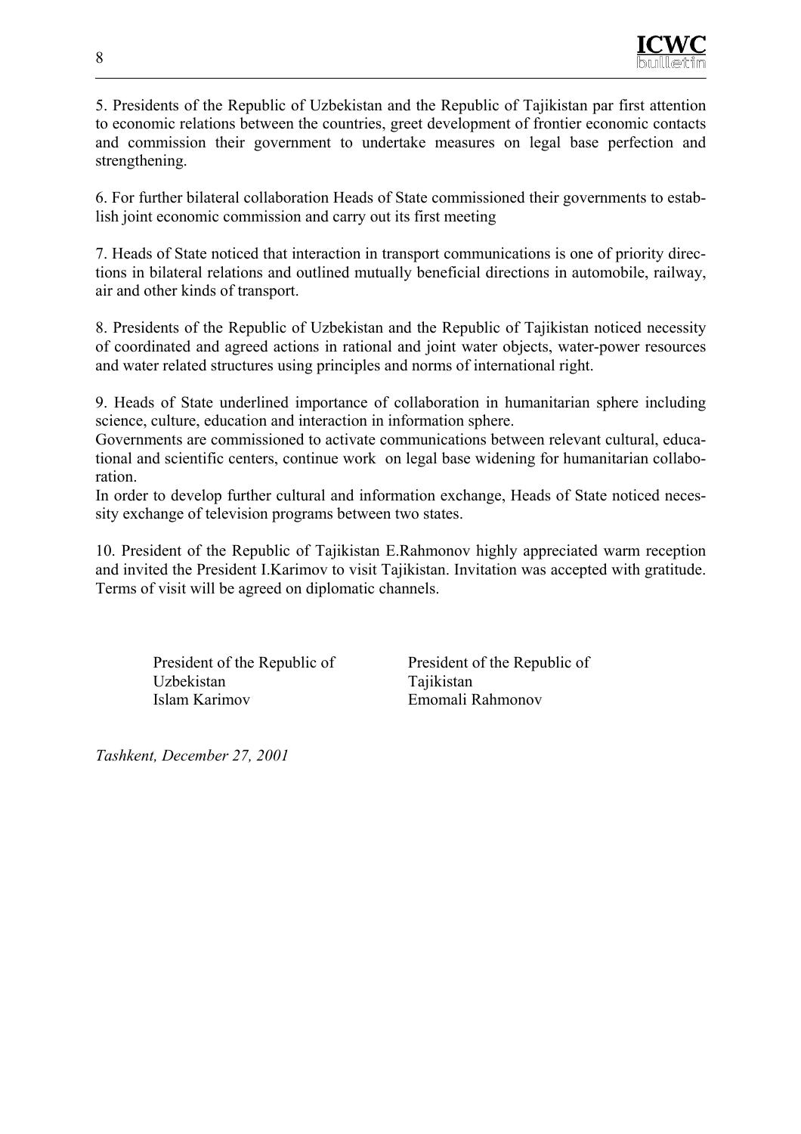

5. Presidents of the Republic of Uzbekistan and the Republic of Tajikistan par first attention to economic relations between the countries, greet development of frontier economic contacts and commission their government to undertake measures on legal base perfection and strengthening.

6. For further bilateral collaboration Heads of State commissioned their governments to establish joint economic commission and carry out its first meeting

7. Heads of State noticed that interaction in transport communications is one of priority directions in bilateral relations and outlined mutually beneficial directions in automobile, railway, air and other kinds of transport.

8. Presidents of the Republic of Uzbekistan and the Republic of Tajikistan noticed necessity of coordinated and agreed actions in rational and joint water objects, water-power resources and water related structures using principles and norms of international right.

9. Heads of State underlined importance of collaboration in humanitarian sphere including science, culture, education and interaction in information sphere.

Governments are commissioned to activate communications between relevant cultural, educational and scientific centers, continue work on legal base widening for humanitarian collaboration.

In order to develop further cultural and information exchange, Heads of State noticed necessity exchange of television programs between two states.

10. President of the Republic of Tajikistan E.Rahmonov highly appreciated warm reception and invited the President I.Karimov to visit Tajikistan. Invitation was accepted with gratitude. Terms of visit will be agreed on diplomatic channels.

President of the Republic of Uzbekistan Islam Karimov

President of the Republic of **Tajikistan** Emomali Rahmonov

*Tashkent, December 27, 2001*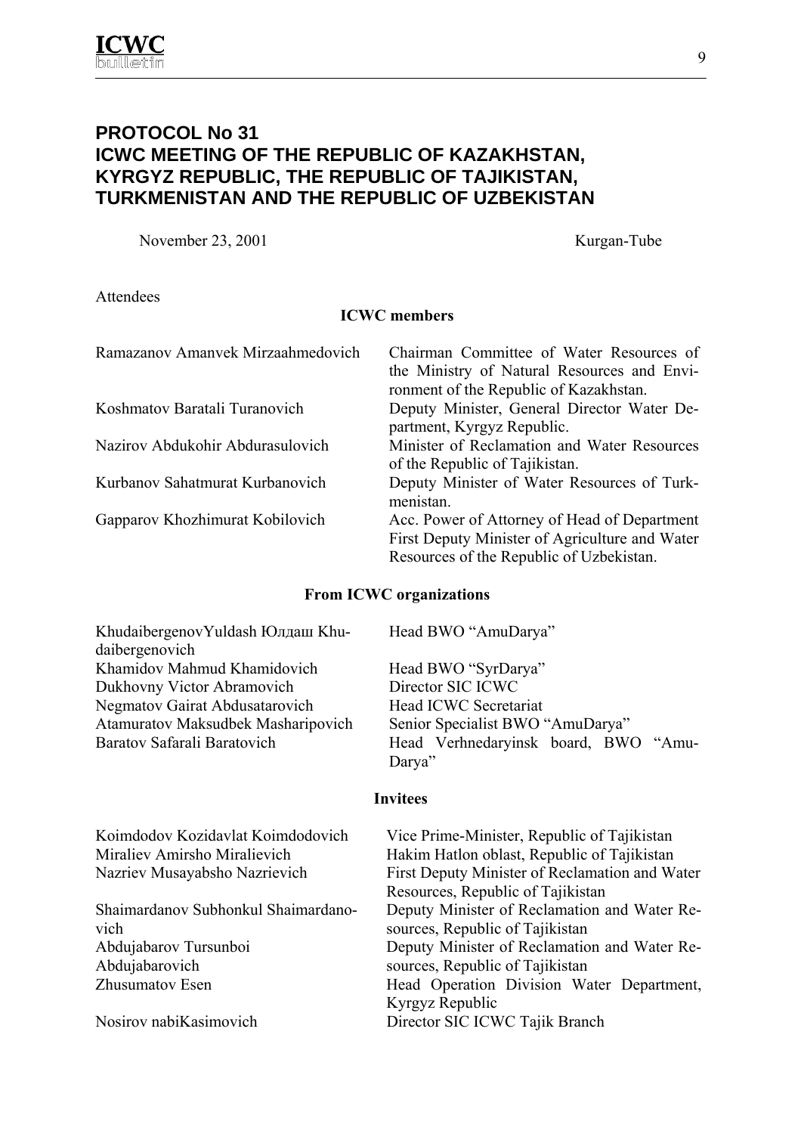## **PROTOCOL No 31 ICWC MEETING OF THE REPUBLIC OF KAZAKHSTAN, KYRGYZ REPUBLIC, THE REPUBLIC OF TAJIKISTAN, TURKMENISTAN AND THE REPUBLIC OF UZBEKISTAN**

November 23, 2001 Kurgan-Tube

Attendees

#### **ICWC members**

| Ramazanov Amanyek Mirzaahmedovich | Chairman Committee of Water Resources of<br>the Ministry of Natural Resources and Envi-<br>ronment of the Republic of Kazakhstan.          |
|-----------------------------------|--------------------------------------------------------------------------------------------------------------------------------------------|
| Koshmatov Baratali Turanovich     | Deputy Minister, General Director Water De-<br>partment, Kyrgyz Republic.                                                                  |
| Nazirov Abdukohir Abdurasulovich  | Minister of Reclamation and Water Resources<br>of the Republic of Tajikistan.                                                              |
| Kurbanov Sahatmurat Kurbanovich   | Deputy Minister of Water Resources of Turk-<br>menistan.                                                                                   |
| Gapparov Khozhimurat Kobilovich   | Acc. Power of Attorney of Head of Department<br>First Deputy Minister of Agriculture and Water<br>Resources of the Republic of Uzbekistan. |

#### **From ICWC organizations**

KhudaibergenovYuldash Юлдаш Khudaibergenovich Khamidov Mahmud Khamidovich Head BWO "SyrDarya" Dukhovny Victor Abramovich Director SIC ICWC Negmatov Gairat Abdusatarovich Head ICWC Secretariat Atamuratov Maksudbek Masharipovich Senior Specialist BWO "AmuDarya"

Head BWO "AmuDarya"

Baratov Safarali Baratovich Head Verhnedaryinsk board, BWO "Amu-Darva"

#### **Invitees**

Koimdodov Kozidavlat Koimdodovich Vice Prime-Minister, Republic of Tajikistan

Shaimardanov Subhonkul Shaimardanovich Abdujabarov Tursunboi Abdujabarovich

Miraliev Amirsho Miralievich Hakim Hatlon oblast, Republic of Tajikistan Nazriev Musayabsho Nazrievich First Deputy Minister of Reclamation and Water Resources, Republic of Tajikistan Deputy Minister of Reclamation and Water Resources, Republic of Tajikistan Deputy Minister of Reclamation and Water Resources, Republic of Tajikistan Zhusumatov Esen Head Operation Division Water Department, Kyrgyz Republic Nosirov nabiKasimovich Director SIC ICWC Tajik Branch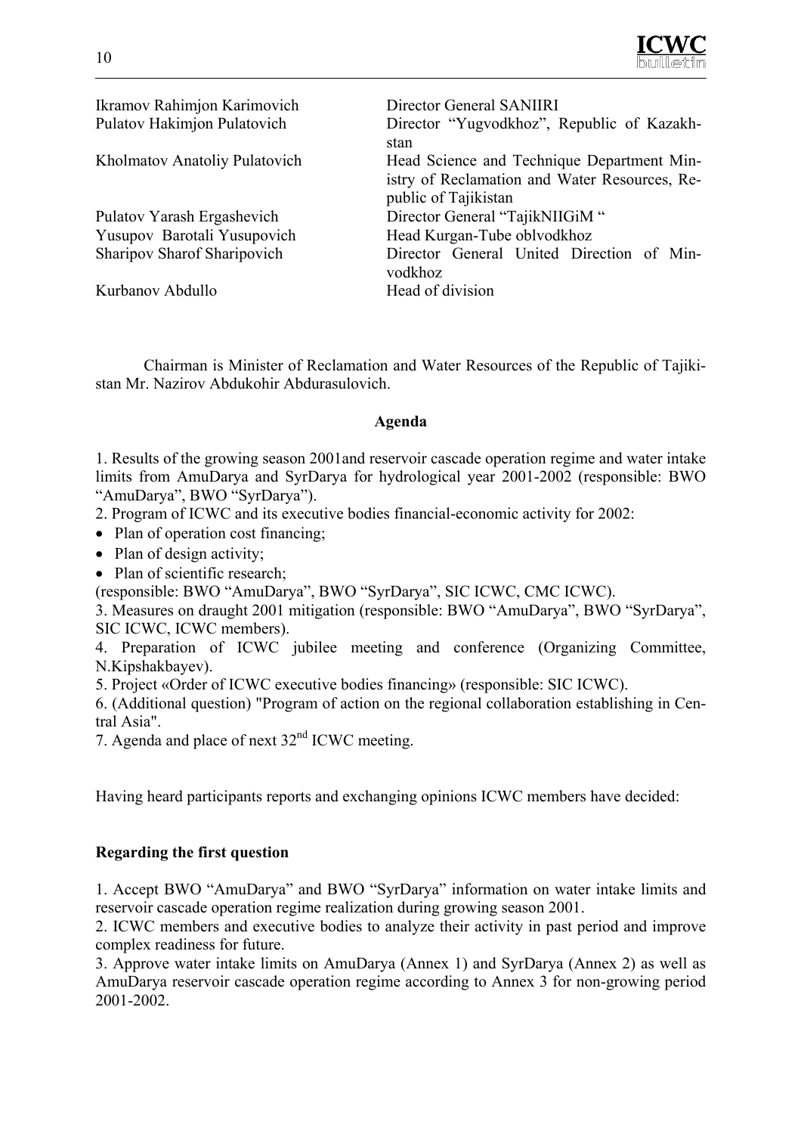

Ikramov Rahimjon Karimovich Director General SANIIRI Pulatov Hakimjon Pulatovich Director "Yugvodkhoz", Republic of Kazakhstan Kholmatov Anatoliy Pulatovich Head Science and Technique Department Ministry of Reclamation and Water Resources, Republic of Tajikistan Pulatov Yarash Ergashevich Director General "TajikNIIGiM " Yusupov Barotali Yusupovich Head Kurgan-Tube oblvodkhoz Sharipov Sharof Sharipovich Director General United Direction of Minvodkhoz Kurbanov Abdullo **Head of division** 

Chairman is Minister of Reclamation and Water Resources of the Republic of Tajikistan Mr. Nazirov Abdukohir Abdurasulovich.

#### **Agenda**

1. Results of the growing season 2001and reservoir cascade operation regime and water intake limits from AmuDarya and SyrDarya for hydrological year 2001-2002 (responsible: BWO "AmuDarya", BWO "SyrDarya").

2. Program of ICWC and its executive bodies financial-economic activity for 2002:

- Plan of operation cost financing;
- Plan of design activity:
- Plan of scientific research;

(responsible: BWO "AmuDarya", BWO "SyrDarya", SIC ICWC, CMC ICWC).

3. Measures on draught 2001 mitigation (responsible: BWO "AmuDarya", BWO "SyrDarya", SIC ICWC, ICWC members).

4. Preparation of ICWC jubilee meeting and conference (Organizing Committee, N.Kipshakbayev).

5. Project «Order of ICWC executive bodies financing» (responsible: SIC ICWC).

6. (Additional question) "Program of action on the regional collaboration establishing in Central Asia".

7. Agenda and place of next 32<sup>nd</sup> ICWC meeting.

Having heard participants reports and exchanging opinions ICWC members have decided:

#### **Regarding the first question**

1. Accept BWO "AmuDarya" and BWO "SyrDarya" information on water intake limits and reservoir cascade operation regime realization during growing season 2001.

2. ICWC members and executive bodies to analyze their activity in past period and improve complex readiness for future.

3. Approve water intake limits on AmuDarya (Annex 1) and SyrDarya (Annex 2) as well as AmuDarya reservoir cascade operation regime according to Annex 3 for non-growing period 2001-2002.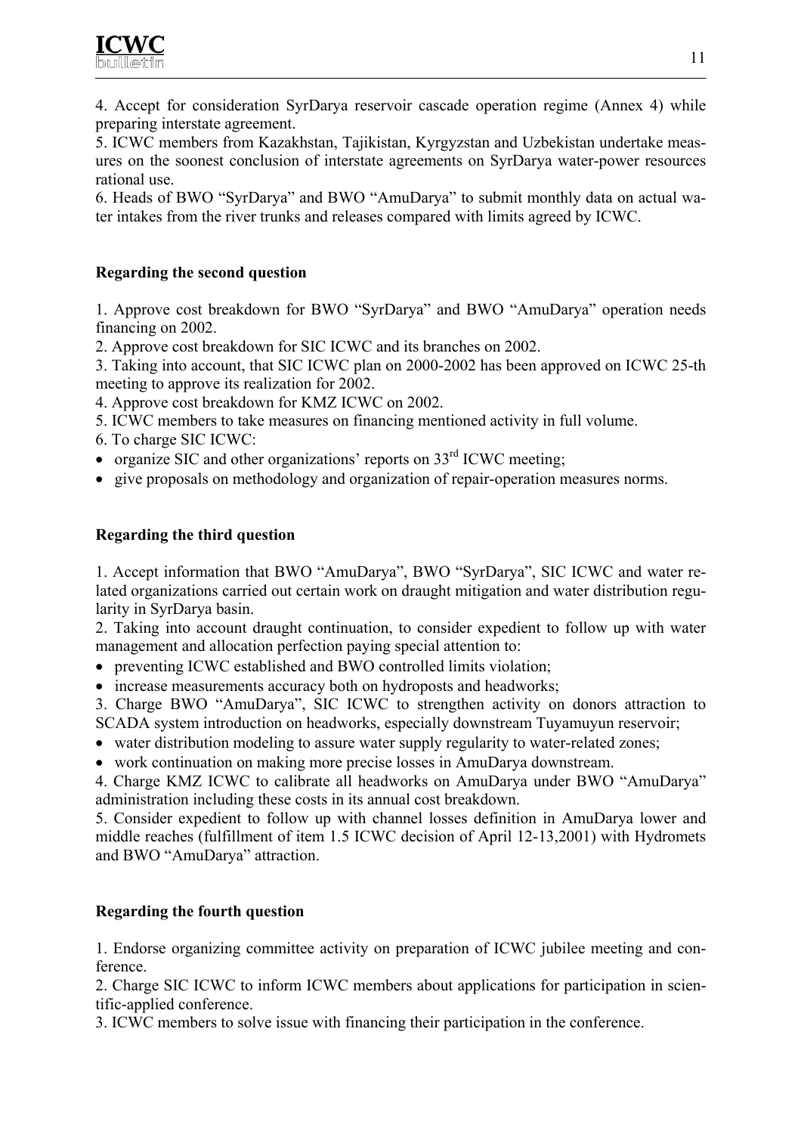4. Accept for consideration SyrDarya reservoir cascade operation regime (Annex 4) while preparing interstate agreement.

5. ICWC members from Kazakhstan, Tajikistan, Kyrgyzstan and Uzbekistan undertake measures on the soonest conclusion of interstate agreements on SyrDarya water-power resources rational use.

6. Heads of BWO "SyrDarya" and BWO "AmuDarya" to submit monthly data on actual water intakes from the river trunks and releases compared with limits agreed by ICWC.

## **Regarding the second question**

1. Approve cost breakdown for BWO "SyrDarya" and BWO "AmuDarya" operation needs financing on 2002.

2. Approve cost breakdown for SIC ICWC and its branches on 2002.

3. Taking into account, that SIC ICWC plan on 2000-2002 has been approved on ICWC 25-th meeting to approve its realization for 2002.

4. Approve cost breakdown for KMZ ICWC on 2002.

- 5. ICWC members to take measures on financing mentioned activity in full volume.
- 6. To charge SIC ICWC:
- organize SIC and other organizations' reports on  $33<sup>rd</sup>$  ICWC meeting;
- give proposals on methodology and organization of repair-operation measures norms.

## **Regarding the third question**

1. Accept information that BWO "AmuDarya", BWO "SyrDarya", SIC ICWC and water related organizations carried out certain work on draught mitigation and water distribution regularity in SyrDarya basin.

2. Taking into account draught continuation, to consider expedient to follow up with water management and allocation perfection paying special attention to:

- preventing ICWC established and BWO controlled limits violation;
- increase measurements accuracy both on hydroposts and headworks;
- 3. Charge BWO "AmuDarya", SIC ICWC to strengthen activity on donors attraction to SCADA system introduction on headworks, especially downstream Tuyamuyun reservoir;
- water distribution modeling to assure water supply regularity to water-related zones;
- work continuation on making more precise losses in AmuDarya downstream.

4. Charge KMZ ICWC to calibrate all headworks on AmuDarya under BWO "AmuDarya" administration including these costs in its annual cost breakdown.

5. Consider expedient to follow up with channel losses definition in AmuDarya lower and middle reaches (fulfillment of item 1.5 ICWC decision of April 12-13,2001) with Hydromets and BWO "AmuDarya" attraction.

## **Regarding the fourth question**

1. Endorse organizing committee activity on preparation of ICWC jubilee meeting and conference.

2. Charge SIC ICWC to inform ICWC members about applications for participation in scientific-applied conference.

3. ICWC members to solve issue with financing their participation in the conference.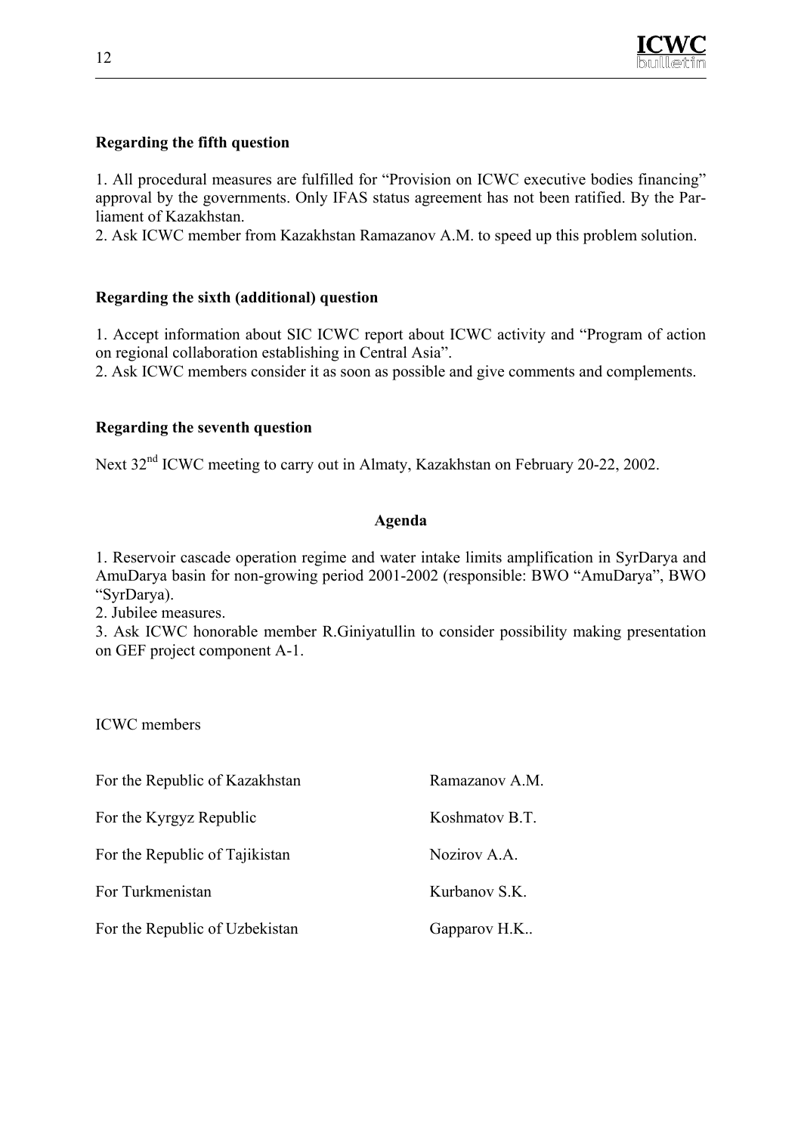

#### **Regarding the fifth question**

1. All procedural measures are fulfilled for "Provision on ICWC executive bodies financing" approval by the governments. Only IFAS status agreement has not been ratified. By the Parliament of Kazakhstan.

2. Ask ICWC member from Kazakhstan Ramazanov A.M. to speed up this problem solution.

#### **Regarding the sixth (additional) question**

1. Accept information about SIC ICWC report about ICWC activity and "Program of action on regional collaboration establishing in Central Asia".

2. Ask ICWC members consider it as soon as possible and give comments and complements.

#### **Regarding the seventh question**

Next 32<sup>nd</sup> ICWC meeting to carry out in Almaty, Kazakhstan on February 20-22, 2002.

#### **Agenda**

1. Reservoir cascade operation regime and water intake limits amplification in SyrDarya and AmuDarya basin for non-growing period 2001-2002 (responsible: BWO "AmuDarya", BWO "SyrDarya).

2. Jubilee measures.

3. Ask ICWC honorable member R.Giniyatullin to consider possibility making presentation on GEF project component A-1.

ICWC members

| For the Republic of Kazakhstan | Ramazanov A.M. |
|--------------------------------|----------------|
| For the Kyrgyz Republic        | Koshmatov B.T. |
| For the Republic of Tajikistan | Nozirov A.A.   |
| For Turkmenistan               | Kurbanov S.K.  |
| For the Republic of Uzbekistan | Gapparov H.K   |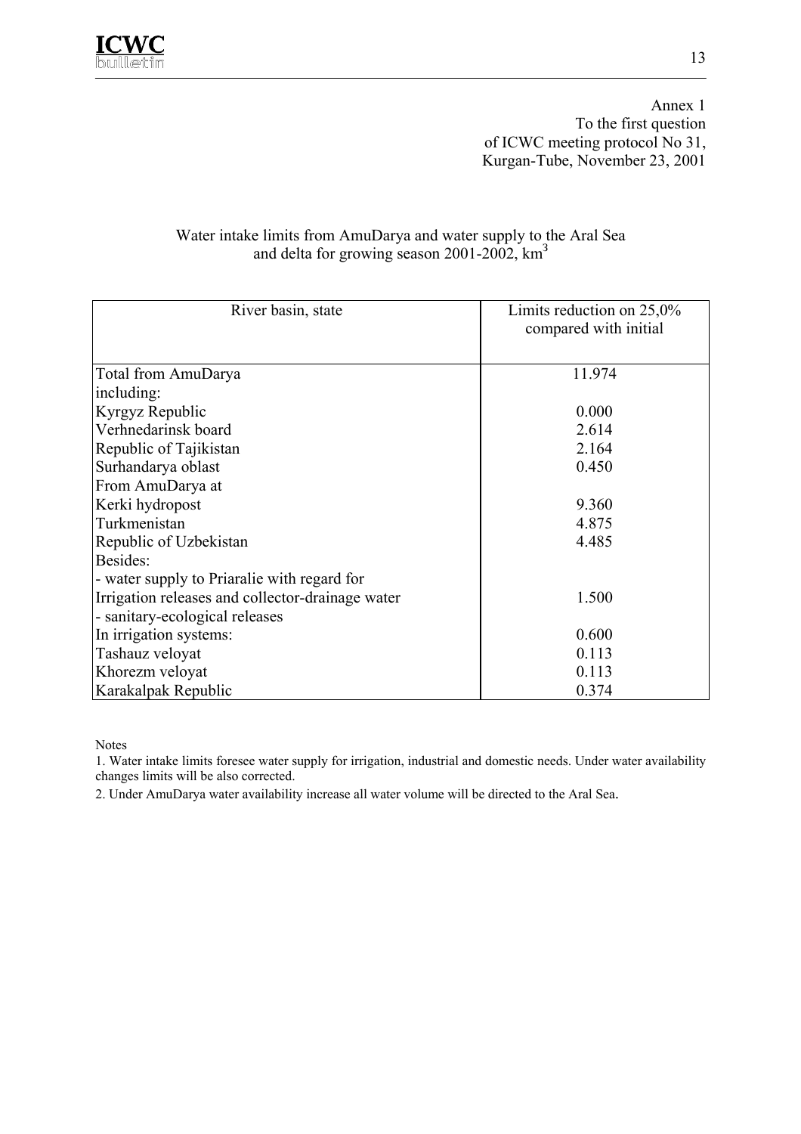

Annex 1 To the first question of ICWC meeting protocol No 31, Kurgan-Tube, November 23, 2001

#### Water intake limits from AmuDarya and water supply to the Aral Sea and delta for growing season 2001-2002,  $km^3$

| River basin, state                               | Limits reduction on $25,0\%$<br>compared with initial |
|--------------------------------------------------|-------------------------------------------------------|
| Total from AmuDarya                              | 11.974                                                |
| including:                                       |                                                       |
| Kyrgyz Republic                                  | 0.000                                                 |
| Verhnedarinsk board                              | 2.614                                                 |
| Republic of Tajikistan                           | 2.164                                                 |
| Surhandarya oblast                               | 0.450                                                 |
| From AmuDarya at                                 |                                                       |
| Kerki hydropost                                  | 9.360                                                 |
| Turkmenistan                                     | 4.875                                                 |
| Republic of Uzbekistan                           | 4.485                                                 |
| Besides:                                         |                                                       |
| - water supply to Priaralie with regard for      |                                                       |
| Irrigation releases and collector-drainage water | 1.500                                                 |
| - sanitary-ecological releases                   |                                                       |
| In irrigation systems:                           | 0.600                                                 |
| Tashauz veloyat                                  | 0.113                                                 |
| Khorezm veloyat                                  | 0.113                                                 |
| Karakalpak Republic                              | 0.374                                                 |

Notes

1. Water intake limits foresee water supply for irrigation, industrial and domestic needs. Under water availability changes limits will be also corrected.

2. Under AmuDarya water availability increase all water volume will be directed to the Aral Sea.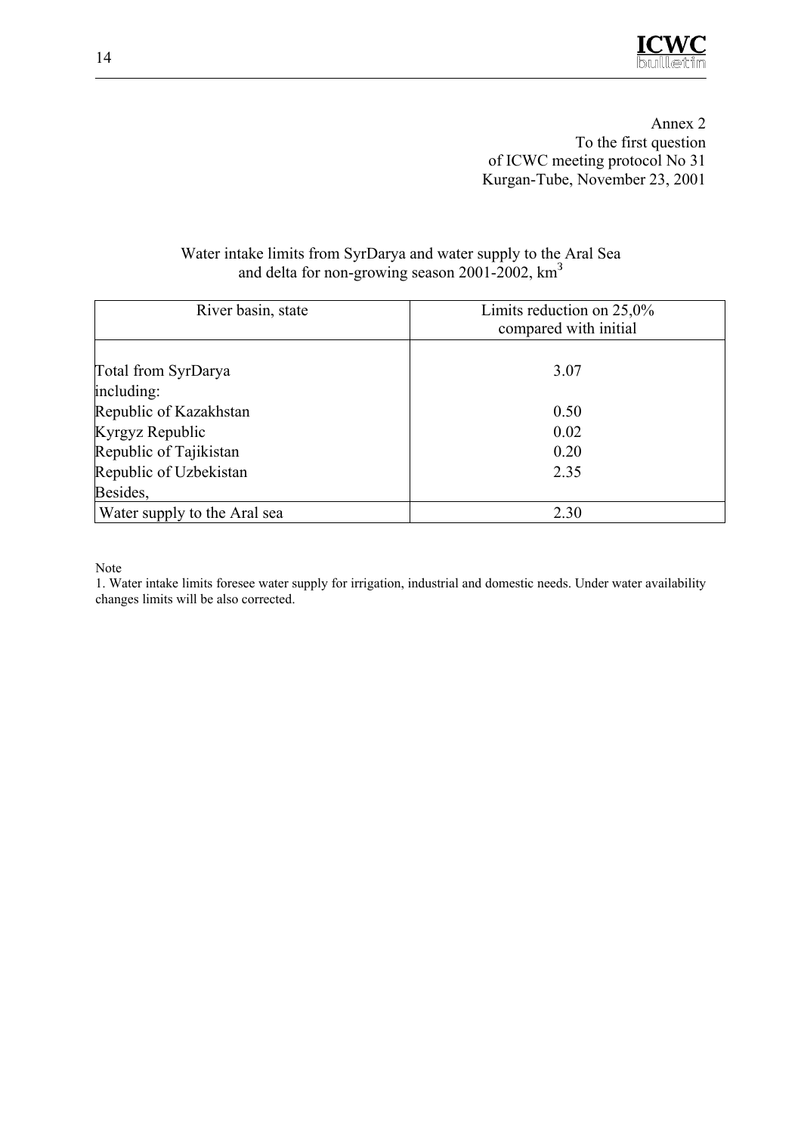

Annex 2 To the first question of ICWC meeting protocol No 31 Kurgan-Tube, November 23, 2001

| River basin, state                        | Limits reduction on $25,0\%$<br>compared with initial |
|-------------------------------------------|-------------------------------------------------------|
| Total from SyrDarya                       | 3.07                                                  |
| including:                                |                                                       |
| Republic of Kazakhstan                    | 0.50                                                  |
| Kyrgyz Republic<br>Republic of Tajikistan | 0.02<br>0.20                                          |
| Republic of Uzbekistan                    | 2.35                                                  |
| Besides,                                  |                                                       |
| Water supply to the Aral sea              | 2.30                                                  |

#### Water intake limits from SyrDarya and water supply to the Aral Sea and delta for non-growing season  $2001-2002$ ,  $km^3$

Note

1. Water intake limits foresee water supply for irrigation, industrial and domestic needs. Under water availability changes limits will be also corrected.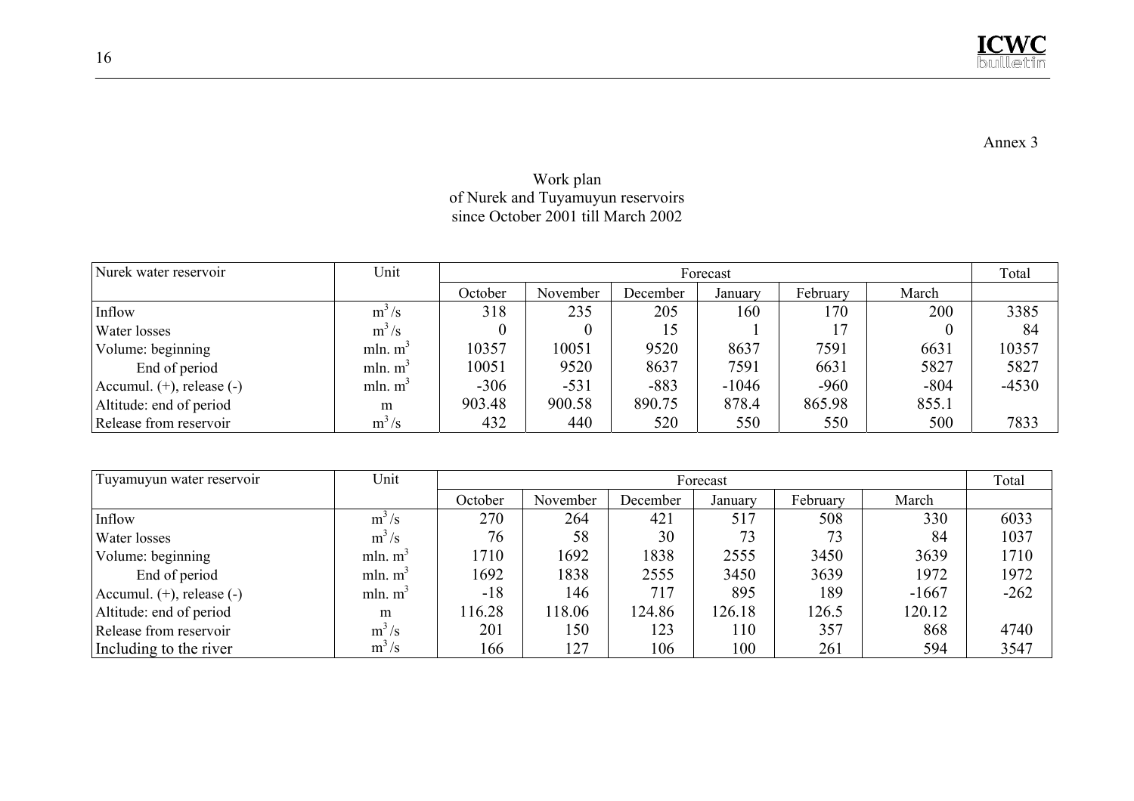Annex 3

#### Work plan of Nurek and Tuyamuyun reservoirs since October 2001 till March 2002

|                                |                     |         |          |          |         |          |          | Total   |
|--------------------------------|---------------------|---------|----------|----------|---------|----------|----------|---------|
| Nurek water reservoir          | Unit                |         | Forecast |          |         |          |          |         |
|                                |                     | October | November | December | January | February | March    |         |
| Inflow                         | $m^3/s$             | 318     | 235      | 205      | 160     | 170      | 200      | 3385    |
| Water losses                   | $m^3/s$             |         |          | ı 5      |         |          | $\theta$ | 84      |
| Volume: beginning              | mln. $m^3$          | 10357   | 10051    | 9520     | 8637    | 7591     | 6631     | 10357   |
| End of period                  | mln. $m^3$          | 10051   | 9520     | 8637     | 7591    | 6631     | 5827     | 5827    |
| Accumul. $(+)$ , release $(-)$ | mln. m <sup>3</sup> | $-306$  | $-531$   | $-883$   | $-1046$ | $-960$   | $-804$   | $-4530$ |
| Altitude: end of period        | m                   | 903.48  | 900.58   | 890.75   | 878.4   | 865.98   | 855.1    |         |
| Release from reservoir         | $m^3/s$             | 432     | 440      | 520      | 550     | 550      | 500      | 7833    |

| Tuyamuyun water reservoir      | Unit                |         | Forecast |          |         |          |         |        |
|--------------------------------|---------------------|---------|----------|----------|---------|----------|---------|--------|
|                                |                     | October | November | December | January | February | March   |        |
| Inflow                         | $m^3/s$             | 270     | 264      | 421      | 517     | 508      | 330     | 6033   |
| Water losses                   | $m^3/s$             | 76      | 58       | 30       | 73      | 73       | 84      | 1037   |
| Volume: beginning              | mln. m <sup>3</sup> | 1710    | 1692     | 1838     | 2555    | 3450     | 3639    | 1710   |
| End of period                  | mln. m <sup>3</sup> | 1692    | 1838     | 2555     | 3450    | 3639     | 1972    | 1972   |
| Accumul. $(+)$ , release $(-)$ | mln. $m^3$          | $-18$   | 146      | 717      | 895     | 189      | $-1667$ | $-262$ |
| Altitude: end of period        | m                   | 116.28  | 118.06   | 124.86   | 126.18  | 126.5    | 120.12  |        |
| Release from reservoir         | $m^3/s$             | 201     | 150      | 123      | 110     | 357      | 868     | 4740   |
| Including to the river         | $m^3/s$             | 166     | 127      | 106      | 100     | 261      | 594     | 3547   |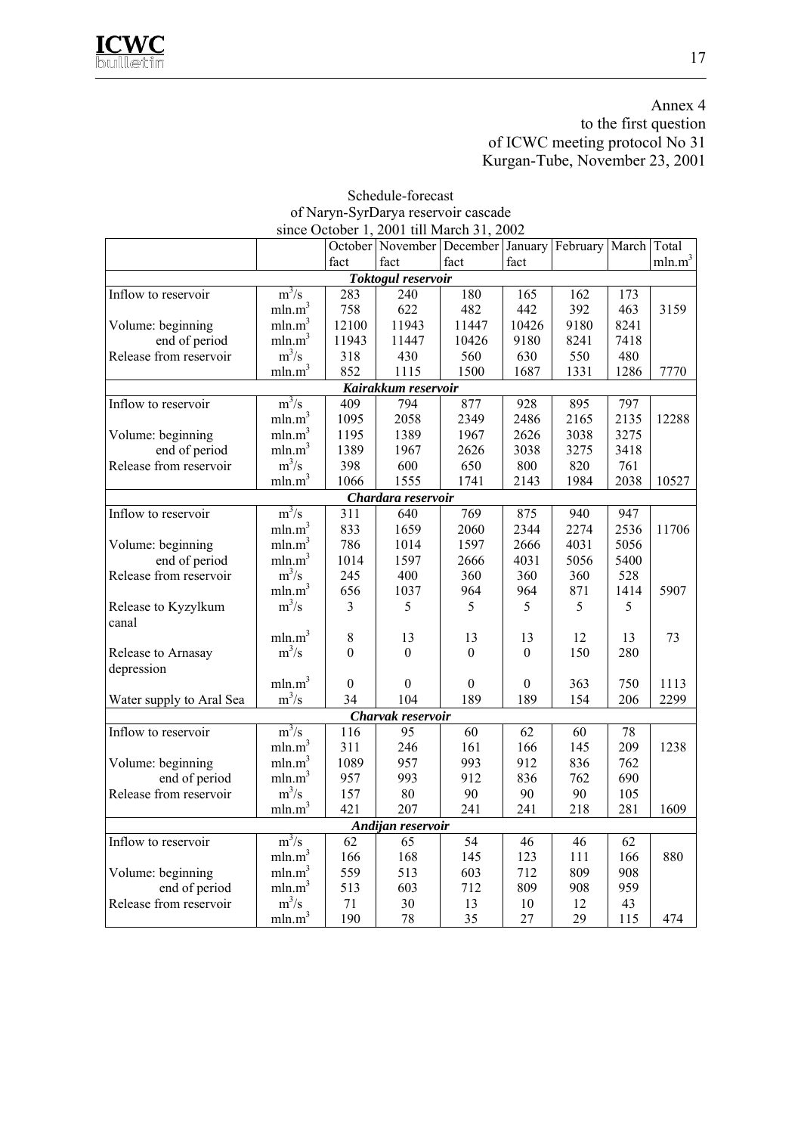## Annex 4 to the first question of ICWC meeting protocol No 31 Kurgan-Tube, November 23, 2001

|                              |                    |              | since October 1, 2001 till March 31, 2002 |                  |                |                      |      |                    |
|------------------------------|--------------------|--------------|-------------------------------------------|------------------|----------------|----------------------|------|--------------------|
|                              |                    |              | October November December January         |                  |                | February March Total |      |                    |
|                              |                    | fact         | fact                                      | fact             | fact           |                      |      | mln.m <sup>3</sup> |
|                              |                    |              | Toktogul reservoir                        |                  |                |                      |      |                    |
| Inflow to reservoir          | $m^3/s$            | 283          | 240                                       | 180              | 165            | 162                  | 173  |                    |
|                              | mln.m <sup>3</sup> | 758          | 622                                       | 482              | 442            | 392                  | 463  | 3159               |
| Volume: beginning            | mln.m <sup>3</sup> | 12100        | 11943                                     | 11447            | 10426          | 9180                 | 8241 |                    |
| end of period                | mln.m <sup>3</sup> | 11943        | 11447                                     | 10426            | 9180           | 8241                 | 7418 |                    |
| Release from reservoir       | $m^3/s$            | 318          | 430                                       | 560              | 630            | 550                  | 480  |                    |
|                              | mln.m <sup>3</sup> | 852          | 1115                                      | 1500             | 1687           | 1331                 | 1286 | 7770               |
|                              |                    |              | Kairakkum reservoir                       |                  |                |                      |      |                    |
| Inflow to reservoir          | $m^3/s$            | 409          | 794                                       | 877              | 928            | 895                  | 797  |                    |
|                              | mln.m <sup>3</sup> | 1095         | 2058                                      | 2349             | 2486           | 2165                 | 2135 | 12288              |
| Volume: beginning            | mln.m <sup>3</sup> | 1195         | 1389                                      | 1967             | 2626           | 3038                 | 3275 |                    |
| end of period                | mln.m <sup>3</sup> | 1389         | 1967                                      | 2626             | 3038           | 3275                 | 3418 |                    |
| Release from reservoir       | $m^3/s$            | 398          | 600                                       | 650              | 800            | 820                  | 761  |                    |
|                              | mln.m <sup>3</sup> | 1066         | 1555                                      | 1741             | 2143           | 1984                 | 2038 | 10527              |
|                              |                    |              | Chardara reservoir                        |                  |                |                      |      |                    |
| Inflow to reservoir          | $m^3/s$            | 311          | 640                                       | 769              | 875            | 940                  | 947  |                    |
|                              | mln.m <sup>3</sup> | 833          | 1659                                      | 2060             | 2344           | 2274                 | 2536 | 11706              |
| Volume: beginning            | mln.m <sup>3</sup> | 786          | 1014                                      | 1597             | 2666           | 4031                 | 5056 |                    |
| end of period                | mln.m <sup>3</sup> | 1014         | 1597                                      | 2666             | 4031           | 5056                 | 5400 |                    |
| Release from reservoir       | $m^3/s$            | 245          | 400                                       | 360              | 360            | 360                  | 528  |                    |
|                              | mln.m <sup>3</sup> | 656          | 1037                                      | 964              | 964            | 871                  | 1414 | 5907               |
| Release to Kyzylkum<br>canal | $m^3/s$            | 3            | 5                                         | 5                | 5              | 5                    | 5    |                    |
|                              | mln.m <sup>3</sup> | 8            | 13                                        | 13               | 13             | 12                   | 13   | 73                 |
| Release to Arnasay           | $m^3/s$            | $\theta$     | $\theta$                                  | $\boldsymbol{0}$ | $\overline{0}$ | 150                  | 280  |                    |
| depression                   |                    |              |                                           |                  |                |                      |      |                    |
|                              | mln.m <sup>3</sup> | $\mathbf{0}$ | $\theta$                                  | $\theta$         | $\theta$       | 363                  | 750  | 1113               |
| Water supply to Aral Sea     | $m^3/s$            | 34           | 104                                       | 189              | 189            | 154                  | 206  | 2299               |
|                              |                    |              | Charvak reservoir                         |                  |                |                      |      |                    |
| Inflow to reservoir          | $m^3/s$            | 116          | $\overline{95}$                           | $\overline{60}$  | 62             | 60                   | 78   |                    |
|                              | mln.m <sup>3</sup> | 311          | 246                                       | 161              | 166            | 145                  | 209  | 1238               |
| Volume: beginning            | mln.m <sup>3</sup> | 1089         | 957                                       | 993              | 912            | 836                  | 762  |                    |
| end of period                | mln.m <sup>3</sup> | 957          | 993                                       | 912              | 836            | 762                  | 690  |                    |
| Release from reservoir       | $m^3/s$            | 157          | 80                                        | 90               | 90             | 90                   | 105  |                    |
|                              | mln.m <sup>3</sup> | 421          | 207                                       | 241              | 241            | 218                  | 281  | 1609               |
|                              |                    |              | Andijan reservoir                         |                  |                |                      |      |                    |
| Inflow to reservoir          | $m^3/s$            | 62           | 65                                        | 54               | 46             | 46                   | 62   |                    |
|                              | mln.m <sup>3</sup> | 166          | 168                                       | 145              | 123            | 111                  | 166  | 880                |
| Volume: beginning            | mln.m <sup>3</sup> | 559          | 513                                       | 603              | 712            | 809                  | 908  |                    |
| end of period                | mln.m <sup>3</sup> | 513          | 603                                       | 712              | 809            | 908                  | 959  |                    |
| Release from reservoir       | $m^3/s$            | 71           | 30                                        | 13               | 10             | 12                   | 43   |                    |
|                              | mln.m <sup>3</sup> | 190          | 78                                        | 35               | 27             | 29                   | 115  | 474                |

# Schedule-forecast of Naryn-SyrDarya reservoir cascade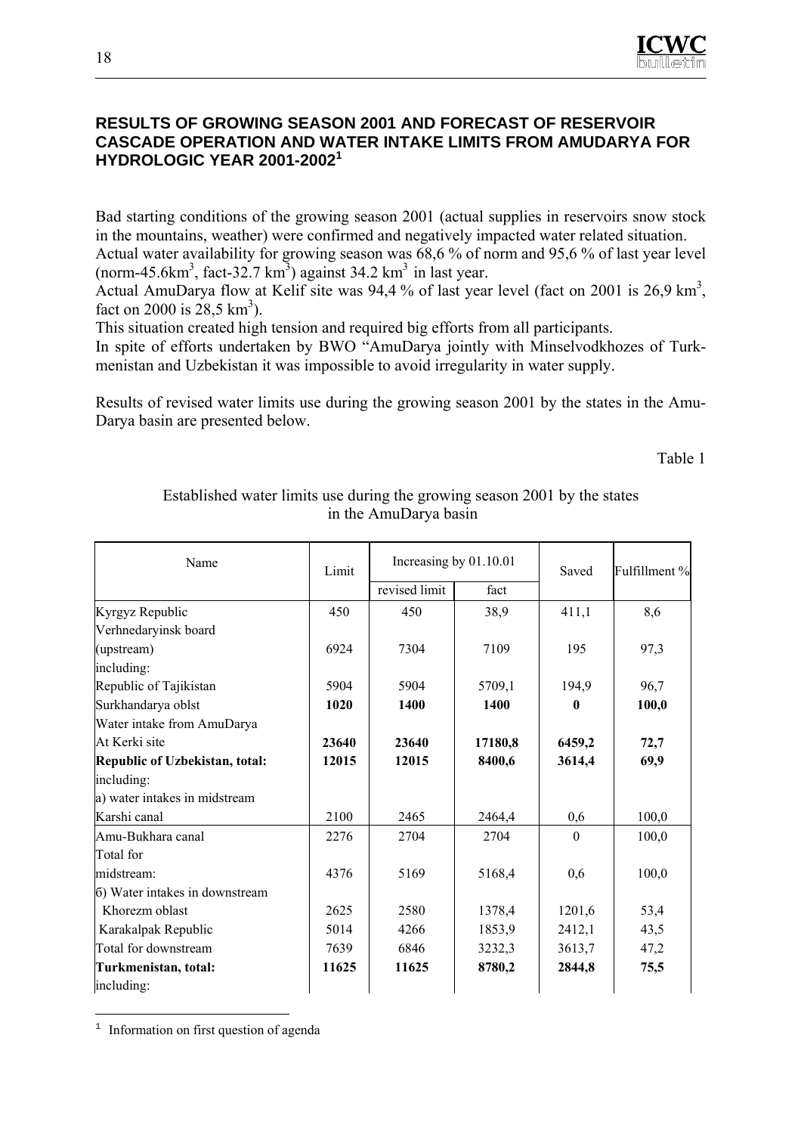

#### **RESULTS OF GROWING SEASON 2001 AND FORECAST OF RESERVOIR CASCADE OPERATION AND WATER INTAKE LIMITS FROM AMUDARYA FOR HYDROLOGIC YEAR 2001-2002<sup>1</sup>**

Bad starting conditions of the growing season 2001 (actual supplies in reservoirs snow stock in the mountains, weather) were confirmed and negatively impacted water related situation. Actual water availability for growing season was 68,6 % of norm and 95,6 % of last year level

(norm-45.6 $km<sup>3</sup>$ , fact-32.7 km<sup>3</sup>) against 34.2 km<sup>3</sup> in last year.

Actual AmuDarya flow at Kelif site was 94,4 % of last year level (fact on 2001 is 26,9 km<sup>3</sup>, fact on 2000 is  $28,5 \text{ km}^3$ ).

This situation created high tension and required big efforts from all participants.

In spite of efforts undertaken by BWO "AmuDarya jointly with Minselvodkhozes of Turkmenistan and Uzbekistan it was impossible to avoid irregularity in water supply.

Results of revised water limits use during the growing season 2001 by the states in the Amu-Darya basin are presented below.

Table 1

| Name                           | Limit | Increasing by 01.10.01 |         | Saved        | Fulfillment % |
|--------------------------------|-------|------------------------|---------|--------------|---------------|
|                                |       | revised limit          | fact    |              |               |
| Kyrgyz Republic                | 450   | 450                    | 38,9    | 411,1        | 8,6           |
| Verhnedaryinsk board           |       |                        |         |              |               |
| (upstream)                     | 6924  | 7304                   | 7109    | 195          | 97,3          |
| including:                     |       |                        |         |              |               |
| Republic of Tajikistan         | 5904  | 5904                   | 5709,1  | 194,9        | 96,7          |
| Surkhandarya oblst             | 1020  | 1400                   | 1400    | $\mathbf{0}$ | 100,0         |
| Water intake from AmuDarya     |       |                        |         |              |               |
| At Kerki site                  | 23640 | 23640                  | 17180,8 | 6459,2       | 72,7          |
| Republic of Uzbekistan, total: | 12015 | 12015                  | 8400,6  | 3614,4       | 69,9          |
| including:                     |       |                        |         |              |               |
| a) water intakes in midstream  |       |                        |         |              |               |
| Karshi canal                   | 2100  | 2465                   | 2464,4  | 0,6          | 100,0         |
| Amu-Bukhara canal              | 2276  | 2704                   | 2704    | $\theta$     | 100,0         |
| Total for                      |       |                        |         |              |               |
| midstream:                     | 4376  | 5169                   | 5168,4  | 0,6          | 100,0         |
| 6) Water intakes in downstream |       |                        |         |              |               |
| Khorezm oblast                 | 2625  | 2580                   | 1378,4  | 1201,6       | 53,4          |
| Karakalpak Republic            | 5014  | 4266                   | 1853,9  | 2412,1       | 43,5          |
| Total for downstream           | 7639  | 6846                   | 3232,3  | 3613,7       | 47,2          |
| Turkmenistan, total:           | 11625 | 11625                  | 8780,2  | 2844,8       | 75,5          |
| including:                     |       |                        |         |              |               |

#### Established water limits use during the growing season 2001 by the states in the AmuDarya basin

<sup>1</sup> Information on first question of agenda

 $\overline{a}$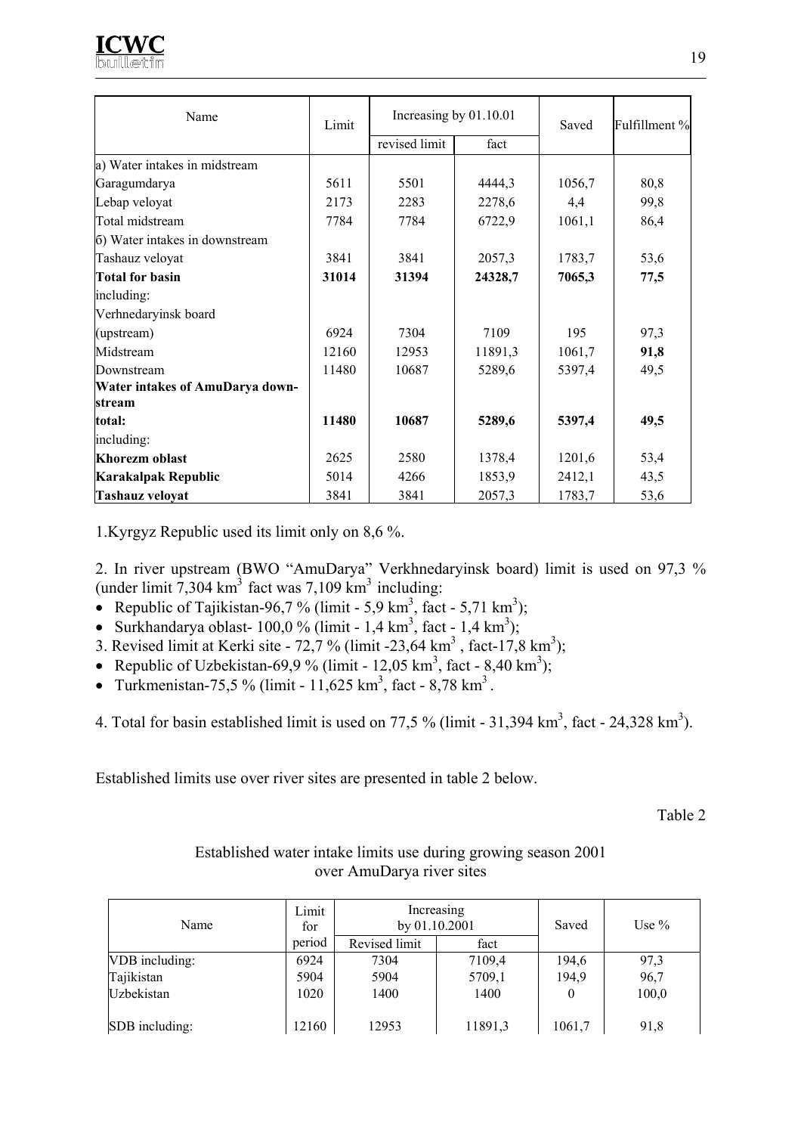

| Name                            | Limit | Increasing by 01.10.01 |         | Saved  | Fulfillment % |
|---------------------------------|-------|------------------------|---------|--------|---------------|
|                                 |       | revised limit          | fact    |        |               |
| a) Water intakes in midstream   |       |                        |         |        |               |
| Garagumdarya                    | 5611  | 5501                   | 4444,3  | 1056,7 | 80,8          |
| Lebap veloyat                   | 2173  | 2283                   | 2278,6  | 4,4    | 99,8          |
| Total midstream                 | 7784  | 7784                   | 6722,9  | 1061,1 | 86,4          |
| (6) Water intakes in downstream |       |                        |         |        |               |
| Tashauz veloyat                 | 3841  | 3841                   | 2057,3  | 1783,7 | 53,6          |
| <b>Total for basin</b>          | 31014 | 31394                  | 24328,7 | 7065,3 | 77,5          |
| including:                      |       |                        |         |        |               |
| Verhnedaryinsk board            |       |                        |         |        |               |
| (upstream)                      | 6924  | 7304                   | 7109    | 195    | 97,3          |
| Midstream                       | 12160 | 12953                  | 11891,3 | 1061,7 | 91,8          |
| Downstream                      | 11480 | 10687                  | 5289,6  | 5397,4 | 49,5          |
| Water intakes of AmuDarya down- |       |                        |         |        |               |
| stream                          |       |                        |         |        |               |
| total:                          | 11480 | 10687                  | 5289,6  | 5397,4 | 49,5          |
| including:                      |       |                        |         |        |               |
| Khorezm oblast                  | 2625  | 2580                   | 1378,4  | 1201,6 | 53,4          |
| Karakalpak Republic             | 5014  | 4266                   | 1853,9  | 2412,1 | 43,5          |
| <b>Tashauz veloyat</b>          | 3841  | 3841                   | 2057,3  | 1783,7 | 53,6          |

1.Kyrgyz Republic used its limit only on 8,6 %.

2. In river upstream (BWO "AmuDarya" Verkhnedaryinsk board) limit is used on 97,3 % (under limit 7,304 km<sup>3</sup> fact was 7,109 km<sup>3</sup> including:

- Republic of Tajikistan-96,7 % (limit 5,9 km<sup>3</sup>, fact 5,71 km<sup>3</sup>);
- Surkhandarya oblast-  $100,0\%$  (limit 1,4 km<sup>3</sup>, fact 1,4 km<sup>3</sup>);
- 3. Revised limit at Kerki site  $72,7%$  (limit -23,64 km<sup>3</sup>, fact-17,8 km<sup>3</sup>);
- Republic of Uzbekistan-69,9 % (limit 12,05 km<sup>3</sup>, fact 8,40 km<sup>3</sup>);
- Turkmenistan-75,5 % (limit 11,625 km<sup>3</sup>, fact 8,78 km<sup>3</sup>.
- 4. Total for basin established limit is used on 77,5 % (limit 31,394 km<sup>3</sup>, fact 24,328 km<sup>3</sup>).

Established limits use over river sites are presented in table 2 below.

Table 2

#### Established water intake limits use during growing season 2001 over AmuDarya river sites

| Name           | Limit<br>for | Increasing<br>by 01.10.2001 |         | Saved  | Use $\%$ |
|----------------|--------------|-----------------------------|---------|--------|----------|
|                | period       | Revised limit               | fact    |        |          |
| VDB including: | 6924         | 7304                        | 7109,4  | 194,6  | 97,3     |
| Tajikistan     | 5904         | 5904                        | 5709,1  | 194,9  | 96,7     |
| Uzbekistan     | 1020         | 1400                        | 1400    | 0      | 100,0    |
| SDB including: | 12160        | 12953                       | 11891,3 | 1061,7 | 91,8     |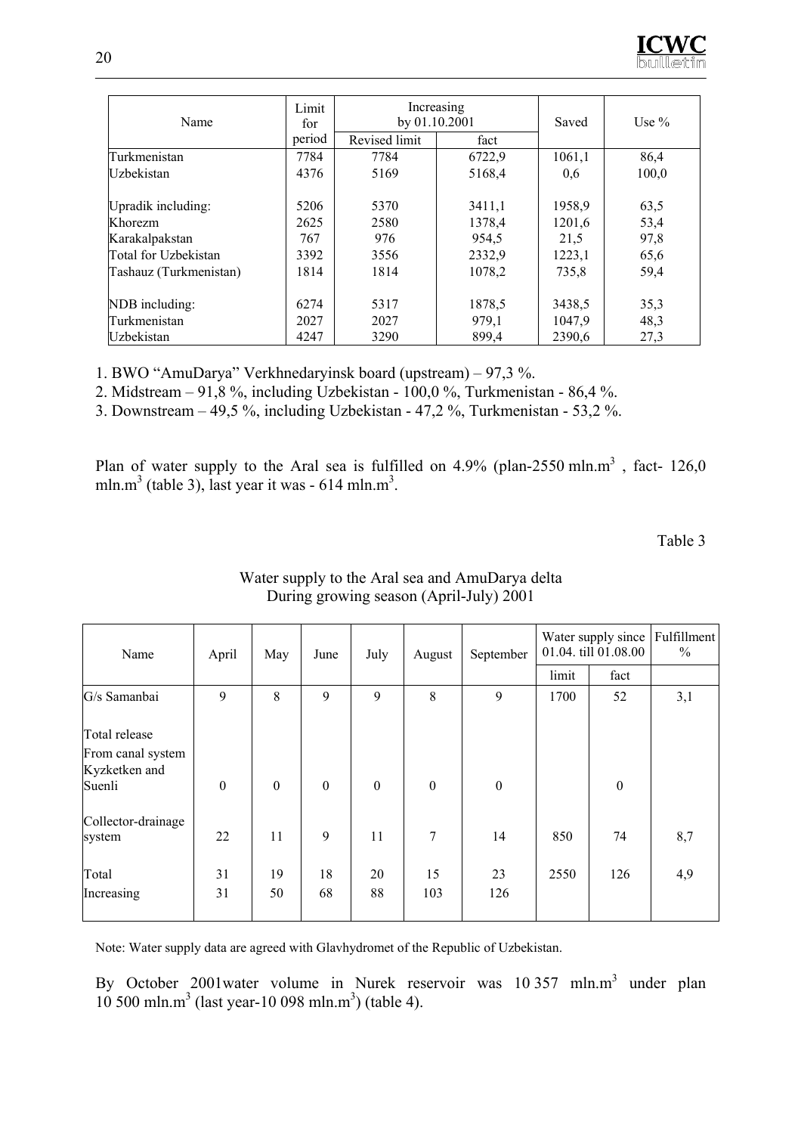| Name                   | Limit<br>for | by 01.10.2001 | Increasing | Saved  | Use $\%$ |
|------------------------|--------------|---------------|------------|--------|----------|
|                        | period       | Revised limit | fact       |        |          |
| Turkmenistan           | 7784         | 7784          | 6722,9     | 1061,1 | 86,4     |
| Uzbekistan             | 4376         | 5169          | 5168,4     | 0.6    | 100,0    |
| Upradik including:     | 5206         | 5370          | 3411,1     | 1958,9 | 63,5     |
| Khorezm                | 2625         | 2580          | 1378,4     | 1201,6 | 53,4     |
| Karakalpakstan         | 767          | 976           | 954,5      | 21,5   | 97,8     |
| Total for Uzbekistan   | 3392         | 3556          | 2332,9     | 1223,1 | 65,6     |
| Tashauz (Turkmenistan) | 1814         | 1814          | 1078,2     | 735,8  | 59,4     |
| NDB including:         | 6274         | 5317          | 1878,5     | 3438,5 | 35,3     |
| Turkmenistan           | 2027         | 2027          | 979,1      | 1047.9 | 48,3     |
| Uzbekistan             | 4247         | 3290          | 899,4      | 2390,6 | 27,3     |

1. BWO "AmuDarya" Verkhnedaryinsk board (upstream) – 97,3 %.

2. Midstream – 91,8 %, including Uzbekistan - 100,0 %, Turkmenistan - 86,4 %.

3. Downstream – 49,5 %, including Uzbekistan - 47,2 %, Turkmenistan - 53,2 %.

Plan of water supply to the Aral sea is fulfilled on  $4.9\%$  (plan-2550 mln.m<sup>3</sup>, fact-126,0) mln.m<sup>3</sup> (table 3), last year it was - 614 mln.m<sup>3</sup>.

Table 3

| Name                                                          | April            | May              | June             | July             | August           | September        |       | Water supply since<br>01.04. till 01.08.00 | Fulfillment<br>$\frac{0}{0}$ |
|---------------------------------------------------------------|------------------|------------------|------------------|------------------|------------------|------------------|-------|--------------------------------------------|------------------------------|
|                                                               |                  |                  |                  |                  |                  |                  | limit | fact                                       |                              |
| G/s Samanbai                                                  | 9                | 8                | 9                | 9                | 8                | 9                | 1700  | 52                                         | 3,1                          |
| Total release<br>From canal system<br>Kyzketken and<br>Suenli | $\boldsymbol{0}$ | $\boldsymbol{0}$ | $\boldsymbol{0}$ | $\boldsymbol{0}$ | $\boldsymbol{0}$ | $\boldsymbol{0}$ |       | $\theta$                                   |                              |
| Collector-drainage<br>system                                  | 22               | 11               | 9                | 11               | 7                | 14               | 850   | 74                                         | 8,7                          |
| Total<br>Increasing                                           | 31<br>31         | 19<br>50         | 18<br>68         | 20<br>88         | 15<br>103        | 23<br>126        | 2550  | 126                                        | 4,9                          |

#### Water supply to the Aral sea and AmuDarya delta During growing season (April-July) 2001

Note: Water supply data are agreed with Glavhydromet of the Republic of Uzbekistan.

By October 2001 water volume in Nurek reservoir was 10 357 mln.m<sup>3</sup> under plan  $10\,500\,\text{mln.m}^3$  (last year-10 098 mln.m<sup>3</sup>) (table 4).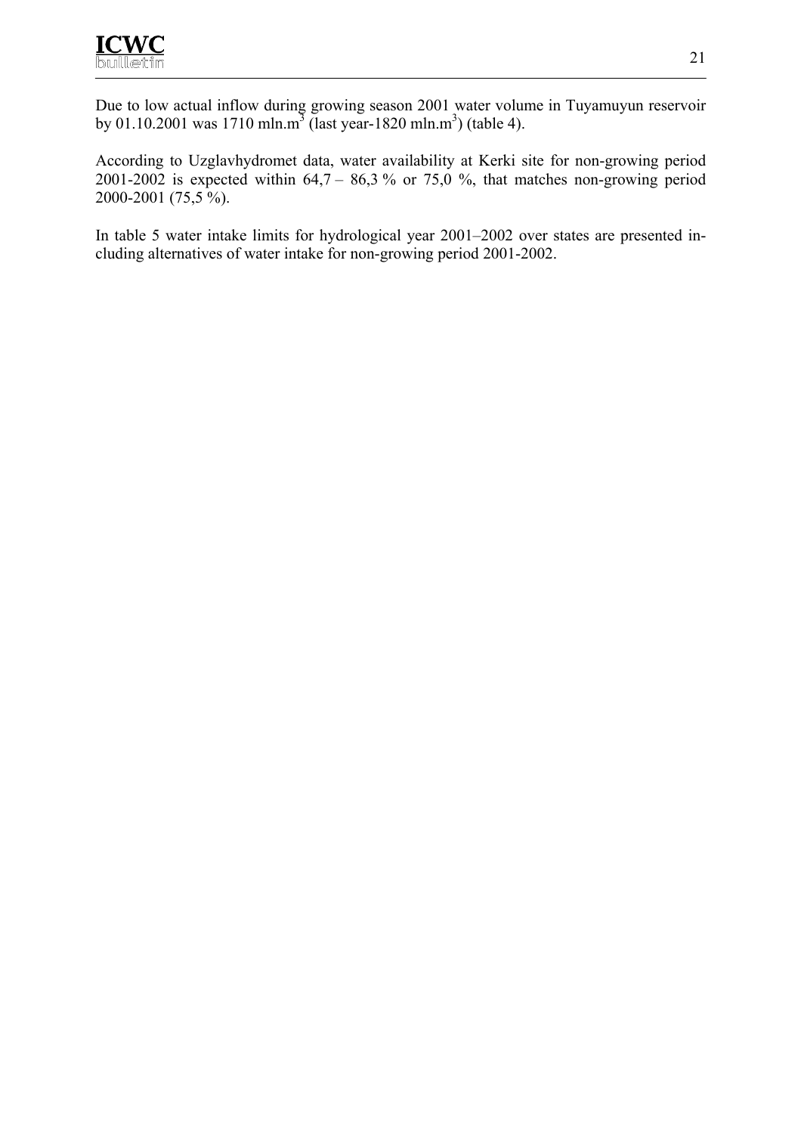Due to low actual inflow during growing season 2001 water volume in Tuyamuyun reservoir by 01.10.2001 was 1710 mln.m<sup>3</sup> (last year-1820 mln.m<sup>3</sup>) (table 4).

According to Uzglavhydromet data, water availability at Kerki site for non-growing period 2001-2002 is expected within  $64.7 - 86.3$  % or 75.0 %, that matches non-growing period 2000-2001 (75,5 %).

In table 5 water intake limits for hydrological year 2001–2002 over states are presented including alternatives of water intake for non-growing period 2001-2002.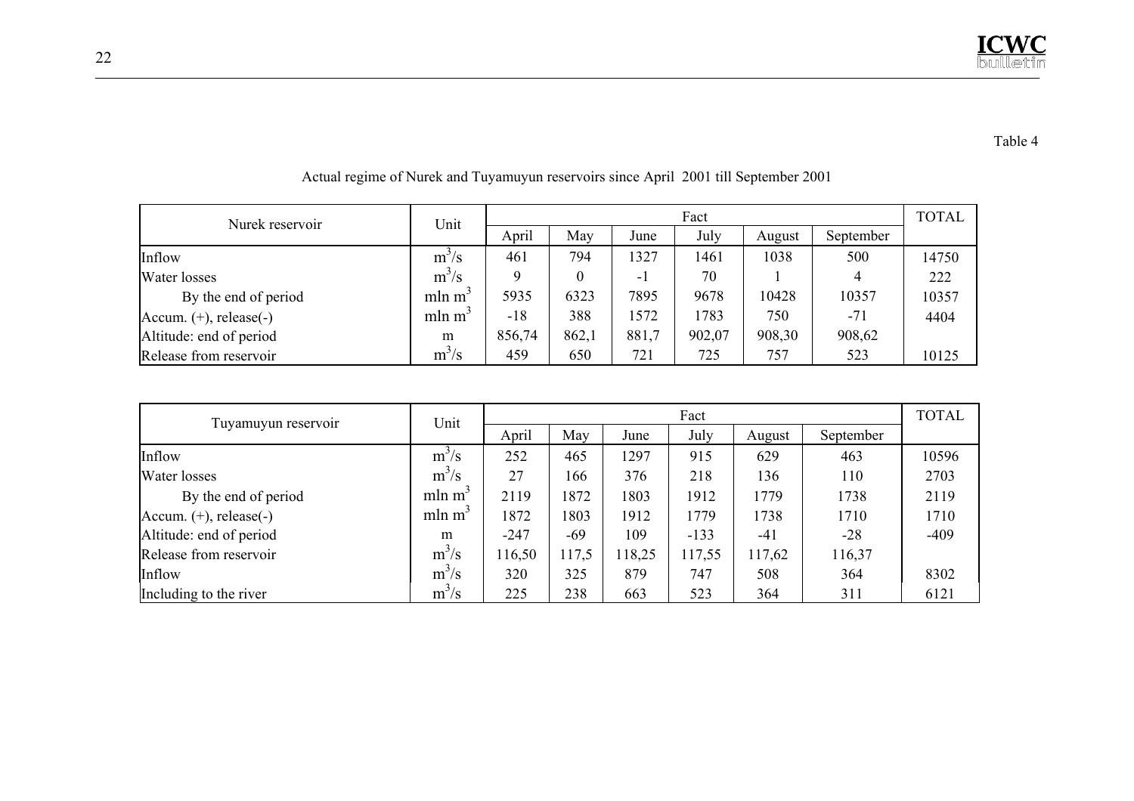#### Table 4

| Nurek reservoir              | Unit               |        | <b>TOTAL</b> |       |        |        |           |       |
|------------------------------|--------------------|--------|--------------|-------|--------|--------|-----------|-------|
|                              |                    | April  | May          | June  | July   | August | September |       |
| Inflow                       | $m^3/s$            | 461    | 794          | 1327  | 1461   | 1038   | 500       | 14750 |
| Water losses                 | $m^3/s$            |        | $\theta$     | - 1   | 70     |        | 4         | 222   |
| By the end of period         | mln m <sup>3</sup> | 5935   | 6323         | 7895  | 9678   | 10428  | 10357     | 10357 |
| Accum. $(+)$ , release $(-)$ | mln m <sup>3</sup> | $-18$  | 388          | 1572  | 1783   | 750    | $-71$     | 4404  |
| Altitude: end of period      | m                  | 856,74 | 862,1        | 881,7 | 902,07 | 908,30 | 908,62    |       |
| Release from reservoir       | $m^3/s$            | 459    | 650          | 721   | 725    | 757    | 523       | 10125 |

Actual regime of Nurek and Tuyamuyun reservoirs since April 2001 till September 2001

|                              | Unit               |        | Fact  |        |        |        |           |        |  |
|------------------------------|--------------------|--------|-------|--------|--------|--------|-----------|--------|--|
| Tuyamuyun reservoir          |                    | April  | May   | June   | July   | August | September |        |  |
| Inflow                       | $m^3/s$            | 252    | 465   | 1297   | 915    | 629    | 463       | 10596  |  |
| Water losses                 | $m^3/s$            | 27     | 166   | 376    | 218    | 136    | 110       | 2703   |  |
| By the end of period         | mln m <sup>2</sup> | 2119   | 1872  | 1803   | 1912   | 1779   | 1738      | 2119   |  |
| Accum. $(+)$ , release $(-)$ | mln m <sup>3</sup> | 1872   | 1803  | 1912   | 1779   | 1738   | 1710      | 1710   |  |
| Altitude: end of period      | m                  | $-247$ | -69   | 109    | $-133$ | $-41$  | $-28$     | $-409$ |  |
| Release from reservoir       | $m^3/s$            | 116,50 | 117,5 | 118,25 | 117,55 | 117,62 | 116,37    |        |  |
| Inflow                       | $m^3/s$            | 320    | 325   | 879    | 747    | 508    | 364       | 8302   |  |
| Including to the river       | $m^3/s$            | 225    | 238   | 663    | 523    | 364    | 311       | 6121   |  |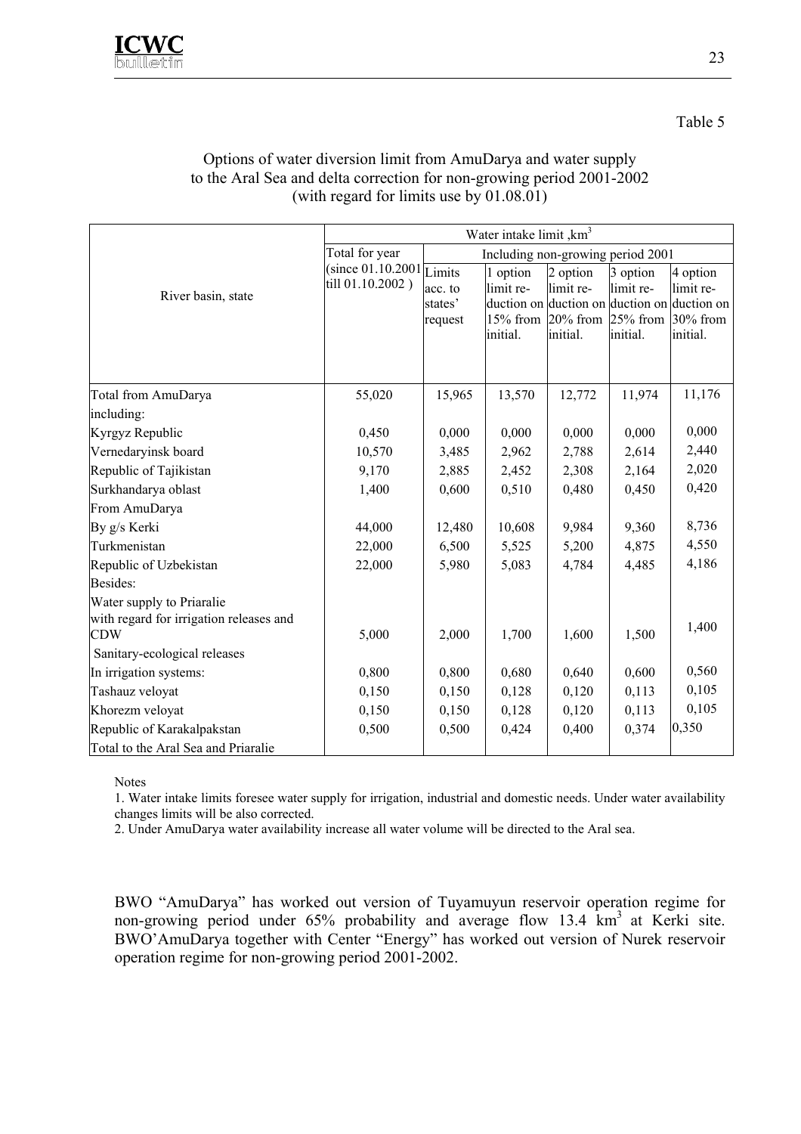#### Options of water diversion limit from AmuDarya and water supply to the Aral Sea and delta correction for non-growing period 2001-2002 (with regard for limits use by 01.08.01)

|                                                                                                                    | Water intake limit , km <sup>3</sup>           |                                   |                                   |                                                                                                                |                                   |                                               |  |  |  |
|--------------------------------------------------------------------------------------------------------------------|------------------------------------------------|-----------------------------------|-----------------------------------|----------------------------------------------------------------------------------------------------------------|-----------------------------------|-----------------------------------------------|--|--|--|
|                                                                                                                    | Total for year                                 | Including non-growing period 2001 |                                   |                                                                                                                |                                   |                                               |  |  |  |
| River basin, state                                                                                                 | (since $01.10.2001$ Limits<br>till 01.10.2002) | acc. to<br>states'<br>request     | 1 option<br>limit re-<br>initial. | 2 option<br>limit re-<br>duction on duction on duction on duction on<br>15% from 20% from 25% from<br>initial. | 3 option<br>limit re-<br>initial. | 4 option<br>limit re-<br>30% from<br>initial. |  |  |  |
| Total from AmuDarya                                                                                                | 55,020                                         | 15,965                            | 13,570                            | 12,772                                                                                                         | 11,974                            | 11,176                                        |  |  |  |
| including:                                                                                                         |                                                |                                   |                                   |                                                                                                                |                                   |                                               |  |  |  |
| Kyrgyz Republic                                                                                                    | 0,450                                          | 0,000                             | 0,000                             | 0,000                                                                                                          | 0,000                             | 0,000                                         |  |  |  |
| Vernedaryinsk board                                                                                                | 10,570                                         | 3,485                             | 2,962                             | 2,788                                                                                                          | 2,614                             | 2,440                                         |  |  |  |
| Republic of Tajikistan                                                                                             | 9,170                                          | 2,885                             | 2,452                             | 2,308                                                                                                          | 2,164                             | 2,020                                         |  |  |  |
| Surkhandarya oblast                                                                                                | 1,400                                          | 0,600                             | 0,510                             | 0,480                                                                                                          | 0,450                             | 0,420                                         |  |  |  |
| From AmuDarya                                                                                                      |                                                |                                   |                                   |                                                                                                                |                                   |                                               |  |  |  |
| By g/s Kerki                                                                                                       | 44,000                                         | 12,480                            | 10,608                            | 9,984                                                                                                          | 9,360                             | 8,736                                         |  |  |  |
| Turkmenistan                                                                                                       | 22,000                                         | 6,500                             | 5,525                             | 5,200                                                                                                          | 4,875                             | 4,550                                         |  |  |  |
| Republic of Uzbekistan                                                                                             | 22,000                                         | 5,980                             | 5,083                             | 4,784                                                                                                          | 4,485                             | 4,186                                         |  |  |  |
| Besides:                                                                                                           |                                                |                                   |                                   |                                                                                                                |                                   |                                               |  |  |  |
| Water supply to Priaralie<br>with regard for irrigation releases and<br><b>CDW</b><br>Sanitary-ecological releases | 5,000                                          | 2,000                             | 1,700                             | 1,600                                                                                                          | 1,500                             | 1,400                                         |  |  |  |
| In irrigation systems:                                                                                             | 0,800                                          | 0,800                             | 0,680                             | 0,640                                                                                                          | 0,600                             | 0,560                                         |  |  |  |
| Tashauz veloyat                                                                                                    | 0,150                                          | 0,150                             | 0,128                             | 0,120                                                                                                          | 0,113                             | 0,105                                         |  |  |  |
| Khorezm veloyat                                                                                                    | 0,150                                          | 0,150                             | 0,128                             | 0,120                                                                                                          | 0,113                             | 0,105                                         |  |  |  |
| Republic of Karakalpakstan                                                                                         | 0,500                                          | 0,500                             | 0,424                             | 0,400                                                                                                          | 0,374                             | 0,350                                         |  |  |  |
| Total to the Aral Sea and Priaralie                                                                                |                                                |                                   |                                   |                                                                                                                |                                   |                                               |  |  |  |

Notes

1. Water intake limits foresee water supply for irrigation, industrial and domestic needs. Under water availability changes limits will be also corrected.

2. Under AmuDarya water availability increase all water volume will be directed to the Aral sea.

BWO "AmuDarya" has worked out version of Tuyamuyun reservoir operation regime for non-growing period under 65% probability and average flow 13.4 km<sup>3</sup> at Kerki site. BWO'AmuDarya together with Center "Energy" has worked out version of Nurek reservoir operation regime for non-growing period 2001-2002.

Table 5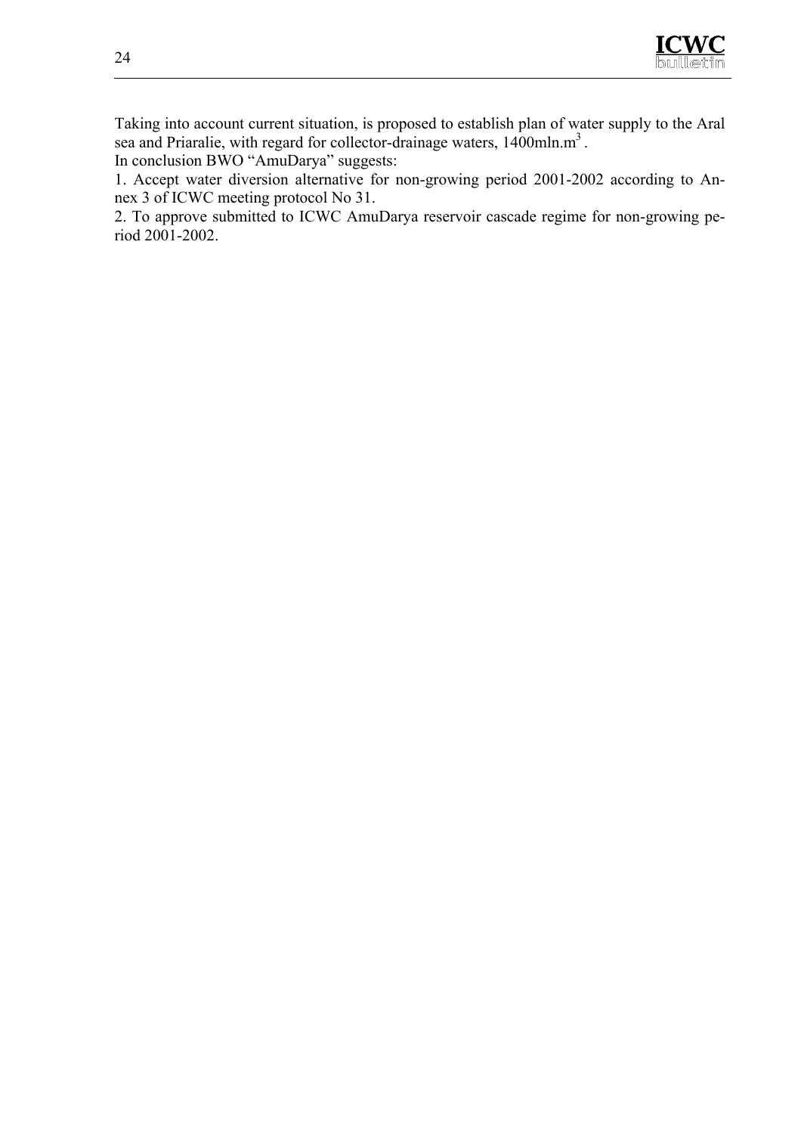

Taking into account current situation, is proposed to establish plan of water supply to the Aral sea and Priaralie, with regard for collector-drainage waters, 1400mln.m<sup>3</sup>.

In conclusion BWO "AmuDarya" suggests:

1. Accept water diversion alternative for non-growing period 2001-2002 according to Annex 3 of ICWC meeting protocol No 31.

2. To approve submitted to ICWC AmuDarya reservoir cascade regime for non-growing period 2001-2002.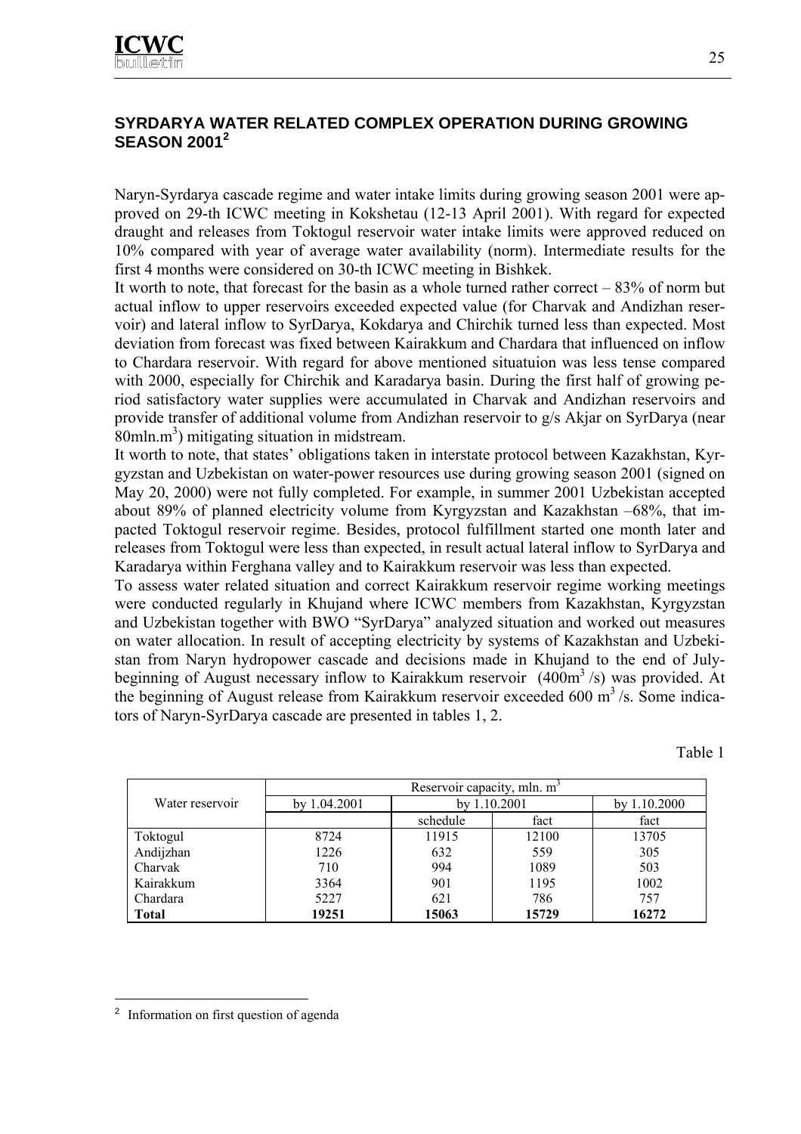#### **SYRDARYA WATER RELATED COMPLEX OPERATION DURING GROWING SEASON 2001<sup>2</sup>**

Naryn-Syrdarya cascade regime and water intake limits during growing season 2001 were approved on 29-th ICWC meeting in Kokshetau (12-13 April 2001). With regard for expected draught and releases from Toktogul reservoir water intake limits were approved reduced on 10% compared with year of average water availability (norm). Intermediate results for the first 4 months were considered on 30-th ICWC meeting in Bishkek.

It worth to note, that forecast for the basin as a whole turned rather correct  $-83%$  of norm but actual inflow to upper reservoirs exceeded expected value (for Charvak and Andizhan reservoir) and lateral inflow to SyrDarya, Kokdarya and Chirchik turned less than expected. Most deviation from forecast was fixed between Kairakkum and Chardara that influenced on inflow to Chardara reservoir. With regard for above mentioned situatuion was less tense compared with 2000, especially for Chirchik and Karadarya basin. During the first half of growing period satisfactory water supplies were accumulated in Charvak and Andizhan reservoirs and provide transfer of additional volume from Andizhan reservoir to g/s Akjar on SyrDarya (near  $80$ mln.m<sup>3</sup>) mitigating situation in midstream.

It worth to note, that states' obligations taken in interstate protocol between Kazakhstan, Kyrgyzstan and Uzbekistan on water-power resources use during growing season 2001 (signed on May 20, 2000) were not fully completed. For example, in summer 2001 Uzbekistan accepted about 89% of planned electricity volume from Kyrgyzstan and Kazakhstan –68%, that impacted Toktogul reservoir regime. Besides, protocol fulfillment started one month later and releases from Toktogul were less than expected, in result actual lateral inflow to SyrDarya and Karadarya within Ferghana valley and to Kairakkum reservoir was less than expected.

To assess water related situation and correct Kairakkum reservoir regime working meetings were conducted regularly in Khujand where ICWC members from Kazakhstan, Kyrgyzstan and Uzbekistan together with BWO "SyrDarya" analyzed situation and worked out measures on water allocation. In result of accepting electricity by systems of Kazakhstan and Uzbekistan from Naryn hydropower cascade and decisions made in Khujand to the end of Julybeginning of August necessary inflow to Kairakkum reservoir  $(400m<sup>3</sup>/s)$  was provided. At the beginning of August release from Kairakkum reservoir exceeded 600  $\text{m}^3$ /s. Some indicators of Naryn-SyrDarya cascade are presented in tables 1, 2.

Table 1

|                 | Reservoir capacity, mln. m <sup>3</sup> |                |       |              |  |  |  |  |
|-----------------|-----------------------------------------|----------------|-------|--------------|--|--|--|--|
| Water reservoir | by $1.04.2001$                          | by $1.10.2001$ |       | by 1.10.2000 |  |  |  |  |
|                 |                                         | schedule       | fact  | fact         |  |  |  |  |
| Toktogul        | 8724                                    | 11915          | 12100 | 13705        |  |  |  |  |
| Andijzhan       | 1226                                    | 632            | 559   | 305          |  |  |  |  |
| Charvak         | 710                                     | 994            | 1089  | 503          |  |  |  |  |
| Kairakkum       | 3364                                    | 901            | 1195  | 1002         |  |  |  |  |
| Chardara        | 5227                                    | 621            | 786   | 757          |  |  |  |  |
| <b>Total</b>    | 19251                                   | 15063          | 15729 | 16272        |  |  |  |  |

 $\overline{a}$ 

<sup>2</sup> Information on first question of agenda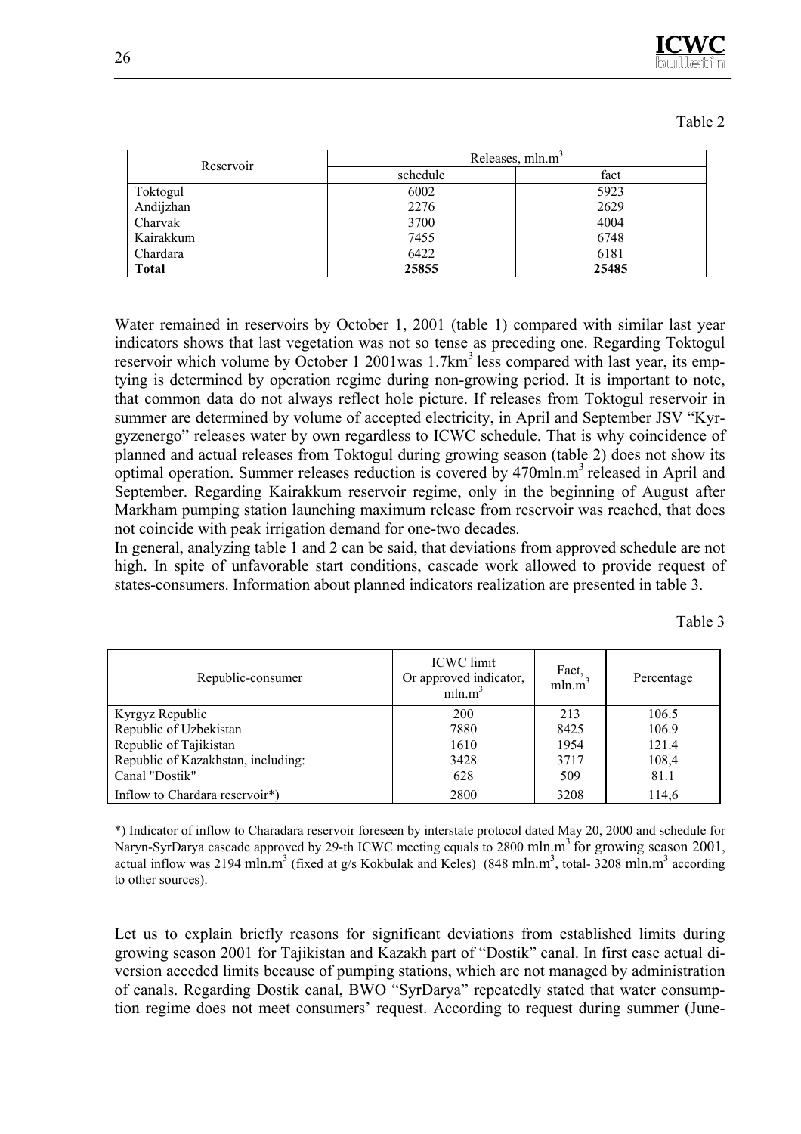

| . . |  |
|-----|--|
|     |  |

| Reservoir    |          | Releases, mln.m <sup>3</sup> |
|--------------|----------|------------------------------|
|              | schedule | fact                         |
| Toktogul     | 6002     | 5923                         |
| Andijzhan    | 2276     | 2629                         |
| Charvak      | 3700     | 4004                         |
| Kairakkum    | 7455     | 6748                         |
| Chardara     | 6422     | 6181                         |
| <b>Total</b> | 25855    | 25485                        |

Water remained in reservoirs by October 1, 2001 (table 1) compared with similar last year indicators shows that last vegetation was not so tense as preceding one. Regarding Toktogul reservoir which volume by October 1 2001 was  $1.7 \text{km}^3$  less compared with last year, its emptying is determined by operation regime during non-growing period. It is important to note, that common data do not always reflect hole picture. If releases from Toktogul reservoir in summer are determined by volume of accepted electricity, in April and September JSV "Kyrgyzenergo" releases water by own regardless to ICWC schedule. That is why coincidence of planned and actual releases from Toktogul during growing season (table 2) does not show its optimal operation. Summer releases reduction is covered by  $470$ mln.m<sup>3</sup> released in April and September. Regarding Kairakkum reservoir regime, only in the beginning of August after Markham pumping station launching maximum release from reservoir was reached, that does not coincide with peak irrigation demand for one-two decades.

In general, analyzing table 1 and 2 can be said, that deviations from approved schedule are not high. In spite of unfavorable start conditions, cascade work allowed to provide request of states-consumers. Information about planned indicators realization are presented in table 3.

| г<br>. . |  |
|----------|--|

| Republic-consumer                  | <b>ICWC</b> limit<br>Or approved indicator,<br>mln.m <sup>3</sup> | Fact,<br>mln.m <sup>3</sup> | Percentage |
|------------------------------------|-------------------------------------------------------------------|-----------------------------|------------|
| Kyrgyz Republic                    | 200                                                               | 213                         | 106.5      |
| Republic of Uzbekistan             | 7880                                                              | 8425                        | 106.9      |
| Republic of Tajikistan             | 1610                                                              | 1954                        | 121.4      |
| Republic of Kazakhstan, including: | 3428                                                              | 3717                        | 108,4      |
| Canal "Dostik"                     | 628                                                               | 509                         | 81.1       |
| Inflow to Chardara reservoir*)     | 2800                                                              | 3208                        | 114,6      |

\*) Indicator of inflow to Charadara reservoir foreseen by interstate protocol dated May 20, 2000 and schedule for Naryn-SyrDarya cascade approved by 29-th ICWC meeting equals to 2800 mln.m<sup>3</sup> for growing season 2001, actual inflow was 2194 mln.m<sup>3</sup> (fixed at g/s Kokbulak and Keles) (848 mln.m<sup>3</sup>, total-3208 mln.m<sup>3</sup> according to other sources).

Let us to explain briefly reasons for significant deviations from established limits during growing season 2001 for Tajikistan and Kazakh part of "Dostik" canal. In first case actual diversion acceded limits because of pumping stations, which are not managed by administration of canals. Regarding Dostik canal, BWO "SyrDarya" repeatedly stated that water consumption regime does not meet consumers' request. According to request during summer (June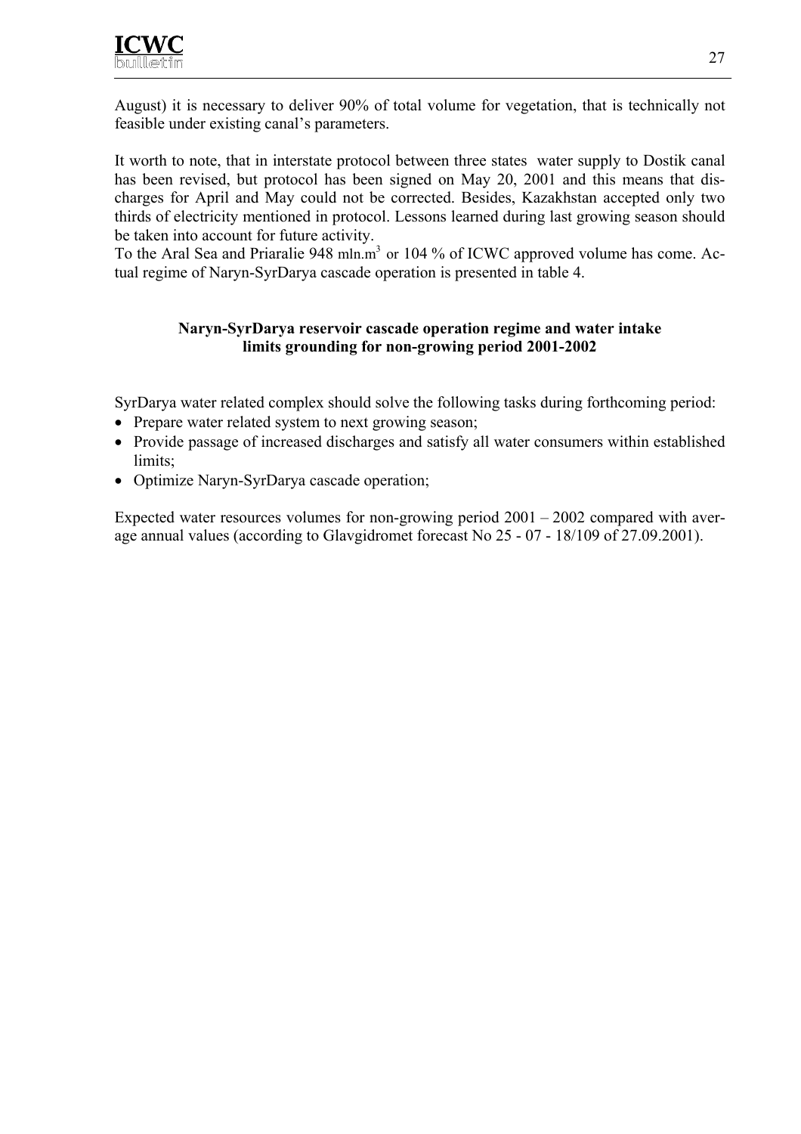August) it is necessary to deliver 90% of total volume for vegetation, that is technically not feasible under existing canal's parameters.

It worth to note, that in interstate protocol between three states water supply to Dostik canal has been revised, but protocol has been signed on May 20, 2001 and this means that discharges for April and May could not be corrected. Besides, Kazakhstan accepted only two thirds of electricity mentioned in protocol. Lessons learned during last growing season should be taken into account for future activity.

To the Aral Sea and Priaralie 948 mln.m<sup>3</sup> or 104 % of ICWC approved volume has come. Actual regime of Naryn-SyrDarya cascade operation is presented in table 4.

#### **Naryn-SyrDarya reservoir cascade operation regime and water intake limits grounding for non-growing period 2001-2002**

SyrDarya water related complex should solve the following tasks during forthcoming period:

- Prepare water related system to next growing season;
- Provide passage of increased discharges and satisfy all water consumers within established limits;
- Optimize Naryn-SyrDarya cascade operation;

Expected water resources volumes for non-growing period 2001 – 2002 compared with average annual values (according to Glavgidromet forecast No 25 - 07 - 18/109 of 27.09.2001).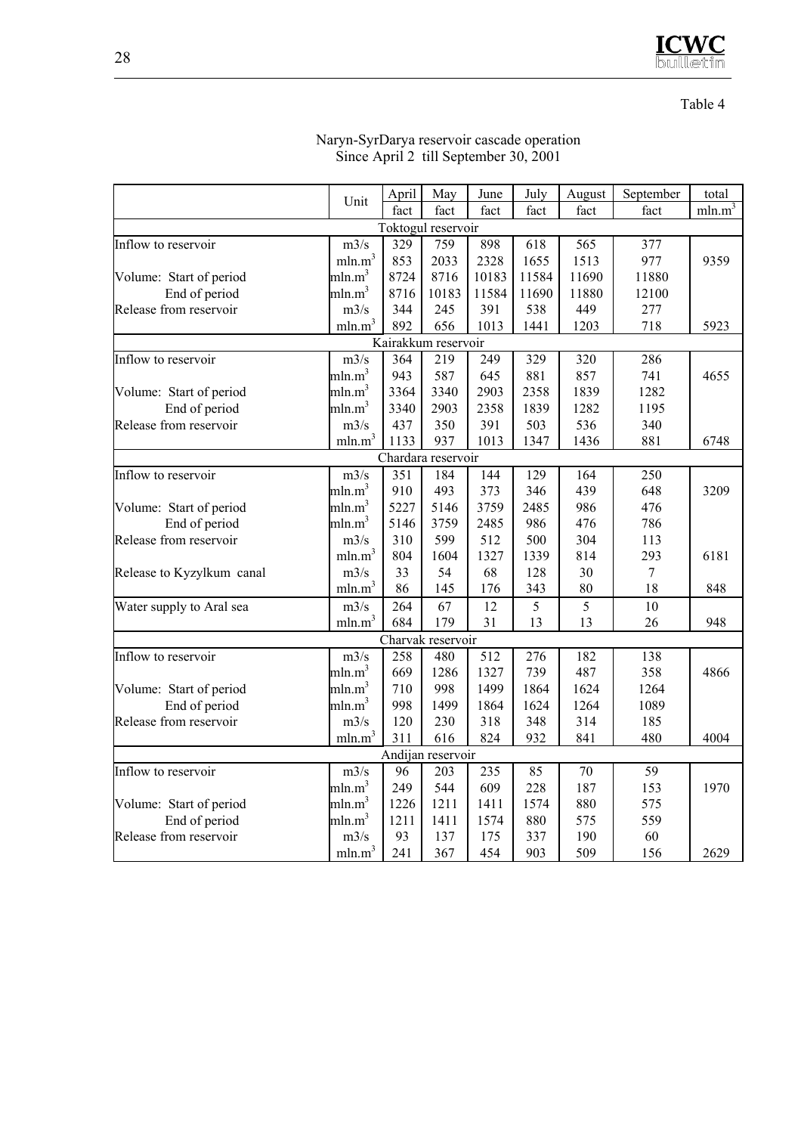

#### Table 4

| May<br>June<br>August<br>total<br>Unit<br>min.m <sup>3</sup><br>fact<br>fact<br>fact<br>fact<br>fact<br>fact<br>Toktogul reservoir<br>759<br>898<br>$m3/\overline{s}$<br>329<br>618<br>565<br>377<br>Inflow to reservoir<br>mln.m <sup>3</sup><br>853<br>2328<br>977<br>2033<br>1655<br>1513<br>9359<br>mln.m <sup>3</sup><br>8724<br>8716<br>11690<br>11880<br>10183<br>11584<br>Volume: Start of period<br>mln.m <sup>3</sup><br>End of period<br>8716<br>10183<br>11584<br>11690<br>11880<br>12100<br>391<br>538<br>Release from reservoir<br>m3/s<br>344<br>245<br>449<br>277<br>mln.m <sup>3</sup><br>892<br>656<br>1013<br>1441<br>1203<br>718<br>5923<br>Kairakkum reservoir<br>Inflow to reservoir<br>m3/s<br>364<br>219<br>249<br>329<br>286<br>320<br>mln.m <sup>3</sup><br>943<br>587<br>645<br>881<br>857<br>741<br>4655<br>2903<br>mln.m <sup>3</sup><br>3364<br>3340<br>2358<br>1839<br>1282<br>Volume: Start of period<br>mln.m <sup>3</sup><br>2903<br>1839<br>1195<br>End of period<br>3340<br>2358<br>1282<br>m3/s<br>437<br>350<br>391<br>503<br>536<br>340<br>Release from reservoir<br>mln.m <sup>3</sup><br>937<br>881<br>1133<br>1013<br>1347<br>1436<br>6748<br>Chardara reservoir<br>144<br>129<br>164<br>250<br>m3/s<br>351<br>184<br>Inflow to reservoir<br>mln.m <sup>3</sup><br>493<br>373<br>439<br>648<br>910<br>346<br>3209<br>mln.m <sup>3</sup><br>476<br>Volume: Start of period<br>5227<br>5146<br>3759<br>2485<br>986<br>mln.m <sup>3</sup><br>End of period<br>3759<br>2485<br>986<br>476<br>786<br>5146<br>599<br>310<br>512<br>500<br>304<br>113<br>Release from reservoir<br>m3/s<br>mln.m <sup>3</sup><br>804<br>293<br>1604<br>1327<br>1339<br>814<br>6181<br>33<br>54<br>68<br>128<br>$\overline{7}$<br>Release to Kyzylkum canal<br>m3/s<br>30<br>mln.m <sup>3</sup><br>86<br>145<br>176<br>343<br>80<br>18<br>848<br>5<br>5<br>m3/s<br>264<br>67<br>12<br>10<br>Water supply to Aral sea<br>mln.m <sup>3</sup><br>684<br>179<br>31<br>13<br>13<br>26<br>948<br>Charvak reservoir<br>$\overline{512}$<br>Inflow to reservoir<br>m3/s<br>258<br>480<br>276<br>182<br>138<br>mln.m <sup>3</sup><br>1327<br>739<br>487<br>358<br>669<br>1286<br>4866<br>mln.m <sup>3</sup><br>998<br>1499<br>1864<br>1624<br>1264<br>Volume: Start of period<br>710<br>mln.m <sup>3</sup><br>998<br>1499<br>1089<br>End of period<br>1864<br>1624<br>1264<br>Release from reservoir<br>m3/s<br>120<br>230<br>318<br>348<br>314<br>185<br>mln.m <sup>3</sup><br>616<br>311<br>824<br>932<br>841<br>480<br>4004<br>Andijan reservoir<br>85<br>70<br>59<br>Inflow to reservoir<br>m3/s<br>96<br>203<br>235<br>mln.m <sup>3</sup><br>249<br>544<br>609<br>228<br>187<br>153<br>1970<br>mln.m <sup>3</sup><br>Volume: Start of period<br>1226<br>1211<br>1574<br>880<br>575<br>1411<br>mln.m $^3$<br>559<br>End of period<br>1211<br>1411<br>1574<br>880<br>575<br>60<br>Release from reservoir<br>m3/s<br>93<br>137<br>175<br>337<br>190<br>mln.m <sup>3</sup><br>367<br>454<br>903<br>509<br>241<br>156<br>2629 |  |       |  |      |           |  |
|----------------------------------------------------------------------------------------------------------------------------------------------------------------------------------------------------------------------------------------------------------------------------------------------------------------------------------------------------------------------------------------------------------------------------------------------------------------------------------------------------------------------------------------------------------------------------------------------------------------------------------------------------------------------------------------------------------------------------------------------------------------------------------------------------------------------------------------------------------------------------------------------------------------------------------------------------------------------------------------------------------------------------------------------------------------------------------------------------------------------------------------------------------------------------------------------------------------------------------------------------------------------------------------------------------------------------------------------------------------------------------------------------------------------------------------------------------------------------------------------------------------------------------------------------------------------------------------------------------------------------------------------------------------------------------------------------------------------------------------------------------------------------------------------------------------------------------------------------------------------------------------------------------------------------------------------------------------------------------------------------------------------------------------------------------------------------------------------------------------------------------------------------------------------------------------------------------------------------------------------------------------------------------------------------------------------------------------------------------------------------------------------------------------------------------------------------------------------------------------------------------------------------------------------------------------------------------------------------------------------------------------------------------------------------------------------------------------------------------------------------------------------------------------------------------------------------------------------------------------------------------------------------------------------------------------------------------------------------------------------------------------------------------------|--|-------|--|------|-----------|--|
|                                                                                                                                                                                                                                                                                                                                                                                                                                                                                                                                                                                                                                                                                                                                                                                                                                                                                                                                                                                                                                                                                                                                                                                                                                                                                                                                                                                                                                                                                                                                                                                                                                                                                                                                                                                                                                                                                                                                                                                                                                                                                                                                                                                                                                                                                                                                                                                                                                                                                                                                                                                                                                                                                                                                                                                                                                                                                                                                                                                                                                        |  | April |  | July | September |  |
|                                                                                                                                                                                                                                                                                                                                                                                                                                                                                                                                                                                                                                                                                                                                                                                                                                                                                                                                                                                                                                                                                                                                                                                                                                                                                                                                                                                                                                                                                                                                                                                                                                                                                                                                                                                                                                                                                                                                                                                                                                                                                                                                                                                                                                                                                                                                                                                                                                                                                                                                                                                                                                                                                                                                                                                                                                                                                                                                                                                                                                        |  |       |  |      |           |  |
|                                                                                                                                                                                                                                                                                                                                                                                                                                                                                                                                                                                                                                                                                                                                                                                                                                                                                                                                                                                                                                                                                                                                                                                                                                                                                                                                                                                                                                                                                                                                                                                                                                                                                                                                                                                                                                                                                                                                                                                                                                                                                                                                                                                                                                                                                                                                                                                                                                                                                                                                                                                                                                                                                                                                                                                                                                                                                                                                                                                                                                        |  |       |  |      |           |  |
|                                                                                                                                                                                                                                                                                                                                                                                                                                                                                                                                                                                                                                                                                                                                                                                                                                                                                                                                                                                                                                                                                                                                                                                                                                                                                                                                                                                                                                                                                                                                                                                                                                                                                                                                                                                                                                                                                                                                                                                                                                                                                                                                                                                                                                                                                                                                                                                                                                                                                                                                                                                                                                                                                                                                                                                                                                                                                                                                                                                                                                        |  |       |  |      |           |  |
|                                                                                                                                                                                                                                                                                                                                                                                                                                                                                                                                                                                                                                                                                                                                                                                                                                                                                                                                                                                                                                                                                                                                                                                                                                                                                                                                                                                                                                                                                                                                                                                                                                                                                                                                                                                                                                                                                                                                                                                                                                                                                                                                                                                                                                                                                                                                                                                                                                                                                                                                                                                                                                                                                                                                                                                                                                                                                                                                                                                                                                        |  |       |  |      |           |  |
|                                                                                                                                                                                                                                                                                                                                                                                                                                                                                                                                                                                                                                                                                                                                                                                                                                                                                                                                                                                                                                                                                                                                                                                                                                                                                                                                                                                                                                                                                                                                                                                                                                                                                                                                                                                                                                                                                                                                                                                                                                                                                                                                                                                                                                                                                                                                                                                                                                                                                                                                                                                                                                                                                                                                                                                                                                                                                                                                                                                                                                        |  |       |  |      |           |  |
|                                                                                                                                                                                                                                                                                                                                                                                                                                                                                                                                                                                                                                                                                                                                                                                                                                                                                                                                                                                                                                                                                                                                                                                                                                                                                                                                                                                                                                                                                                                                                                                                                                                                                                                                                                                                                                                                                                                                                                                                                                                                                                                                                                                                                                                                                                                                                                                                                                                                                                                                                                                                                                                                                                                                                                                                                                                                                                                                                                                                                                        |  |       |  |      |           |  |
|                                                                                                                                                                                                                                                                                                                                                                                                                                                                                                                                                                                                                                                                                                                                                                                                                                                                                                                                                                                                                                                                                                                                                                                                                                                                                                                                                                                                                                                                                                                                                                                                                                                                                                                                                                                                                                                                                                                                                                                                                                                                                                                                                                                                                                                                                                                                                                                                                                                                                                                                                                                                                                                                                                                                                                                                                                                                                                                                                                                                                                        |  |       |  |      |           |  |
|                                                                                                                                                                                                                                                                                                                                                                                                                                                                                                                                                                                                                                                                                                                                                                                                                                                                                                                                                                                                                                                                                                                                                                                                                                                                                                                                                                                                                                                                                                                                                                                                                                                                                                                                                                                                                                                                                                                                                                                                                                                                                                                                                                                                                                                                                                                                                                                                                                                                                                                                                                                                                                                                                                                                                                                                                                                                                                                                                                                                                                        |  |       |  |      |           |  |
|                                                                                                                                                                                                                                                                                                                                                                                                                                                                                                                                                                                                                                                                                                                                                                                                                                                                                                                                                                                                                                                                                                                                                                                                                                                                                                                                                                                                                                                                                                                                                                                                                                                                                                                                                                                                                                                                                                                                                                                                                                                                                                                                                                                                                                                                                                                                                                                                                                                                                                                                                                                                                                                                                                                                                                                                                                                                                                                                                                                                                                        |  |       |  |      |           |  |
|                                                                                                                                                                                                                                                                                                                                                                                                                                                                                                                                                                                                                                                                                                                                                                                                                                                                                                                                                                                                                                                                                                                                                                                                                                                                                                                                                                                                                                                                                                                                                                                                                                                                                                                                                                                                                                                                                                                                                                                                                                                                                                                                                                                                                                                                                                                                                                                                                                                                                                                                                                                                                                                                                                                                                                                                                                                                                                                                                                                                                                        |  |       |  |      |           |  |
|                                                                                                                                                                                                                                                                                                                                                                                                                                                                                                                                                                                                                                                                                                                                                                                                                                                                                                                                                                                                                                                                                                                                                                                                                                                                                                                                                                                                                                                                                                                                                                                                                                                                                                                                                                                                                                                                                                                                                                                                                                                                                                                                                                                                                                                                                                                                                                                                                                                                                                                                                                                                                                                                                                                                                                                                                                                                                                                                                                                                                                        |  |       |  |      |           |  |
|                                                                                                                                                                                                                                                                                                                                                                                                                                                                                                                                                                                                                                                                                                                                                                                                                                                                                                                                                                                                                                                                                                                                                                                                                                                                                                                                                                                                                                                                                                                                                                                                                                                                                                                                                                                                                                                                                                                                                                                                                                                                                                                                                                                                                                                                                                                                                                                                                                                                                                                                                                                                                                                                                                                                                                                                                                                                                                                                                                                                                                        |  |       |  |      |           |  |
|                                                                                                                                                                                                                                                                                                                                                                                                                                                                                                                                                                                                                                                                                                                                                                                                                                                                                                                                                                                                                                                                                                                                                                                                                                                                                                                                                                                                                                                                                                                                                                                                                                                                                                                                                                                                                                                                                                                                                                                                                                                                                                                                                                                                                                                                                                                                                                                                                                                                                                                                                                                                                                                                                                                                                                                                                                                                                                                                                                                                                                        |  |       |  |      |           |  |
|                                                                                                                                                                                                                                                                                                                                                                                                                                                                                                                                                                                                                                                                                                                                                                                                                                                                                                                                                                                                                                                                                                                                                                                                                                                                                                                                                                                                                                                                                                                                                                                                                                                                                                                                                                                                                                                                                                                                                                                                                                                                                                                                                                                                                                                                                                                                                                                                                                                                                                                                                                                                                                                                                                                                                                                                                                                                                                                                                                                                                                        |  |       |  |      |           |  |
|                                                                                                                                                                                                                                                                                                                                                                                                                                                                                                                                                                                                                                                                                                                                                                                                                                                                                                                                                                                                                                                                                                                                                                                                                                                                                                                                                                                                                                                                                                                                                                                                                                                                                                                                                                                                                                                                                                                                                                                                                                                                                                                                                                                                                                                                                                                                                                                                                                                                                                                                                                                                                                                                                                                                                                                                                                                                                                                                                                                                                                        |  |       |  |      |           |  |
|                                                                                                                                                                                                                                                                                                                                                                                                                                                                                                                                                                                                                                                                                                                                                                                                                                                                                                                                                                                                                                                                                                                                                                                                                                                                                                                                                                                                                                                                                                                                                                                                                                                                                                                                                                                                                                                                                                                                                                                                                                                                                                                                                                                                                                                                                                                                                                                                                                                                                                                                                                                                                                                                                                                                                                                                                                                                                                                                                                                                                                        |  |       |  |      |           |  |
|                                                                                                                                                                                                                                                                                                                                                                                                                                                                                                                                                                                                                                                                                                                                                                                                                                                                                                                                                                                                                                                                                                                                                                                                                                                                                                                                                                                                                                                                                                                                                                                                                                                                                                                                                                                                                                                                                                                                                                                                                                                                                                                                                                                                                                                                                                                                                                                                                                                                                                                                                                                                                                                                                                                                                                                                                                                                                                                                                                                                                                        |  |       |  |      |           |  |
|                                                                                                                                                                                                                                                                                                                                                                                                                                                                                                                                                                                                                                                                                                                                                                                                                                                                                                                                                                                                                                                                                                                                                                                                                                                                                                                                                                                                                                                                                                                                                                                                                                                                                                                                                                                                                                                                                                                                                                                                                                                                                                                                                                                                                                                                                                                                                                                                                                                                                                                                                                                                                                                                                                                                                                                                                                                                                                                                                                                                                                        |  |       |  |      |           |  |
|                                                                                                                                                                                                                                                                                                                                                                                                                                                                                                                                                                                                                                                                                                                                                                                                                                                                                                                                                                                                                                                                                                                                                                                                                                                                                                                                                                                                                                                                                                                                                                                                                                                                                                                                                                                                                                                                                                                                                                                                                                                                                                                                                                                                                                                                                                                                                                                                                                                                                                                                                                                                                                                                                                                                                                                                                                                                                                                                                                                                                                        |  |       |  |      |           |  |
|                                                                                                                                                                                                                                                                                                                                                                                                                                                                                                                                                                                                                                                                                                                                                                                                                                                                                                                                                                                                                                                                                                                                                                                                                                                                                                                                                                                                                                                                                                                                                                                                                                                                                                                                                                                                                                                                                                                                                                                                                                                                                                                                                                                                                                                                                                                                                                                                                                                                                                                                                                                                                                                                                                                                                                                                                                                                                                                                                                                                                                        |  |       |  |      |           |  |
|                                                                                                                                                                                                                                                                                                                                                                                                                                                                                                                                                                                                                                                                                                                                                                                                                                                                                                                                                                                                                                                                                                                                                                                                                                                                                                                                                                                                                                                                                                                                                                                                                                                                                                                                                                                                                                                                                                                                                                                                                                                                                                                                                                                                                                                                                                                                                                                                                                                                                                                                                                                                                                                                                                                                                                                                                                                                                                                                                                                                                                        |  |       |  |      |           |  |
|                                                                                                                                                                                                                                                                                                                                                                                                                                                                                                                                                                                                                                                                                                                                                                                                                                                                                                                                                                                                                                                                                                                                                                                                                                                                                                                                                                                                                                                                                                                                                                                                                                                                                                                                                                                                                                                                                                                                                                                                                                                                                                                                                                                                                                                                                                                                                                                                                                                                                                                                                                                                                                                                                                                                                                                                                                                                                                                                                                                                                                        |  |       |  |      |           |  |
|                                                                                                                                                                                                                                                                                                                                                                                                                                                                                                                                                                                                                                                                                                                                                                                                                                                                                                                                                                                                                                                                                                                                                                                                                                                                                                                                                                                                                                                                                                                                                                                                                                                                                                                                                                                                                                                                                                                                                                                                                                                                                                                                                                                                                                                                                                                                                                                                                                                                                                                                                                                                                                                                                                                                                                                                                                                                                                                                                                                                                                        |  |       |  |      |           |  |
|                                                                                                                                                                                                                                                                                                                                                                                                                                                                                                                                                                                                                                                                                                                                                                                                                                                                                                                                                                                                                                                                                                                                                                                                                                                                                                                                                                                                                                                                                                                                                                                                                                                                                                                                                                                                                                                                                                                                                                                                                                                                                                                                                                                                                                                                                                                                                                                                                                                                                                                                                                                                                                                                                                                                                                                                                                                                                                                                                                                                                                        |  |       |  |      |           |  |
|                                                                                                                                                                                                                                                                                                                                                                                                                                                                                                                                                                                                                                                                                                                                                                                                                                                                                                                                                                                                                                                                                                                                                                                                                                                                                                                                                                                                                                                                                                                                                                                                                                                                                                                                                                                                                                                                                                                                                                                                                                                                                                                                                                                                                                                                                                                                                                                                                                                                                                                                                                                                                                                                                                                                                                                                                                                                                                                                                                                                                                        |  |       |  |      |           |  |
|                                                                                                                                                                                                                                                                                                                                                                                                                                                                                                                                                                                                                                                                                                                                                                                                                                                                                                                                                                                                                                                                                                                                                                                                                                                                                                                                                                                                                                                                                                                                                                                                                                                                                                                                                                                                                                                                                                                                                                                                                                                                                                                                                                                                                                                                                                                                                                                                                                                                                                                                                                                                                                                                                                                                                                                                                                                                                                                                                                                                                                        |  |       |  |      |           |  |
|                                                                                                                                                                                                                                                                                                                                                                                                                                                                                                                                                                                                                                                                                                                                                                                                                                                                                                                                                                                                                                                                                                                                                                                                                                                                                                                                                                                                                                                                                                                                                                                                                                                                                                                                                                                                                                                                                                                                                                                                                                                                                                                                                                                                                                                                                                                                                                                                                                                                                                                                                                                                                                                                                                                                                                                                                                                                                                                                                                                                                                        |  |       |  |      |           |  |
|                                                                                                                                                                                                                                                                                                                                                                                                                                                                                                                                                                                                                                                                                                                                                                                                                                                                                                                                                                                                                                                                                                                                                                                                                                                                                                                                                                                                                                                                                                                                                                                                                                                                                                                                                                                                                                                                                                                                                                                                                                                                                                                                                                                                                                                                                                                                                                                                                                                                                                                                                                                                                                                                                                                                                                                                                                                                                                                                                                                                                                        |  |       |  |      |           |  |
|                                                                                                                                                                                                                                                                                                                                                                                                                                                                                                                                                                                                                                                                                                                                                                                                                                                                                                                                                                                                                                                                                                                                                                                                                                                                                                                                                                                                                                                                                                                                                                                                                                                                                                                                                                                                                                                                                                                                                                                                                                                                                                                                                                                                                                                                                                                                                                                                                                                                                                                                                                                                                                                                                                                                                                                                                                                                                                                                                                                                                                        |  |       |  |      |           |  |
|                                                                                                                                                                                                                                                                                                                                                                                                                                                                                                                                                                                                                                                                                                                                                                                                                                                                                                                                                                                                                                                                                                                                                                                                                                                                                                                                                                                                                                                                                                                                                                                                                                                                                                                                                                                                                                                                                                                                                                                                                                                                                                                                                                                                                                                                                                                                                                                                                                                                                                                                                                                                                                                                                                                                                                                                                                                                                                                                                                                                                                        |  |       |  |      |           |  |
|                                                                                                                                                                                                                                                                                                                                                                                                                                                                                                                                                                                                                                                                                                                                                                                                                                                                                                                                                                                                                                                                                                                                                                                                                                                                                                                                                                                                                                                                                                                                                                                                                                                                                                                                                                                                                                                                                                                                                                                                                                                                                                                                                                                                                                                                                                                                                                                                                                                                                                                                                                                                                                                                                                                                                                                                                                                                                                                                                                                                                                        |  |       |  |      |           |  |
|                                                                                                                                                                                                                                                                                                                                                                                                                                                                                                                                                                                                                                                                                                                                                                                                                                                                                                                                                                                                                                                                                                                                                                                                                                                                                                                                                                                                                                                                                                                                                                                                                                                                                                                                                                                                                                                                                                                                                                                                                                                                                                                                                                                                                                                                                                                                                                                                                                                                                                                                                                                                                                                                                                                                                                                                                                                                                                                                                                                                                                        |  |       |  |      |           |  |
|                                                                                                                                                                                                                                                                                                                                                                                                                                                                                                                                                                                                                                                                                                                                                                                                                                                                                                                                                                                                                                                                                                                                                                                                                                                                                                                                                                                                                                                                                                                                                                                                                                                                                                                                                                                                                                                                                                                                                                                                                                                                                                                                                                                                                                                                                                                                                                                                                                                                                                                                                                                                                                                                                                                                                                                                                                                                                                                                                                                                                                        |  |       |  |      |           |  |
|                                                                                                                                                                                                                                                                                                                                                                                                                                                                                                                                                                                                                                                                                                                                                                                                                                                                                                                                                                                                                                                                                                                                                                                                                                                                                                                                                                                                                                                                                                                                                                                                                                                                                                                                                                                                                                                                                                                                                                                                                                                                                                                                                                                                                                                                                                                                                                                                                                                                                                                                                                                                                                                                                                                                                                                                                                                                                                                                                                                                                                        |  |       |  |      |           |  |
|                                                                                                                                                                                                                                                                                                                                                                                                                                                                                                                                                                                                                                                                                                                                                                                                                                                                                                                                                                                                                                                                                                                                                                                                                                                                                                                                                                                                                                                                                                                                                                                                                                                                                                                                                                                                                                                                                                                                                                                                                                                                                                                                                                                                                                                                                                                                                                                                                                                                                                                                                                                                                                                                                                                                                                                                                                                                                                                                                                                                                                        |  |       |  |      |           |  |
|                                                                                                                                                                                                                                                                                                                                                                                                                                                                                                                                                                                                                                                                                                                                                                                                                                                                                                                                                                                                                                                                                                                                                                                                                                                                                                                                                                                                                                                                                                                                                                                                                                                                                                                                                                                                                                                                                                                                                                                                                                                                                                                                                                                                                                                                                                                                                                                                                                                                                                                                                                                                                                                                                                                                                                                                                                                                                                                                                                                                                                        |  |       |  |      |           |  |
|                                                                                                                                                                                                                                                                                                                                                                                                                                                                                                                                                                                                                                                                                                                                                                                                                                                                                                                                                                                                                                                                                                                                                                                                                                                                                                                                                                                                                                                                                                                                                                                                                                                                                                                                                                                                                                                                                                                                                                                                                                                                                                                                                                                                                                                                                                                                                                                                                                                                                                                                                                                                                                                                                                                                                                                                                                                                                                                                                                                                                                        |  |       |  |      |           |  |
|                                                                                                                                                                                                                                                                                                                                                                                                                                                                                                                                                                                                                                                                                                                                                                                                                                                                                                                                                                                                                                                                                                                                                                                                                                                                                                                                                                                                                                                                                                                                                                                                                                                                                                                                                                                                                                                                                                                                                                                                                                                                                                                                                                                                                                                                                                                                                                                                                                                                                                                                                                                                                                                                                                                                                                                                                                                                                                                                                                                                                                        |  |       |  |      |           |  |
|                                                                                                                                                                                                                                                                                                                                                                                                                                                                                                                                                                                                                                                                                                                                                                                                                                                                                                                                                                                                                                                                                                                                                                                                                                                                                                                                                                                                                                                                                                                                                                                                                                                                                                                                                                                                                                                                                                                                                                                                                                                                                                                                                                                                                                                                                                                                                                                                                                                                                                                                                                                                                                                                                                                                                                                                                                                                                                                                                                                                                                        |  |       |  |      |           |  |
|                                                                                                                                                                                                                                                                                                                                                                                                                                                                                                                                                                                                                                                                                                                                                                                                                                                                                                                                                                                                                                                                                                                                                                                                                                                                                                                                                                                                                                                                                                                                                                                                                                                                                                                                                                                                                                                                                                                                                                                                                                                                                                                                                                                                                                                                                                                                                                                                                                                                                                                                                                                                                                                                                                                                                                                                                                                                                                                                                                                                                                        |  |       |  |      |           |  |

#### Naryn-SyrDarya reservoir cascade operation Since April 2 till September 30, 2001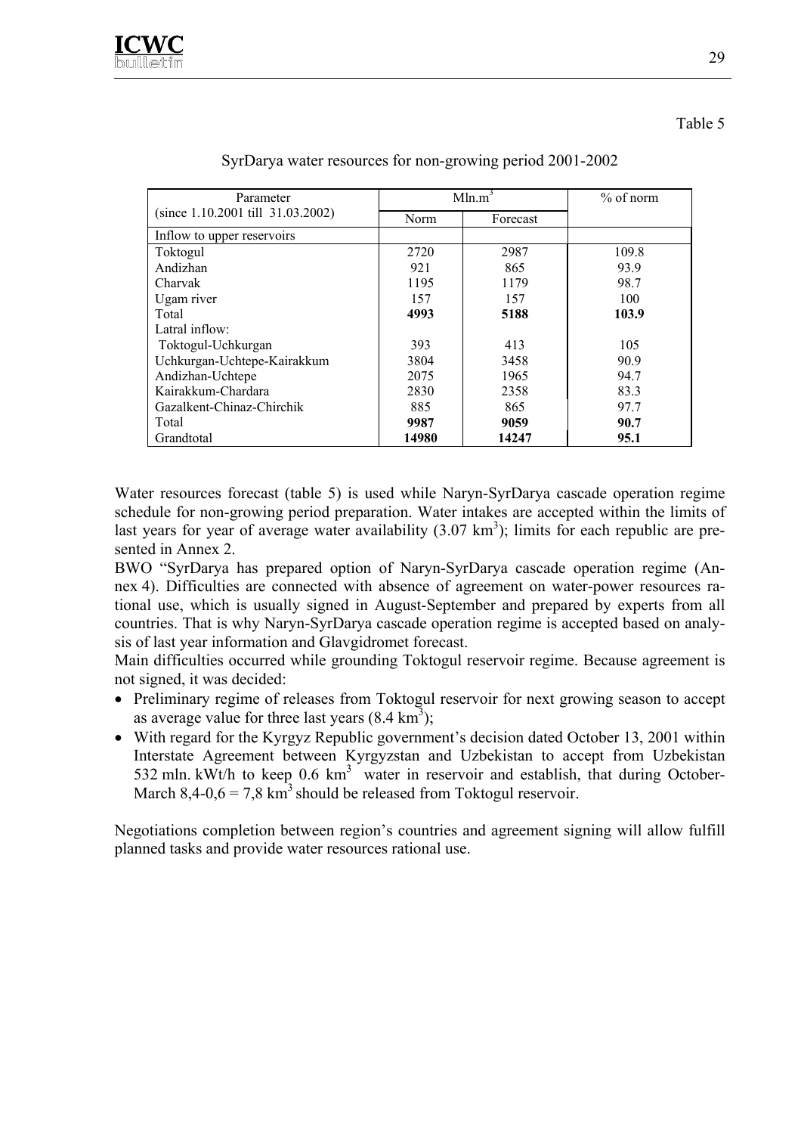| Parameter                         |             | Mln.m <sup>3</sup> | $%$ of norm |
|-----------------------------------|-------------|--------------------|-------------|
| (since 1.10.2001 till 31.03.2002) | <b>Norm</b> | Forecast           |             |
| Inflow to upper reservoirs        |             |                    |             |
| Toktogul                          | 2720        | 2987               | 109.8       |
| Andizhan                          | 921         | 865                | 93.9        |
| Charvak                           | 1195        | 1179               | 98.7        |
| Ugam river                        | 157         | 157                | 100         |
| Total                             | 4993        | 5188               | 103.9       |
| Latral inflow:                    |             |                    |             |
| Toktogul-Uchkurgan                | 393         | 413                | 105         |
| Uchkurgan-Uchtepe-Kairakkum       | 3804        | 3458               | 90.9        |
| Andizhan-Uchtepe                  | 2075        | 1965               | 94.7        |
| Kairakkum-Chardara                | 2830        | 2358               | 83.3        |
| Gazalkent-Chinaz-Chirchik         | 885         | 865                | 97.7        |
| Total                             | 9987        | 9059               | 90.7        |
| Grandtotal                        | 14980       | 14247              | 95.1        |

#### SyrDarya water resources for non-growing period 2001-2002

Water resources forecast (table 5) is used while Naryn-SyrDarya cascade operation regime schedule for non-growing period preparation. Water intakes are accepted within the limits of last years for year of average water availability  $(3.07 \text{ km}^3)$ ; limits for each republic are presented in Annex 2.

BWO "SyrDarya has prepared option of Naryn-SyrDarya cascade operation regime (Annex 4). Difficulties are connected with absence of agreement on water-power resources rational use, which is usually signed in August-September and prepared by experts from all countries. That is why Naryn-SyrDarya cascade operation regime is accepted based on analysis of last year information and Glavgidromet forecast.

Main difficulties occurred while grounding Toktogul reservoir regime. Because agreement is not signed, it was decided:

- Preliminary regime of releases from Toktogul reservoir for next growing season to accept as average value for three last years  $(8.4 \text{ km}^3)$ ;
- With regard for the Kyrgyz Republic government's decision dated October 13, 2001 within Interstate Agreement between Kyrgyzstan and Uzbekistan to accept from Uzbekistan 532 mln. kWt/h to keep  $0.6 \text{ km}^3$  water in reservoir and establish, that during October-March  $8,4-0,6=7,8 \text{ km}^3$  should be released from Toktogul reservoir.

Negotiations completion between region's countries and agreement signing will allow fulfill planned tasks and provide water resources rational use.

Table 5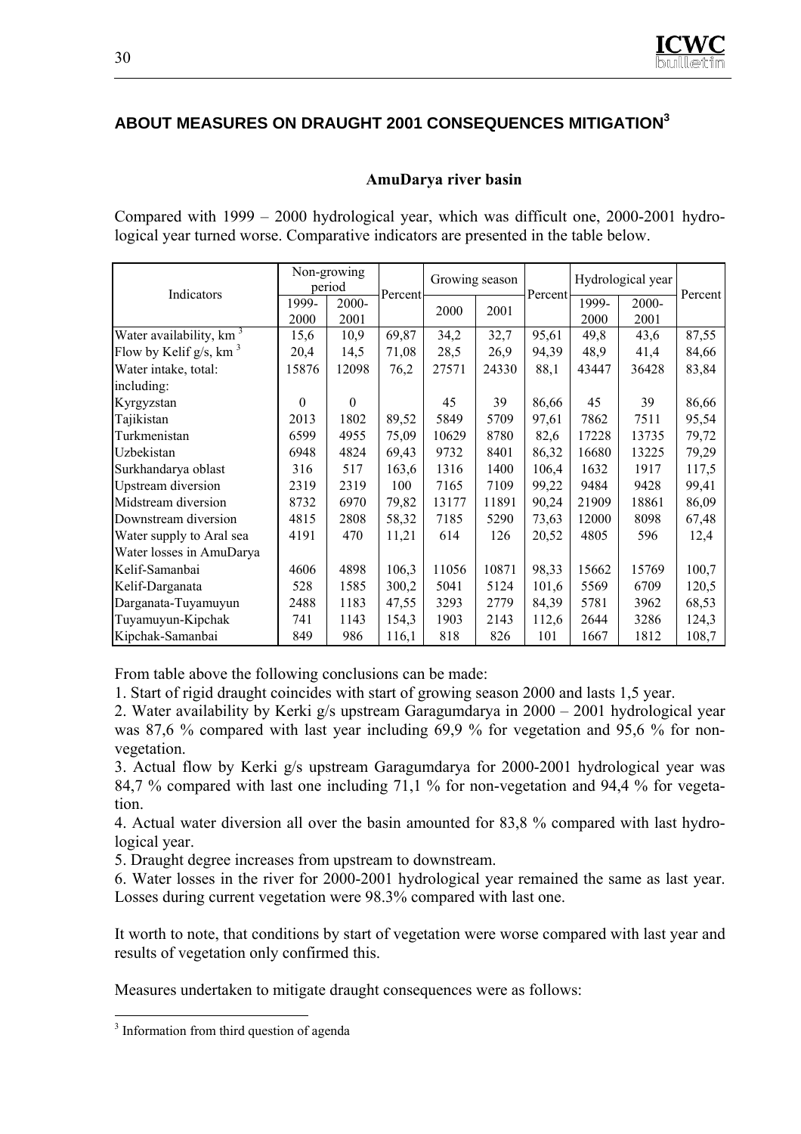## **ABOUT MEASURES ON DRAUGHT 2001 CONSEQUENCES MITIGATION3**

#### **AmuDarya river basin**

Compared with 1999 – 2000 hydrological year, which was difficult one, 2000-2001 hydrological year turned worse. Comparative indicators are presented in the table below.

|                                       |          | Non-growing<br>period |         | Growing season |       |         | Hydrological year |       | Percent |
|---------------------------------------|----------|-----------------------|---------|----------------|-------|---------|-------------------|-------|---------|
| Indicators                            | 1999-    | 2000-                 | Percent | 2000           | 2001  | Percent | 1999-             | 2000- |         |
|                                       | 2000     | 2001                  |         |                |       |         | 2000              | 2001  |         |
| Water availability, km <sup>3</sup>   | 15,6     | 10,9                  | 69,87   | 34,2           | 32,7  | 95,61   | 49,8              | 43,6  | 87,55   |
| Flow by Kelif $g/s$ , km <sup>3</sup> | 20,4     | 14,5                  | 71,08   | 28,5           | 26,9  | 94,39   | 48,9              | 41,4  | 84,66   |
| Water intake, total:                  | 15876    | 12098                 | 76,2    | 27571          | 24330 | 88,1    | 43447             | 36428 | 83,84   |
| including:                            |          |                       |         |                |       |         |                   |       |         |
| Kyrgyzstan                            | $\Omega$ | $\theta$              |         | 45             | 39    | 86,66   | 45                | 39    | 86,66   |
| Tajikistan                            | 2013     | 1802                  | 89,52   | 5849           | 5709  | 97,61   | 7862              | 7511  | 95,54   |
| Turkmenistan                          | 6599     | 4955                  | 75,09   | 10629          | 8780  | 82,6    | 17228             | 13735 | 79,72   |
| Uzbekistan                            | 6948     | 4824                  | 69,43   | 9732           | 8401  | 86,32   | 16680             | 13225 | 79,29   |
| Surkhandarya oblast                   | 316      | 517                   | 163,6   | 1316           | 1400  | 106,4   | 1632              | 1917  | 117,5   |
| <b>Upstream</b> diversion             | 2319     | 2319                  | 100     | 7165           | 7109  | 99,22   | 9484              | 9428  | 99,41   |
| Midstream diversion                   | 8732     | 6970                  | 79,82   | 13177          | 11891 | 90,24   | 21909             | 18861 | 86,09   |
| Downstream diversion                  | 4815     | 2808                  | 58,32   | 7185           | 5290  | 73,63   | 12000             | 8098  | 67,48   |
| Water supply to Aral sea              | 4191     | 470                   | 11,21   | 614            | 126   | 20,52   | 4805              | 596   | 12,4    |
| Water losses in AmuDarya              |          |                       |         |                |       |         |                   |       |         |
| Kelif-Samanbai                        | 4606     | 4898                  | 106,3   | 11056          | 10871 | 98,33   | 15662             | 15769 | 100,7   |
| Kelif-Darganata                       | 528      | 1585                  | 300,2   | 5041           | 5124  | 101,6   | 5569              | 6709  | 120,5   |
| Darganata-Tuyamuyun                   | 2488     | 1183                  | 47,55   | 3293           | 2779  | 84,39   | 5781              | 3962  | 68,53   |
| Tuyamuyun-Kipchak                     | 741      | 1143                  | 154,3   | 1903           | 2143  | 112,6   | 2644              | 3286  | 124,3   |
| Kipchak-Samanbai                      | 849      | 986                   | 116,1   | 818            | 826   | 101     | 1667              | 1812  | 108,7   |

From table above the following conclusions can be made:

1. Start of rigid draught coincides with start of growing season 2000 and lasts 1,5 year.

2. Water availability by Kerki g/s upstream Garagumdarya in 2000 – 2001 hydrological year was 87.6 % compared with last year including 69.9 % for vegetation and 95.6 % for nonvegetation.

3. Actual flow by Kerki g/s upstream Garagumdarya for 2000-2001 hydrological year was 84,7 % compared with last one including 71,1 % for non-vegetation and 94,4 % for vegetation.

4. Actual water diversion all over the basin amounted for 83,8 % compared with last hydrological year.

5. Draught degree increases from upstream to downstream.

6. Water losses in the river for 2000-2001 hydrological year remained the same as last year. Losses during current vegetation were 98.3% compared with last one.

It worth to note, that conditions by start of vegetation were worse compared with last year and results of vegetation only confirmed this.

Measures undertaken to mitigate draught consequences were as follows:

 $\overline{a}$ <sup>3</sup> Information from third question of agenda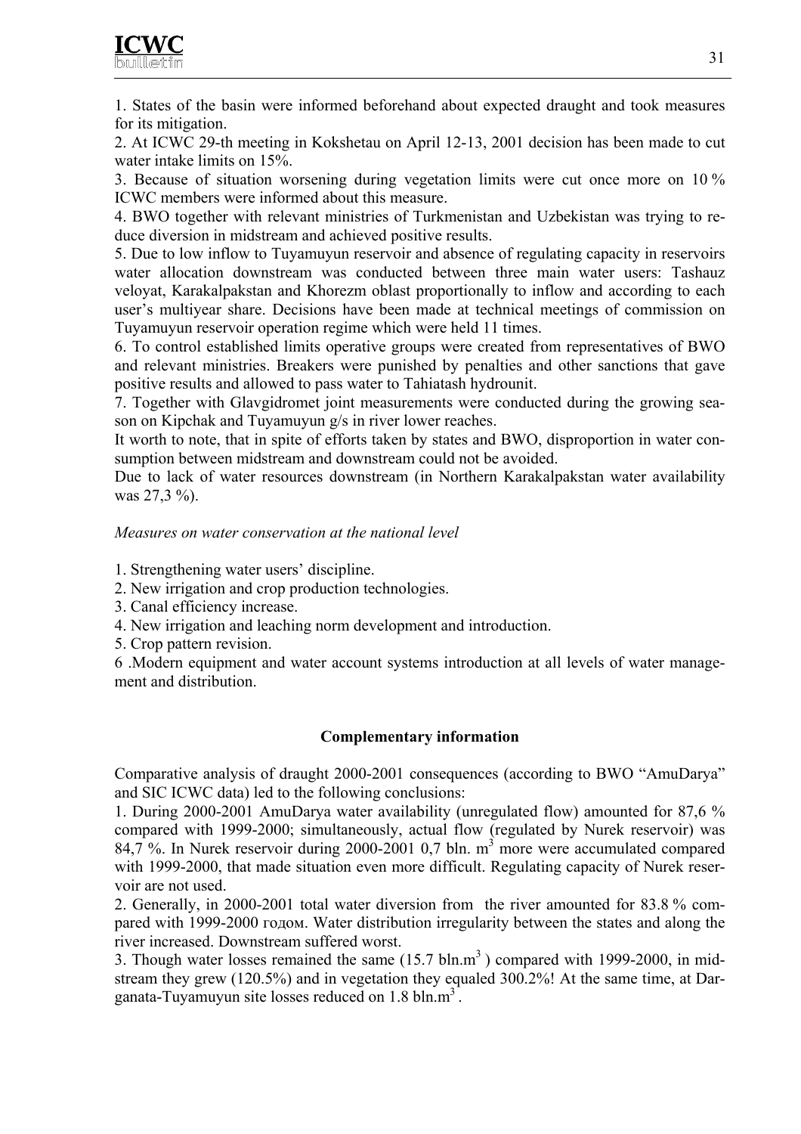

1. States of the basin were informed beforehand about expected draught and took measures for its mitigation.

2. At ICWC 29-th meeting in Kokshetau on April 12-13, 2001 decision has been made to cut water intake limits on 15%.

3. Because of situation worsening during vegetation limits were cut once more on 10 % ICWC members were informed about this measure.

4. BWO together with relevant ministries of Turkmenistan and Uzbekistan was trying to reduce diversion in midstream and achieved positive results.

5. Due to low inflow to Tuyamuyun reservoir and absence of regulating capacity in reservoirs water allocation downstream was conducted between three main water users: Tashauz veloyat, Karakalpakstan and Khorezm oblast proportionally to inflow and according to each user's multiyear share. Decisions have been made at technical meetings of commission on Tuyamuyun reservoir operation regime which were held 11 times.

6. To control established limits operative groups were created from representatives of BWO and relevant ministries. Breakers were punished by penalties and other sanctions that gave positive results and allowed to pass water to Tahiatash hydrounit.

7. Together with Glavgidromet joint measurements were conducted during the growing season on Kipchak and Tuyamuyun g/s in river lower reaches.

It worth to note, that in spite of efforts taken by states and BWO, disproportion in water consumption between midstream and downstream could not be avoided.

Due to lack of water resources downstream (in Northern Karakalpakstan water availability was 27,3 %).

#### *Measures on water conservation at the national level*

1. Strengthening water users' discipline.

- 2. New irrigation and crop production technologies.
- 3. Canal efficiency increase.
- 4. New irrigation and leaching norm development and introduction.
- 5. Crop pattern revision.

6 .Modern equipment and water account systems introduction at all levels of water management and distribution.

#### **Complementary information**

Comparative analysis of draught 2000-2001 consequences (according to BWO "AmuDarya" and SIC ICWC data) led to the following conclusions:

1. During 2000-2001 AmuDarya water availability (unregulated flow) amounted for 87,6 % compared with 1999-2000; simultaneously, actual flow (regulated by Nurek reservoir) was 84,7 %. In Nurek reservoir during 2000-2001 0,7 bln.  $m<sup>3</sup>$  more were accumulated compared with 1999-2000, that made situation even more difficult. Regulating capacity of Nurek reservoir are not used.

2. Generally, in 2000-2001 total water diversion from the river amounted for 83.8 % compared with 1999-2000 годом. Water distribution irregularity between the states and along the river increased. Downstream suffered worst.

3. Though water losses remained the same  $(15.7 \text{ bln.m}^3)$  compared with 1999-2000, in midstream they grew (120.5%) and in vegetation they equaled 300.2%! At the same time, at Darganata-Tuyamuyun site losses reduced on  $1.8 \text{ bh.m}^3$ .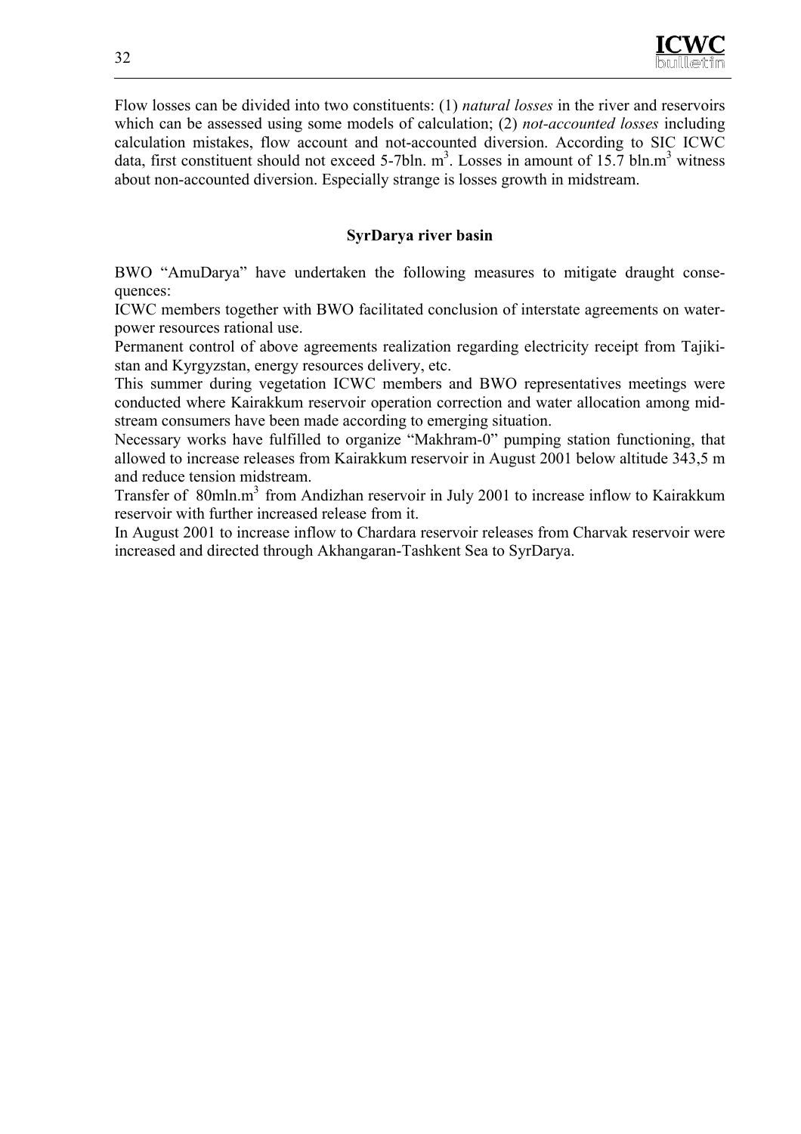

Flow losses can be divided into two constituents: (1) *natural losses* in the river and reservoirs which can be assessed using some models of calculation; (2) *not-accounted losses* including calculation mistakes, flow account and not-accounted diversion. According to SIC ICWC data, first constituent should not exceed 5-7bln.  $m^3$ . Losses in amount of 15.7 bln. $m^3$  witness about non-accounted diversion. Especially strange is losses growth in midstream.

#### **SyrDarya river basin**

BWO "AmuDarya" have undertaken the following measures to mitigate draught consequences:

ICWC members together with BWO facilitated conclusion of interstate agreements on waterpower resources rational use.

Permanent control of above agreements realization regarding electricity receipt from Tajikistan and Kyrgyzstan, energy resources delivery, etc.

This summer during vegetation ICWC members and BWO representatives meetings were conducted where Kairakkum reservoir operation correction and water allocation among midstream consumers have been made according to emerging situation.

Necessary works have fulfilled to organize "Makhram-0" pumping station functioning, that allowed to increase releases from Kairakkum reservoir in August 2001 below altitude 343,5 m and reduce tension midstream.

Transfer of 80mln.m<sup>3</sup> from Andizhan reservoir in July 2001 to increase inflow to Kairakkum reservoir with further increased release from it.

In August 2001 to increase inflow to Chardara reservoir releases from Charvak reservoir were increased and directed through Akhangaran-Tashkent Sea to SyrDarya.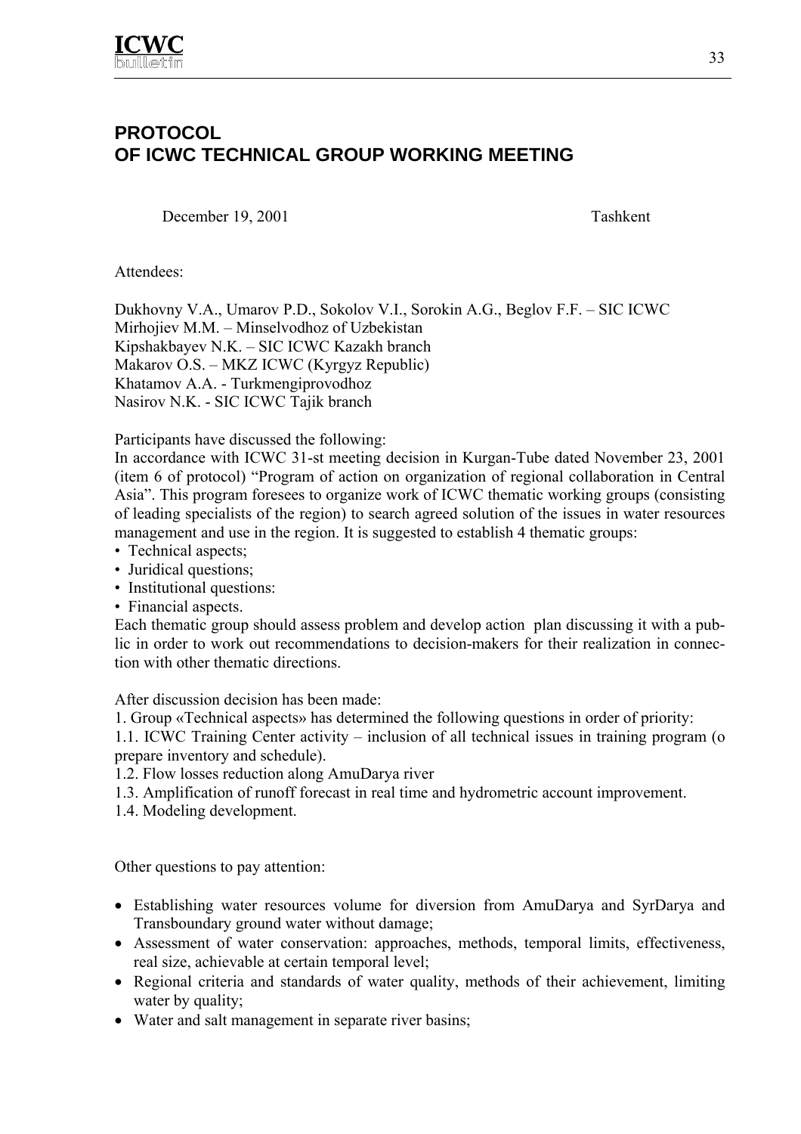

## **PROTOCOL OF ICWC TECHNICAL GROUP WORKING MEETING**

December 19, 2001 Tashkent

Attendees:

Dukhovny V.A., Umarov P.D., Sokolov V.I., Sorokin A.G., Beglov F.F. – SIC ICWC Mirhojiev M.M. – Minselvodhoz of Uzbekistan Kipshakbayev N.K. – SIC ICWC Kazakh branch Makarov O.S. – MKZ ICWC (Kyrgyz Republic) Khatamov A.A. - Turkmengiprovodhoz Nasirov N.K. - SIC ICWC Tajik branch

Participants have discussed the following:

In accordance with ICWC 31-st meeting decision in Kurgan-Tube dated November 23, 2001 (item 6 of protocol) "Program of action on organization of regional collaboration in Central Asia". This program foresees to organize work of ICWC thematic working groups (consisting of leading specialists of the region) to search agreed solution of the issues in water resources management and use in the region. It is suggested to establish 4 thematic groups:

- Technical aspects;
- Juridical questions;
- Institutional questions:
- Financial aspects.

Each thematic group should assess problem and develop action plan discussing it with a public in order to work out recommendations to decision-makers for their realization in connection with other thematic directions.

After discussion decision has been made:

1. Group «Technical aspects» has determined the following questions in order of priority:

1.1. ICWC Training Center activity – inclusion of all technical issues in training program (o prepare inventory and schedule).

- 1.2. Flow losses reduction along AmuDarya river
- 1.3. Amplification of runoff forecast in real time and hydrometric account improvement.
- 1.4. Modeling development.

Other questions to pay attention:

- Establishing water resources volume for diversion from AmuDarya and SyrDarya and Transboundary ground water without damage;
- Assessment of water conservation: approaches, methods, temporal limits, effectiveness, real size, achievable at certain temporal level;
- Regional criteria and standards of water quality, methods of their achievement, limiting water by quality;
- Water and salt management in separate river basins;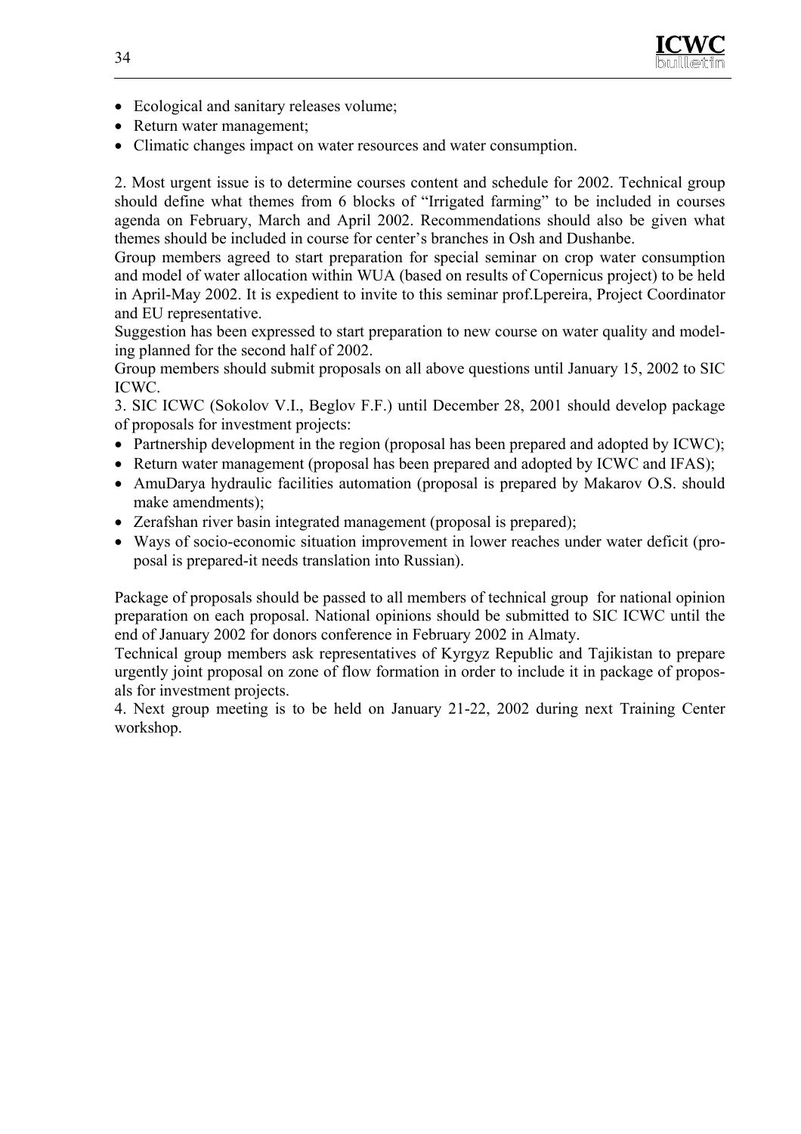

- Ecological and sanitary releases volume;
- Return water management;
- Climatic changes impact on water resources and water consumption.

2. Most urgent issue is to determine courses content and schedule for 2002. Technical group should define what themes from 6 blocks of "Irrigated farming" to be included in courses agenda on February, March and April 2002. Recommendations should also be given what themes should be included in course for center's branches in Osh and Dushanbe.

Group members agreed to start preparation for special seminar on crop water consumption and model of water allocation within WUA (based on results of Copernicus project) to be held in April-May 2002. It is expedient to invite to this seminar prof.Lpereira, Project Coordinator and EU representative.

Suggestion has been expressed to start preparation to new course on water quality and modeling planned for the second half of 2002.

Group members should submit proposals on all above questions until January 15, 2002 to SIC ICWC.

3. SIC ICWC (Sokolov V.I., Beglov F.F.) until December 28, 2001 should develop package of proposals for investment projects:

- Partnership development in the region (proposal has been prepared and adopted by ICWC);
- Return water management (proposal has been prepared and adopted by ICWC and IFAS);
- AmuDarya hydraulic facilities automation (proposal is prepared by Makarov O.S. should make amendments);
- Zerafshan river basin integrated management (proposal is prepared);
- Ways of socio-economic situation improvement in lower reaches under water deficit (proposal is prepared-it needs translation into Russian).

Package of proposals should be passed to all members of technical group for national opinion preparation on each proposal. National opinions should be submitted to SIC ICWC until the end of January 2002 for donors conference in February 2002 in Almaty.

Technical group members ask representatives of Kyrgyz Republic and Tajikistan to prepare urgently joint proposal on zone of flow formation in order to include it in package of proposals for investment projects.

4. Next group meeting is to be held on January 21-22, 2002 during next Training Center workshop.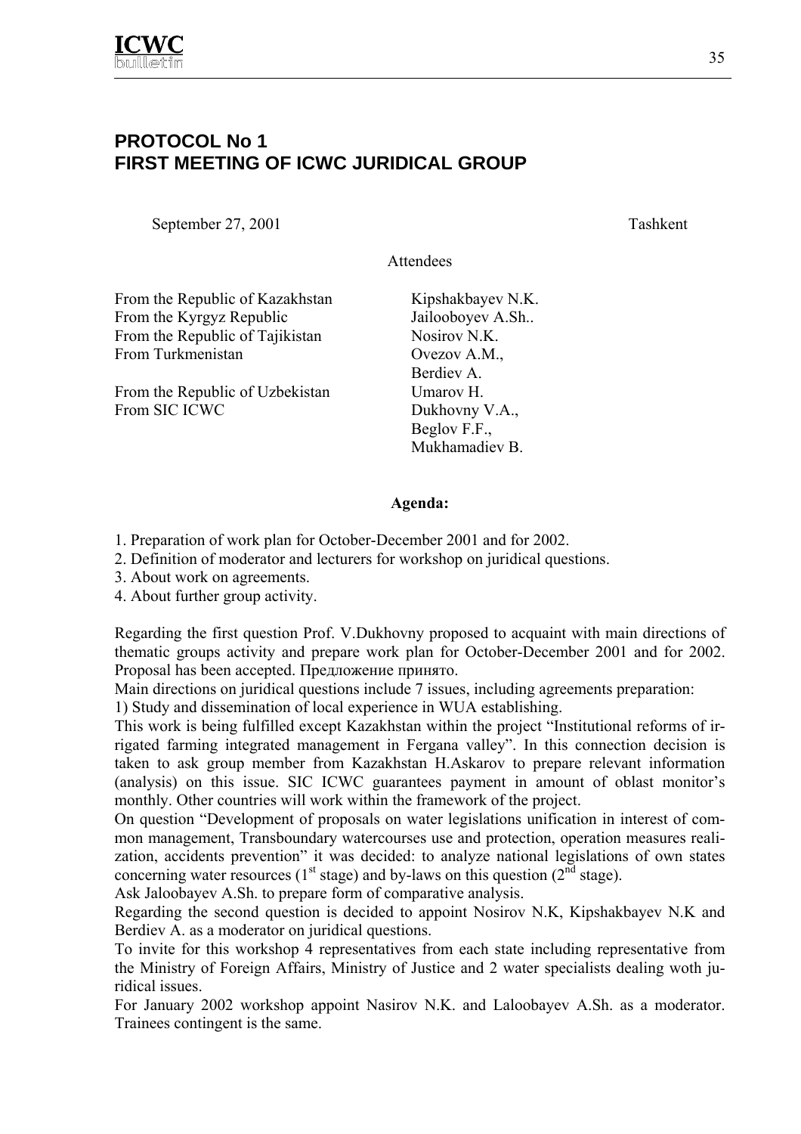

## **PROTOCOL No 1 FIRST MEETING OF ICWC JURIDICAL GROUP**

September 27, 2001 Tashkent

Attendees

From the Republic of Kazakhstan Kipshakbayev N.K. From the Kyrgyz Republic Jailooboyev A.Sh.. From the Republic of Tajikistan Nosirov N.K. From Turkmenistan **Overwhenistan** Overwhenistan

From the Republic of Uzbekistan Umarov H. From SIC ICWC Dukhovny V.A.,

Berdiev A. Beglov F.F., Mukhamadiev B.

#### **Agenda:**

- 1. Preparation of work plan for October-December 2001 and for 2002.
- 2. Definition of moderator and lecturers for workshop on juridical questions.
- 3. About work on agreements.
- 4. About further group activity.

Regarding the first question Prof. V.Dukhovny proposed to acquaint with main directions of thematic groups activity and prepare work plan for October-December 2001 and for 2002. Proposal has been accepted. Предложение принято.

Main directions on juridical questions include 7 issues, including agreements preparation:

1) Study and dissemination of local experience in WUA establishing.

This work is being fulfilled except Kazakhstan within the project "Institutional reforms of irrigated farming integrated management in Fergana valley". In this connection decision is taken to ask group member from Kazakhstan H.Askarov to prepare relevant information (analysis) on this issue. SIC ICWC guarantees payment in amount of oblast monitor's monthly. Other countries will work within the framework of the project.

On question "Development of proposals on water legislations unification in interest of common management, Transboundary watercourses use and protection, operation measures realization, accidents prevention" it was decided: to analyze national legislations of own states concerning water resources ( $1<sup>st</sup>$  stage) and by-laws on this question ( $2<sup>nd</sup>$  stage).

Ask Jaloobayev A.Sh. to prepare form of comparative analysis.

Regarding the second question is decided to appoint Nosirov N.K, Kipshakbayev N.K and Berdiev A. as a moderator on juridical questions.

To invite for this workshop 4 representatives from each state including representative from the Ministry of Foreign Affairs, Ministry of Justice and 2 water specialists dealing woth juridical issues.

For January 2002 workshop appoint Nasirov N.K. and Laloobayev A.Sh. as a moderator. Trainees contingent is the same.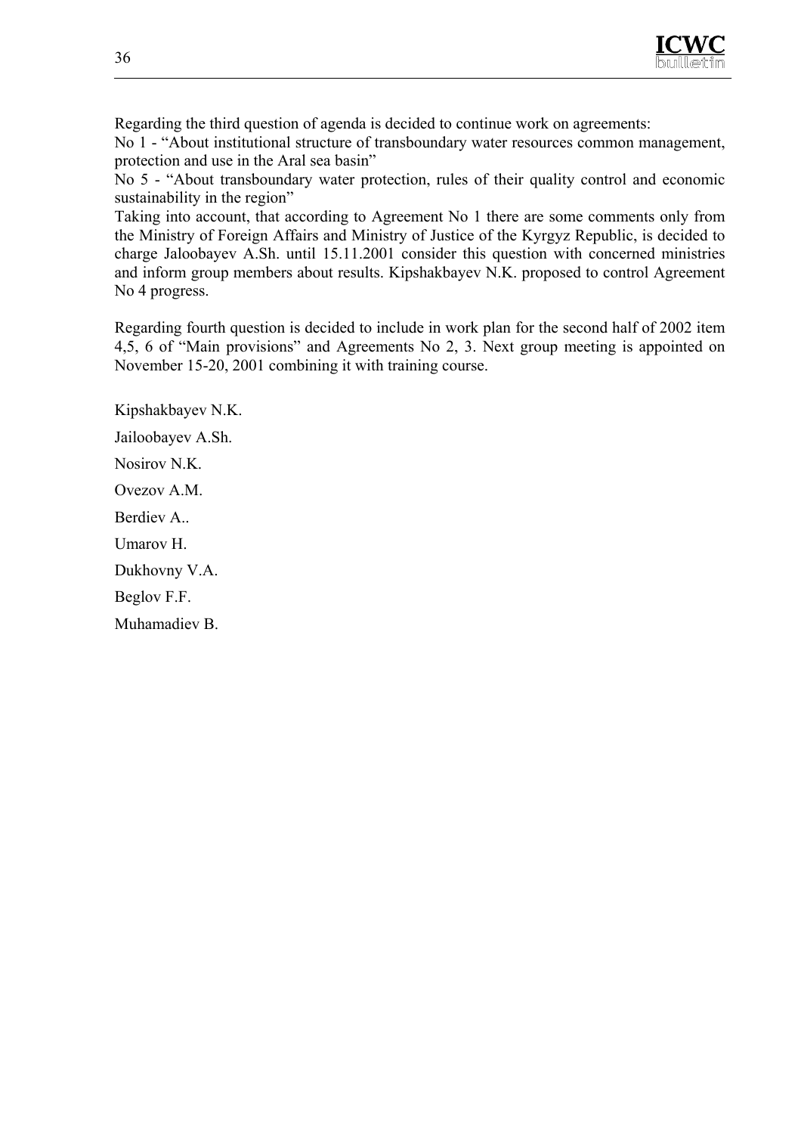

Regarding the third question of agenda is decided to continue work on agreements: No 1 - "About institutional structure of transboundary water resources common management, protection and use in the Aral sea basin"

No 5 - "About transboundary water protection, rules of their quality control and economic sustainability in the region"

Taking into account, that according to Agreement No 1 there are some comments only from the Ministry of Foreign Affairs and Ministry of Justice of the Kyrgyz Republic, is decided to charge Jaloobayev A.Sh. until 15.11.2001 consider this question with concerned ministries and inform group members about results. Kipshakbayev N.K. proposed to control Agreement No 4 progress.

Regarding fourth question is decided to include in work plan for the second half of 2002 item 4,5, 6 of "Main provisions" and Agreements No 2, 3. Next group meeting is appointed on November 15-20, 2001 combining it with training course.

Kipshakbayev N.K. Jailoobayev A.Sh.

Nosirov N.K.

Ovezov A.M.

Berdiev A.

Umarov H.

Dukhovny V.A.

Beglov F.F.

Muhamadiev B.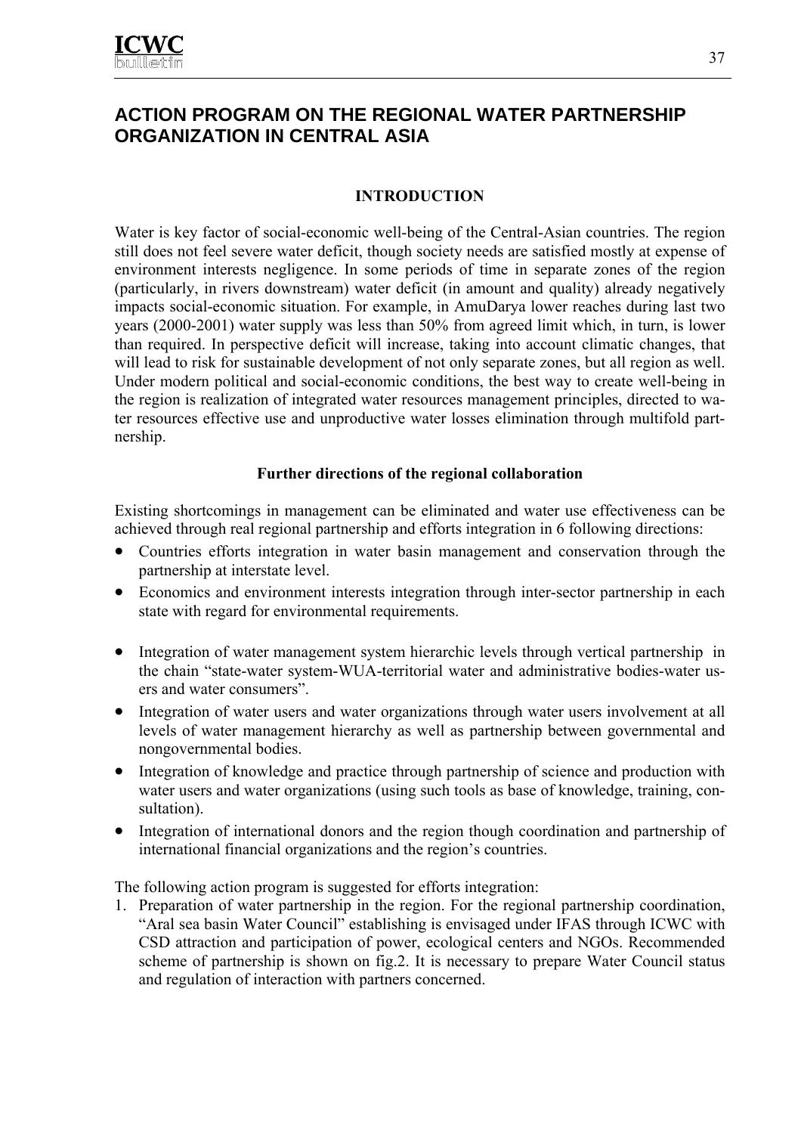# **ACTION PROGRAM ON THE REGIONAL WATER PARTNERSHIP ORGANIZATION IN CENTRAL ASIA**

## **INTRODUCTION**

Water is key factor of social-economic well-being of the Central-Asian countries. The region still does not feel severe water deficit, though society needs are satisfied mostly at expense of environment interests negligence. In some periods of time in separate zones of the region (particularly, in rivers downstream) water deficit (in amount and quality) already negatively impacts social-economic situation. For example, in AmuDarya lower reaches during last two years (2000-2001) water supply was less than 50% from agreed limit which, in turn, is lower than required. In perspective deficit will increase, taking into account climatic changes, that will lead to risk for sustainable development of not only separate zones, but all region as well. Under modern political and social-economic conditions, the best way to create well-being in the region is realization of integrated water resources management principles, directed to water resources effective use and unproductive water losses elimination through multifold partnership.

#### **Further directions of the regional collaboration**

Existing shortcomings in management can be eliminated and water use effectiveness can be achieved through real regional partnership and efforts integration in 6 following directions:

- Countries efforts integration in water basin management and conservation through the partnership at interstate level.
- Economics and environment interests integration through inter-sector partnership in each state with regard for environmental requirements.
- Integration of water management system hierarchic levels through vertical partnership in the chain "state-water system-WUA-territorial water and administrative bodies-water users and water consumers".
- Integration of water users and water organizations through water users involvement at all levels of water management hierarchy as well as partnership between governmental and nongovernmental bodies.
- Integration of knowledge and practice through partnership of science and production with water users and water organizations (using such tools as base of knowledge, training, consultation).
- Integration of international donors and the region though coordination and partnership of international financial organizations and the region's countries.

The following action program is suggested for efforts integration:

1. Preparation of water partnership in the region. For the regional partnership coordination, "Aral sea basin Water Council" establishing is envisaged under IFAS through ICWC with CSD attraction and participation of power, ecological centers and NGOs. Recommended scheme of partnership is shown on fig.2. It is necessary to prepare Water Council status and regulation of interaction with partners concerned.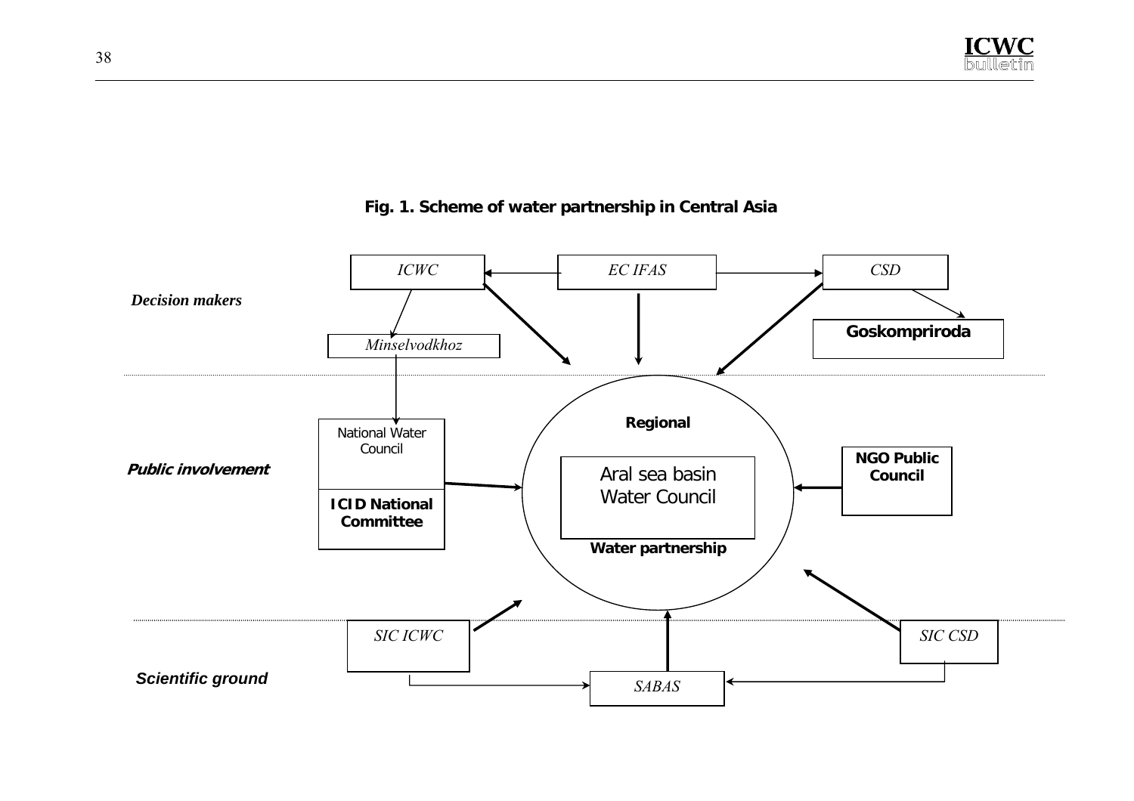

## **Fig. 1. Scheme of water partnership in Central Asia**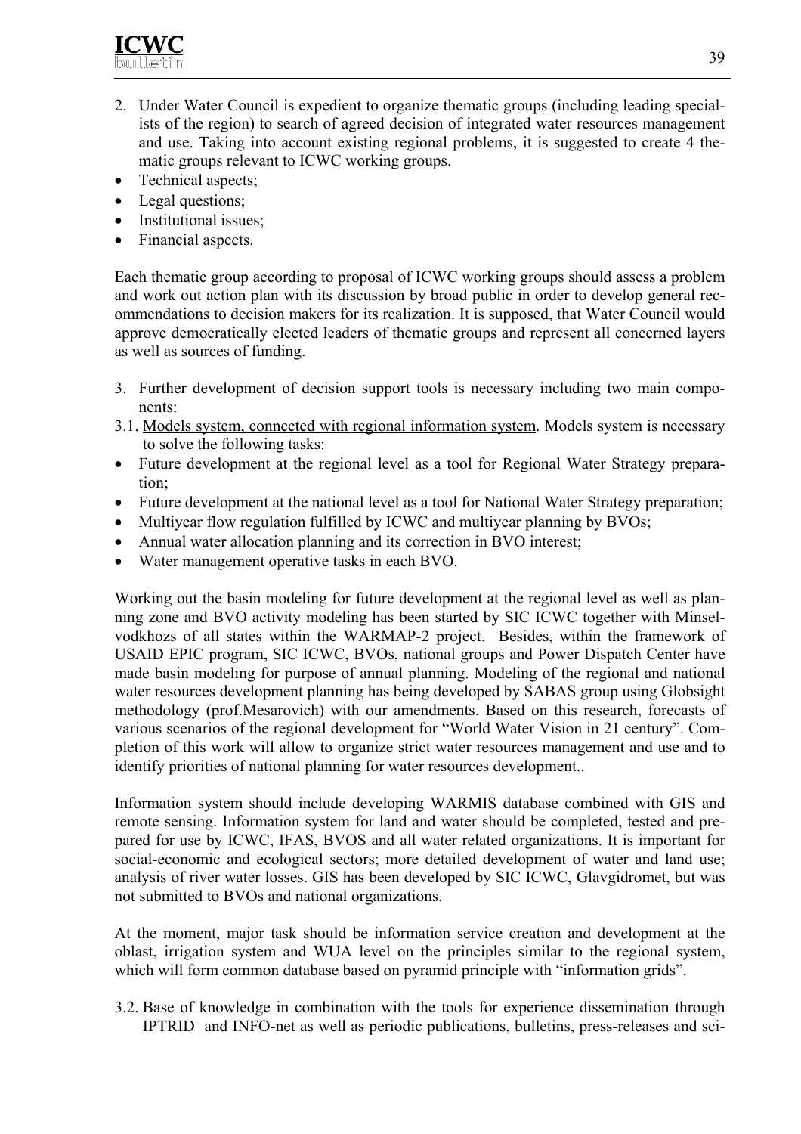

- 2. Under Water Council is expedient to organize thematic groups (including leading specialists of the region) to search of agreed decision of integrated water resources management and use. Taking into account existing regional problems, it is suggested to create 4 thematic groups relevant to ICWC working groups.
- Technical aspects;
- Legal questions;
- Institutional issues;
- Financial aspects.

Each thematic group according to proposal of ICWC working groups should assess a problem and work out action plan with its discussion by broad public in order to develop general recommendations to decision makers for its realization. It is supposed, that Water Council would approve democratically elected leaders of thematic groups and represent all concerned layers as well as sources of funding.

- 3. Further development of decision support tools is necessary including two main components:
- 3.1. Models system, connected with regional information system. Models system is necessary to solve the following tasks:
- Future development at the regional level as a tool for Regional Water Strategy preparation;
- Future development at the national level as a tool for National Water Strategy preparation;
- Multiyear flow regulation fulfilled by ICWC and multiyear planning by BVOs;
- Annual water allocation planning and its correction in BVO interest;
- Water management operative tasks in each BVO.

Working out the basin modeling for future development at the regional level as well as planning zone and BVO activity modeling has been started by SIC ICWC together with Minselvodkhozs of all states within the WARMAP-2 project. Besides, within the framework of USAID EPIC program, SIC ICWC, BVOs, national groups and Power Dispatch Center have made basin modeling for purpose of annual planning. Modeling of the regional and national water resources development planning has being developed by SABAS group using Globsight methodology (prof.Mesarovich) with our amendments. Based on this research, forecasts of various scenarios of the regional development for "World Water Vision in 21 century". Completion of this work will allow to organize strict water resources management and use and to identify priorities of national planning for water resources development..

Information system should include developing WARMIS database combined with GIS and remote sensing. Information system for land and water should be completed, tested and prepared for use by ICWC, IFAS, BVOS and all water related organizations. It is important for social-economic and ecological sectors; more detailed development of water and land use; analysis of river water losses. GIS has been developed by SIC ICWC, Glavgidromet, but was not submitted to BVOs and national organizations.

At the moment, major task should be information service creation and development at the oblast, irrigation system and WUA level on the principles similar to the regional system, which will form common database based on pyramid principle with "information grids".

3.2. Base of knowledge in combination with the tools for experience dissemination through IPTRID and INFO-net as well as periodic publications, bulletins, press-releases and sci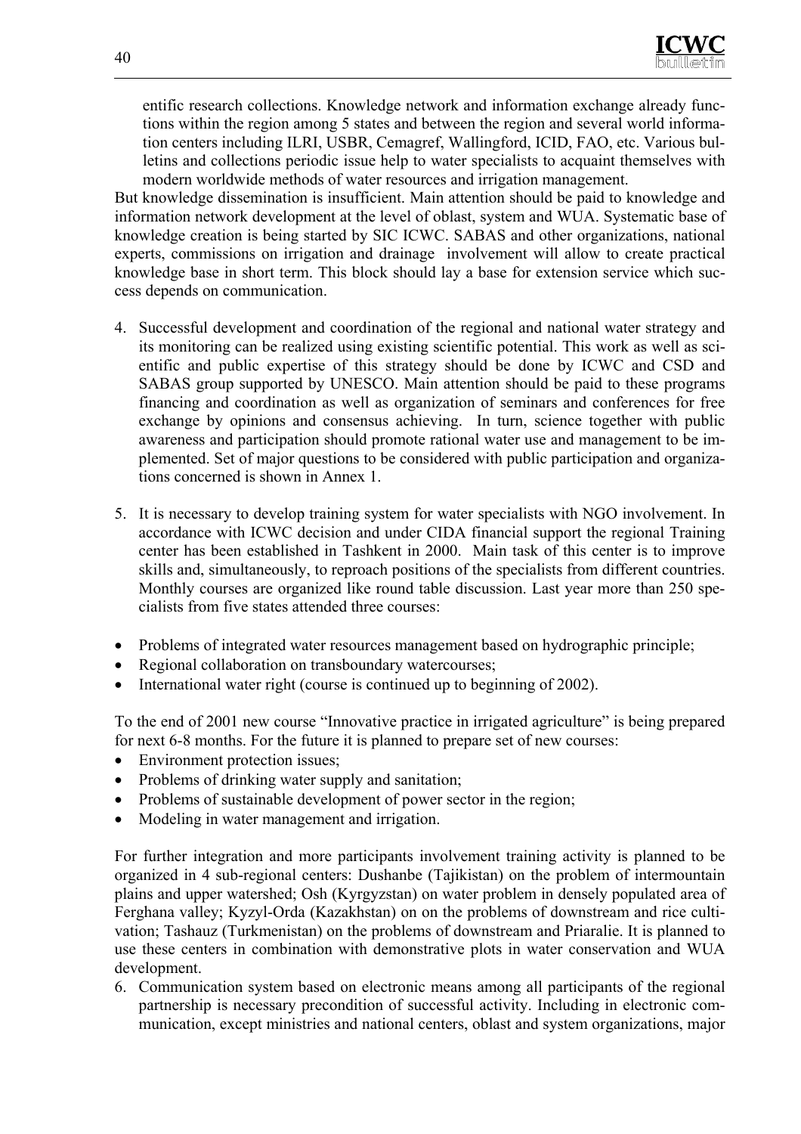entific research collections. Knowledge network and information exchange already functions within the region among 5 states and between the region and several world information centers including ILRI, USBR, Cemagref, Wallingford, ICID, FAO, etc. Various bulletins and collections periodic issue help to water specialists to acquaint themselves with modern worldwide methods of water resources and irrigation management.

But knowledge dissemination is insufficient. Main attention should be paid to knowledge and information network development at the level of oblast, system and WUA. Systematic base of knowledge creation is being started by SIC ICWC. SABAS and other organizations, national experts, commissions on irrigation and drainage involvement will allow to create practical knowledge base in short term. This block should lay a base for extension service which success depends on communication.

- 4. Successful development and coordination of the regional and national water strategy and its monitoring can be realized using existing scientific potential. This work as well as scientific and public expertise of this strategy should be done by ICWC and CSD and SABAS group supported by UNESCO. Main attention should be paid to these programs financing and coordination as well as organization of seminars and conferences for free exchange by opinions and consensus achieving. In turn, science together with public awareness and participation should promote rational water use and management to be implemented. Set of major questions to be considered with public participation and organizations concerned is shown in Annex 1.
- 5. It is necessary to develop training system for water specialists with NGO involvement. In accordance with ICWC decision and under CIDA financial support the regional Training center has been established in Tashkent in 2000. Main task of this center is to improve skills and, simultaneously, to reproach positions of the specialists from different countries. Monthly courses are organized like round table discussion. Last year more than 250 specialists from five states attended three courses:
- Problems of integrated water resources management based on hydrographic principle;
- Regional collaboration on transboundary watercourses;
- International water right (course is continued up to beginning of 2002).

To the end of 2001 new course "Innovative practice in irrigated agriculture" is being prepared for next 6-8 months. For the future it is planned to prepare set of new courses:

- Environment protection issues;
- Problems of drinking water supply and sanitation;
- Problems of sustainable development of power sector in the region;
- Modeling in water management and irrigation.

For further integration and more participants involvement training activity is planned to be organized in 4 sub-regional centers: Dushanbe (Tajikistan) on the problem of intermountain plains and upper watershed; Osh (Kyrgyzstan) on water problem in densely populated area of Ferghana valley; Kyzyl-Orda (Kazakhstan) on on the problems of downstream and rice cultivation; Tashauz (Turkmenistan) on the problems of downstream and Priaralie. It is planned to use these centers in combination with demonstrative plots in water conservation and WUA development.

6. Communication system based on electronic means among all participants of the regional partnership is necessary precondition of successful activity. Including in electronic communication, except ministries and national centers, oblast and system organizations, major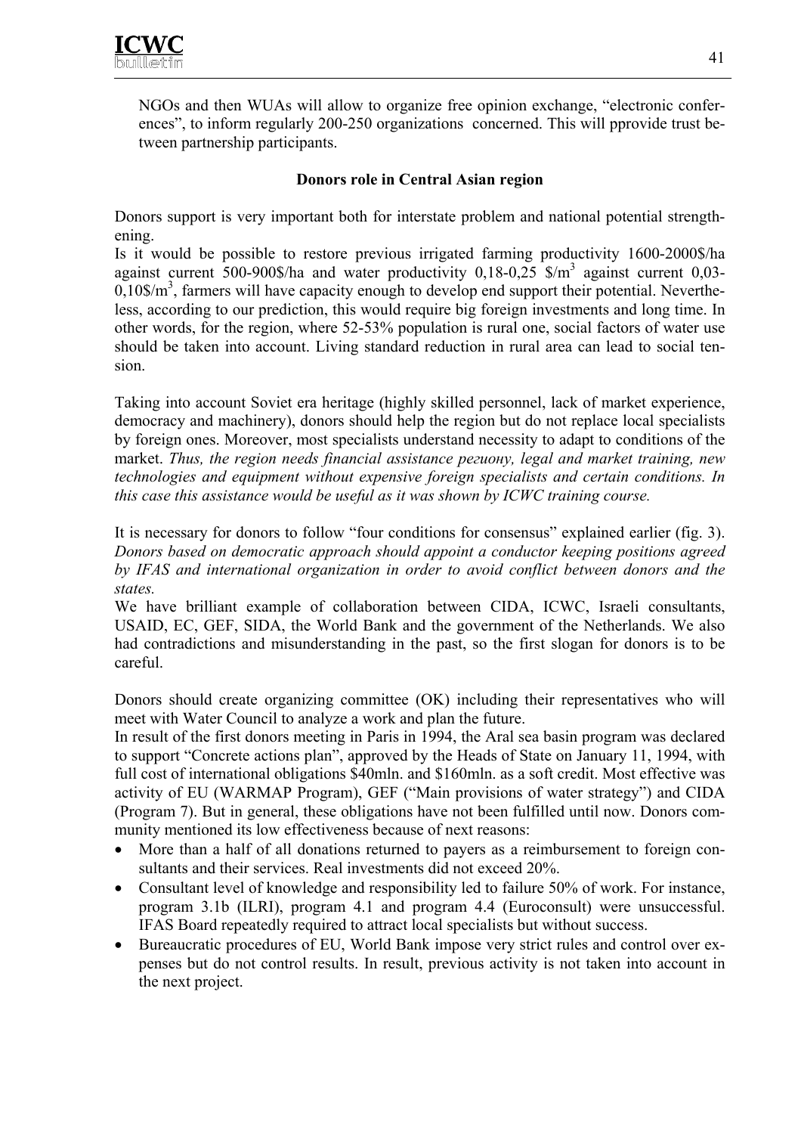NGOs and then WUAs will allow to organize free opinion exchange, "electronic conferences", to inform regularly 200-250 organizations concerned. This will pprovide trust between partnership participants.

## **Donors role in Central Asian region**

Donors support is very important both for interstate problem and national potential strengthening.

Is it would be possible to restore previous irrigated farming productivity 1600-2000\$/ha against current 500-900\$/ha and water productivity  $0,18$ -0,25 \$/m<sup>3</sup> against current  $0,03$ - $0,10\$/m^3$ , farmers will have capacity enough to develop end support their potential. Nevertheless, according to our prediction, this would require big foreign investments and long time. In other words, for the region, where 52-53% population is rural one, social factors of water use should be taken into account. Living standard reduction in rural area can lead to social tension.

Taking into account Soviet era heritage (highly skilled personnel, lack of market experience, democracy and machinery), donors should help the region but do not replace local specialists by foreign ones. Moreover, most specialists understand necessity to adapt to conditions of the market. *Thus, the region needs financial assistance региону, legal and market training, new technologies and equipment without expensive foreign specialists and certain conditions. In this case this assistance would be useful as it was shown by ICWC training course.*

It is necessary for donors to follow "four conditions for consensus" explained earlier (fig. 3). *Donors based on democratic approach should appoint a conductor keeping positions agreed by IFAS and international organization in order to avoid conflict between donors and the states.*

We have brilliant example of collaboration between CIDA, ICWC, Israeli consultants, USAID, ЕС, GEF, SIDA, the World Bank and the government of the Netherlands. We also had contradictions and misunderstanding in the past, so the first slogan for donors is to be careful.

Donors should create organizing committee (OK) including their representatives who will meet with Water Council to analyze a work and plan the future.

In result of the first donors meeting in Paris in 1994, the Aral sea basin program was declared to support "Concrete actions plan", approved by the Heads of State on January 11, 1994, with full cost of international obligations \$40mln. and \$160mln. as a soft credit. Most effective was activity of EU (WARMAP Program), GEF ("Main provisions of water strategy") and CIDA (Program 7). But in general, these obligations have not been fulfilled until now. Donors community mentioned its low effectiveness because of next reasons:

- More than a half of all donations returned to payers as a reimbursement to foreign consultants and their services. Real investments did not exceed 20%.
- Consultant level of knowledge and responsibility led to failure 50% of work. For instance, program 3.1b (ILRI), program 4.1 and program 4.4 (Euroconsult) were unsuccessful. IFAS Board repeatedly required to attract local specialists but without success.
- Bureaucratic procedures of EU, World Bank impose very strict rules and control over expenses but do not control results. In result, previous activity is not taken into account in the next project.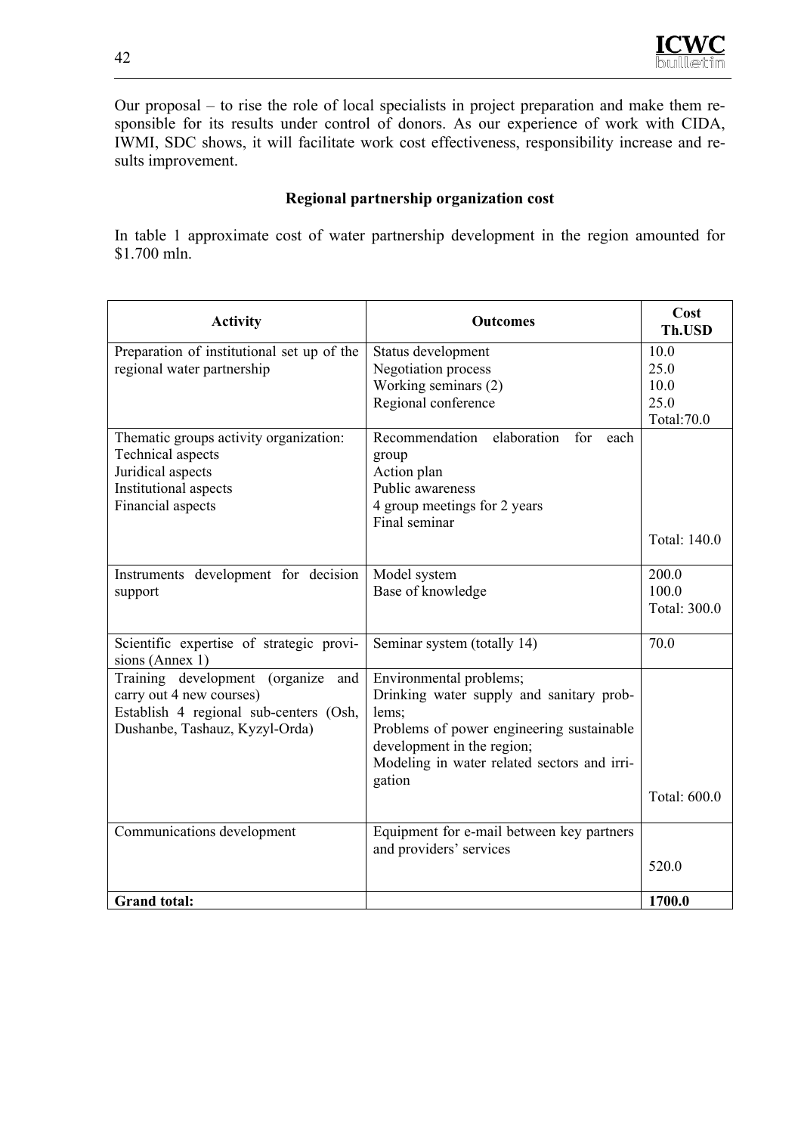Our proposal – to rise the role of local specialists in project preparation and make them responsible for its results under control of donors. As our experience of work with CIDA, IWMI, SDC shows, it will facilitate work cost effectiveness, responsibility increase and results improvement.

#### **Regional partnership organization cost**

In table 1 approximate cost of water partnership development in the region amounted for \$1.700 mln.

| <b>Activity</b>                                                                                                                               | <b>Outcomes</b>                                                                                                                                                                                                  | Cost<br>Th.USD                             |
|-----------------------------------------------------------------------------------------------------------------------------------------------|------------------------------------------------------------------------------------------------------------------------------------------------------------------------------------------------------------------|--------------------------------------------|
| Preparation of institutional set up of the<br>regional water partnership                                                                      | Status development<br><b>Negotiation</b> process<br>Working seminars (2)<br>Regional conference                                                                                                                  | 10.0<br>25.0<br>10.0<br>25.0<br>Total:70.0 |
| Thematic groups activity organization:<br>Technical aspects<br>Juridical aspects<br>Institutional aspects<br>Financial aspects                | elaboration<br>Recommendation<br>for<br>each<br>group<br>Action plan<br>Public awareness<br>4 group meetings for 2 years<br>Final seminar                                                                        | Total: 140.0                               |
| Instruments development for decision<br>support                                                                                               | Model system<br>Base of knowledge                                                                                                                                                                                | 200.0<br>100.0<br>Total: 300.0             |
| Scientific expertise of strategic provi-<br>sions (Annex 1)                                                                                   | Seminar system (totally 14)                                                                                                                                                                                      | 70.0                                       |
| Training development (organize<br>and<br>carry out 4 new courses)<br>Establish 4 regional sub-centers (Osh,<br>Dushanbe, Tashauz, Kyzyl-Orda) | Environmental problems;<br>Drinking water supply and sanitary prob-<br>lems;<br>Problems of power engineering sustainable<br>development in the region;<br>Modeling in water related sectors and irri-<br>gation | Total: 600.0                               |
| Communications development                                                                                                                    | Equipment for e-mail between key partners<br>and providers' services                                                                                                                                             | 520.0                                      |
| <b>Grand</b> total:                                                                                                                           |                                                                                                                                                                                                                  | 1700.0                                     |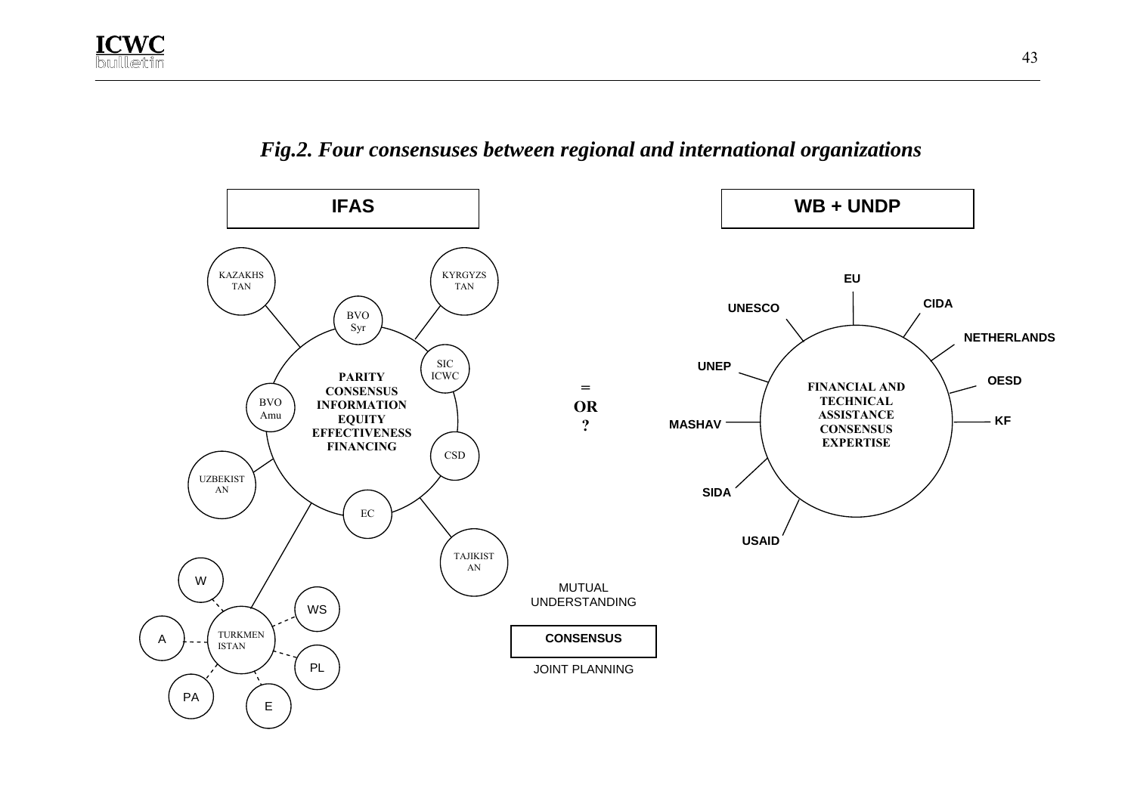

*Fig.2. Four consensuses between regional and international organizations*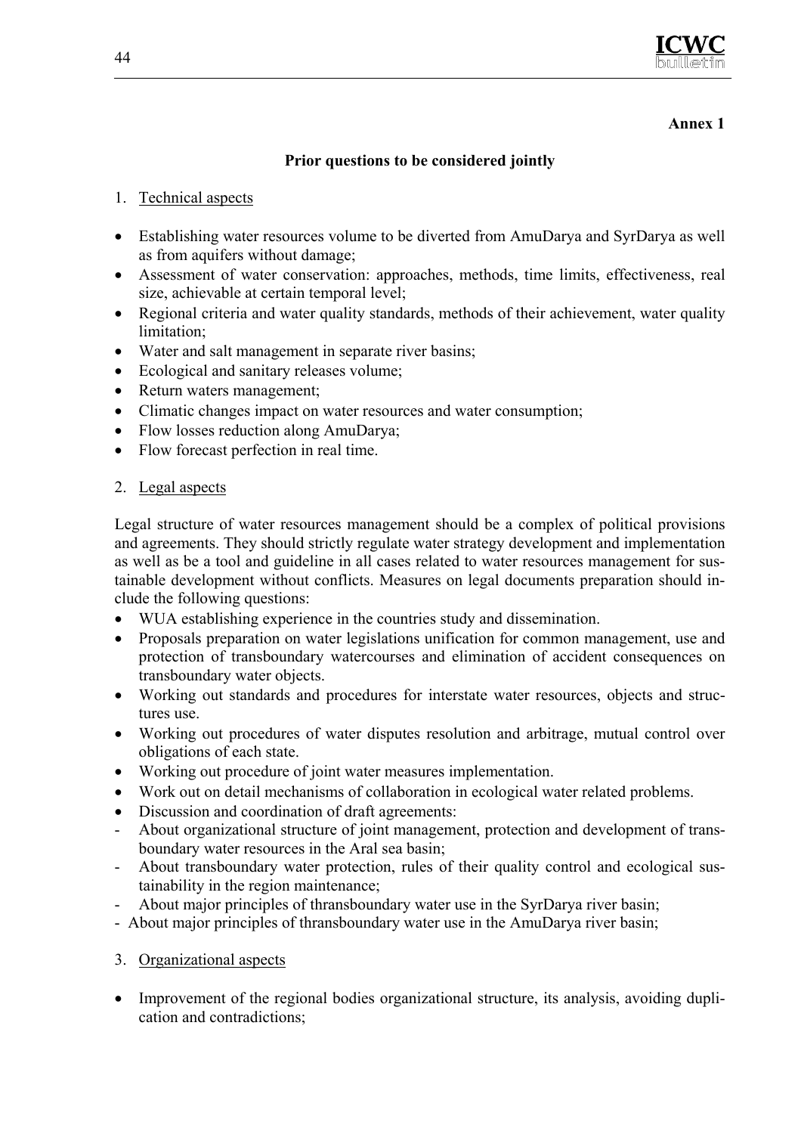

#### **Annex 1**

#### **Prior questions to be considered jointly**

- 1. Technical aspects
- Establishing water resources volume to be diverted from AmuDarya and SyrDarya as well as from aquifers without damage;
- Assessment of water conservation: approaches, methods, time limits, effectiveness, real size, achievable at certain temporal level;
- Regional criteria and water quality standards, methods of their achievement, water quality limitation;
- Water and salt management in separate river basins;
- Ecological and sanitary releases volume;
- Return waters management:
- Climatic changes impact on water resources and water consumption;
- Flow losses reduction along AmuDarya;
- Flow forecast perfection in real time.

#### 2. Legal aspects

Legal structure of water resources management should be a complex of political provisions and agreements. They should strictly regulate water strategy development and implementation as well as be a tool and guideline in all cases related to water resources management for sustainable development without conflicts. Measures on legal documents preparation should include the following questions:

- WUA establishing experience in the countries study and dissemination.
- Proposals preparation on water legislations unification for common management, use and protection of transboundary watercourses and elimination of accident consequences on transboundary water objects.
- Working out standards and procedures for interstate water resources, objects and structures use.
- Working out procedures of water disputes resolution and arbitrage, mutual control over obligations of each state.
- Working out procedure of joint water measures implementation.
- Work out on detail mechanisms of collaboration in ecological water related problems.
- Discussion and coordination of draft agreements:
- About organizational structure of joint management, protection and development of transboundary water resources in the Aral sea basin;
- About transboundary water protection, rules of their quality control and ecological sustainability in the region maintenance;
- About major principles of thransboundary water use in the SyrDarya river basin;
- About major principles of thransboundary water use in the AmuDarya river basin;
- 3. Organizational aspects
- Improvement of the regional bodies organizational structure, its analysis, avoiding duplication and contradictions;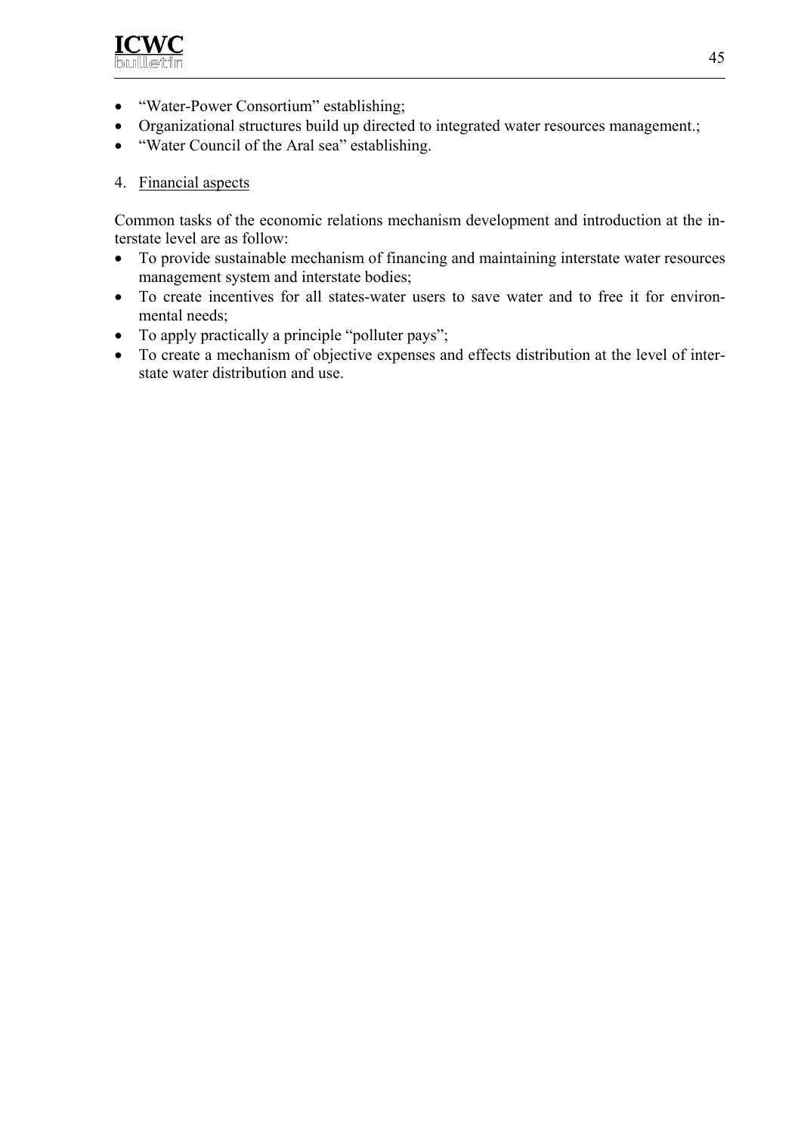

- "Water-Power Consortium" establishing;
- Organizational structures build up directed to integrated water resources management.;
- "Water Council of the Aral sea" establishing.

#### 4. Financial aspects

Common tasks of the economic relations mechanism development and introduction at the interstate level are as follow:

- To provide sustainable mechanism of financing and maintaining interstate water resources management system and interstate bodies;
- To create incentives for all states-water users to save water and to free it for environmental needs;
- To apply practically a principle "polluter pays";
- To create a mechanism of objective expenses and effects distribution at the level of interstate water distribution and use.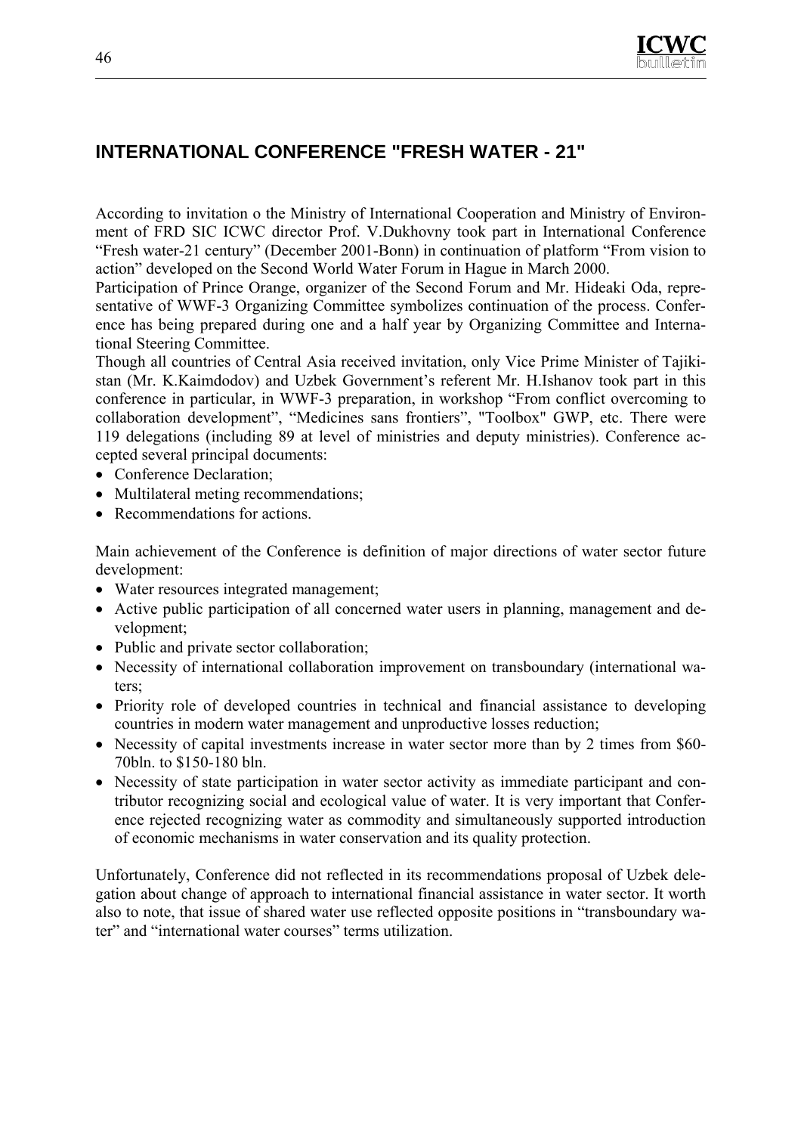

# **INTERNATIONAL CONFERENCE "FRESH WATER - 21"**

According to invitation o the Ministry of International Cooperation and Ministry of Environment of FRD SIC ICWC director Prof. V.Dukhovny took part in International Conference "Fresh water-21 century" (December 2001-Bonn) in continuation of platform "From vision to action" developed on the Second World Water Forum in Hague in March 2000.

Participation of Prince Orange, organizer of the Second Forum and Mr. Hideaki Oda, representative of WWF-3 Organizing Committee symbolizes continuation of the process. Conference has being prepared during one and a half year by Organizing Committee and International Steering Committee.

Though all countries of Central Asia received invitation, only Vice Prime Minister of Tajikistan (Mr. K.Kaimdodov) and Uzbek Government's referent Mr. H.Ishanov took part in this conference in particular, in WWF-3 preparation, in workshop "From conflict overcoming to collaboration development", "Medicines sans frontiers", "Toolbox" GWP, etc. There were 119 delegations (including 89 at level of ministries and deputy ministries). Conference accepted several principal documents:

- Conference Declaration:
- Multilateral meting recommendations:
- Recommendations for actions.

Main achievement of the Conference is definition of major directions of water sector future development:

- Water resources integrated management;
- Active public participation of all concerned water users in planning, management and development;
- Public and private sector collaboration;
- Necessity of international collaboration improvement on transboundary (international waters;
- Priority role of developed countries in technical and financial assistance to developing countries in modern water management and unproductive losses reduction;
- Necessity of capital investments increase in water sector more than by 2 times from \$60-70bln. to \$150-180 bln.
- Necessity of state participation in water sector activity as immediate participant and contributor recognizing social and ecological value of water. It is very important that Conference rejected recognizing water as commodity and simultaneously supported introduction of economic mechanisms in water conservation and its quality protection.

Unfortunately, Conference did not reflected in its recommendations proposal of Uzbek delegation about change of approach to international financial assistance in water sector. It worth also to note, that issue of shared water use reflected opposite positions in "transboundary water" and "international water courses" terms utilization.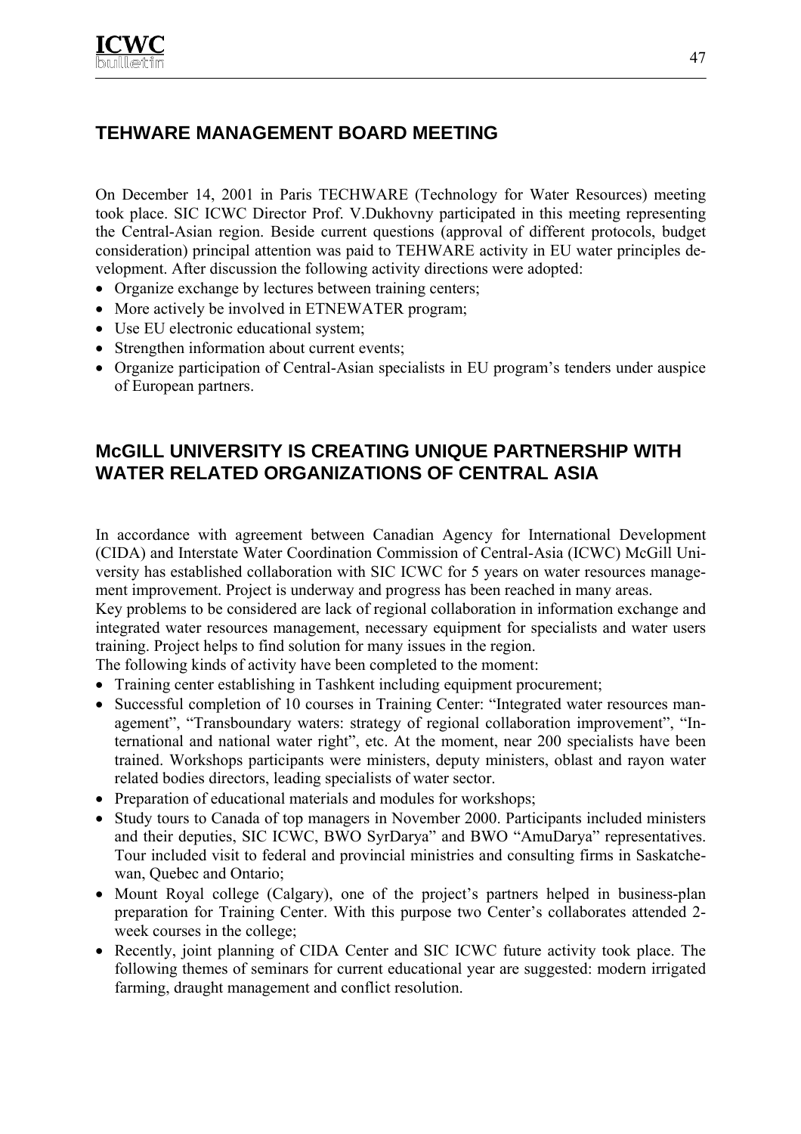# **TEHWARE MANAGEMENT BOARD MEETING**

On December 14, 2001 in Paris TECHWARE (Technology for Water Resources) meeting took place. SIC ICWC Director Prof. V.Dukhovny participated in this meeting representing the Central-Asian region. Beside current questions (approval of different protocols, budget consideration) principal attention was paid to TEHWARE activity in EU water principles development. After discussion the following activity directions were adopted:

- Organize exchange by lectures between training centers;
- More actively be involved in ETNEWATER program;
- Use EU electronic educational system;
- Strengthen information about current events;
- Organize participation of Central-Asian specialists in EU program's tenders under auspice of European partners.

## **McGILL UNIVERSITY IS CREATING UNIQUE PARTNERSHIP WITH WATER RELATED ORGANIZATIONS OF CENTRAL ASIA**

In accordance with agreement between Canadian Agency for International Development (CIDA) and Interstate Water Coordination Commission of Central-Asia (ICWC) McGill University has established collaboration with SIC ICWC for 5 years on water resources management improvement. Project is underway and progress has been reached in many areas.

Key problems to be considered are lack of regional collaboration in information exchange and integrated water resources management, necessary equipment for specialists and water users training. Project helps to find solution for many issues in the region.

The following kinds of activity have been completed to the moment:

- Training center establishing in Tashkent including equipment procurement;
- Successful completion of 10 courses in Training Center: "Integrated water resources management", "Transboundary waters: strategy of regional collaboration improvement", "International and national water right", etc. At the moment, near 200 specialists have been trained. Workshops participants were ministers, deputy ministers, oblast and rayon water related bodies directors, leading specialists of water sector.
- Preparation of educational materials and modules for workshops;
- Study tours to Canada of top managers in November 2000. Participants included ministers and their deputies, SIC ICWC, BWO SyrDarya" and BWO "AmuDarya" representatives. Tour included visit to federal and provincial ministries and consulting firms in Saskatchewan, Quebec and Ontario;
- Mount Royal college (Calgary), one of the project's partners helped in business-plan preparation for Training Center. With this purpose two Center's collaborates attended 2 week courses in the college;
- Recently, joint planning of CIDA Center and SIC ICWC future activity took place. The following themes of seminars for current educational year are suggested: modern irrigated farming, draught management and conflict resolution.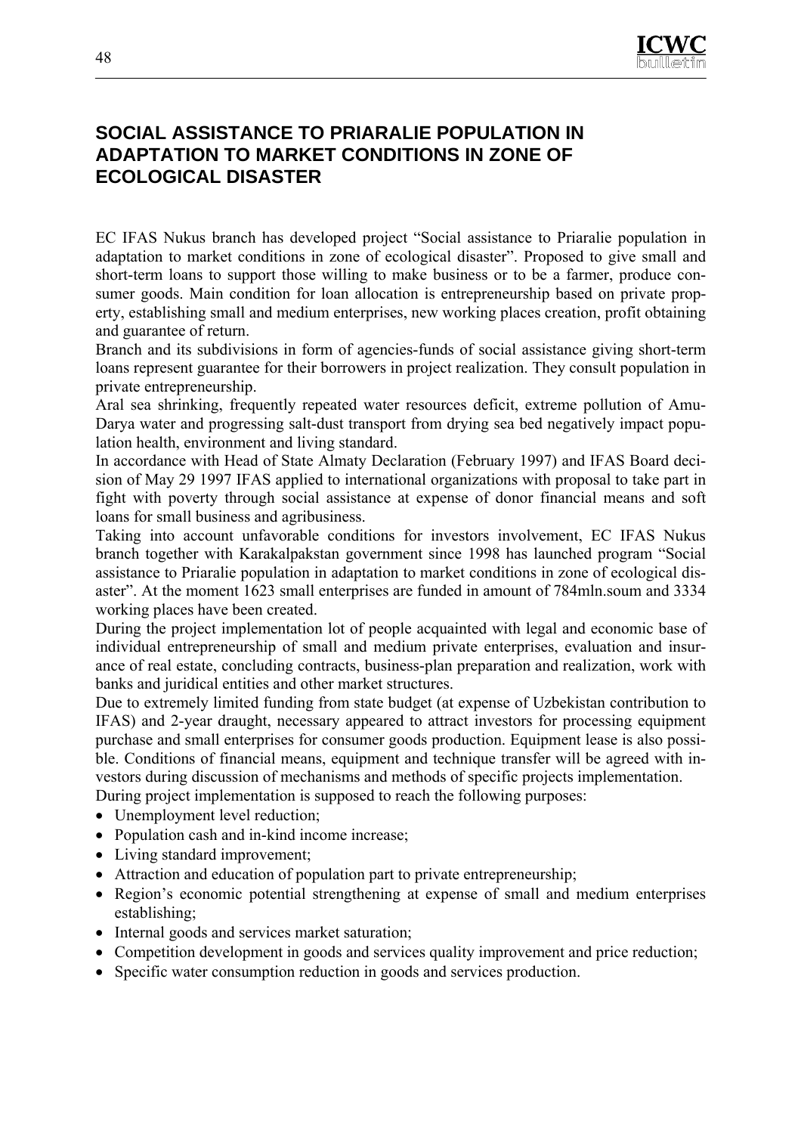

## **SOCIAL ASSISTANCE TO PRIARALIE POPULATION IN ADAPTATION TO MARKET CONDITIONS IN ZONE OF ECOLOGICAL DISASTER**

EC IFAS Nukus branch has developed project "Social assistance to Priaralie population in adaptation to market conditions in zone of ecological disaster". Proposed to give small and short-term loans to support those willing to make business or to be a farmer, produce consumer goods. Main condition for loan allocation is entrepreneurship based on private property, establishing small and medium enterprises, new working places creation, profit obtaining and guarantee of return.

Branch and its subdivisions in form of agencies-funds of social assistance giving short-term loans represent guarantee for their borrowers in project realization. They consult population in private entrepreneurship.

Aral sea shrinking, frequently repeated water resources deficit, extreme pollution of Amu-Darya water and progressing salt-dust transport from drying sea bed negatively impact population health, environment and living standard.

In accordance with Head of State Almaty Declaration (February 1997) and IFAS Board decision of May 29 1997 IFAS applied to international organizations with proposal to take part in fight with poverty through social assistance at expense of donor financial means and soft loans for small business and agribusiness.

Taking into account unfavorable conditions for investors involvement, EC IFAS Nukus branch together with Karakalpakstan government since 1998 has launched program "Social assistance to Priaralie population in adaptation to market conditions in zone of ecological disaster". At the moment 1623 small enterprises are funded in amount of 784mln.soum and 3334 working places have been created.

During the project implementation lot of people acquainted with legal and economic base of individual entrepreneurship of small and medium private enterprises, evaluation and insurance of real estate, concluding contracts, business-plan preparation and realization, work with banks and juridical entities and other market structures.

Due to extremely limited funding from state budget (at expense of Uzbekistan contribution to IFAS) and 2-year draught, necessary appeared to attract investors for processing equipment purchase and small enterprises for consumer goods production. Equipment lease is also possible. Conditions of financial means, equipment and technique transfer will be agreed with investors during discussion of mechanisms and methods of specific projects implementation. During project implementation is supposed to reach the following purposes:

- Unemployment level reduction;
- Population cash and in-kind income increase;
- Living standard improvement;
- Attraction and education of population part to private entrepreneurship;
- Region's economic potential strengthening at expense of small and medium enterprises establishing;
- Internal goods and services market saturation;
- Competition development in goods and services quality improvement and price reduction;
- Specific water consumption reduction in goods and services production.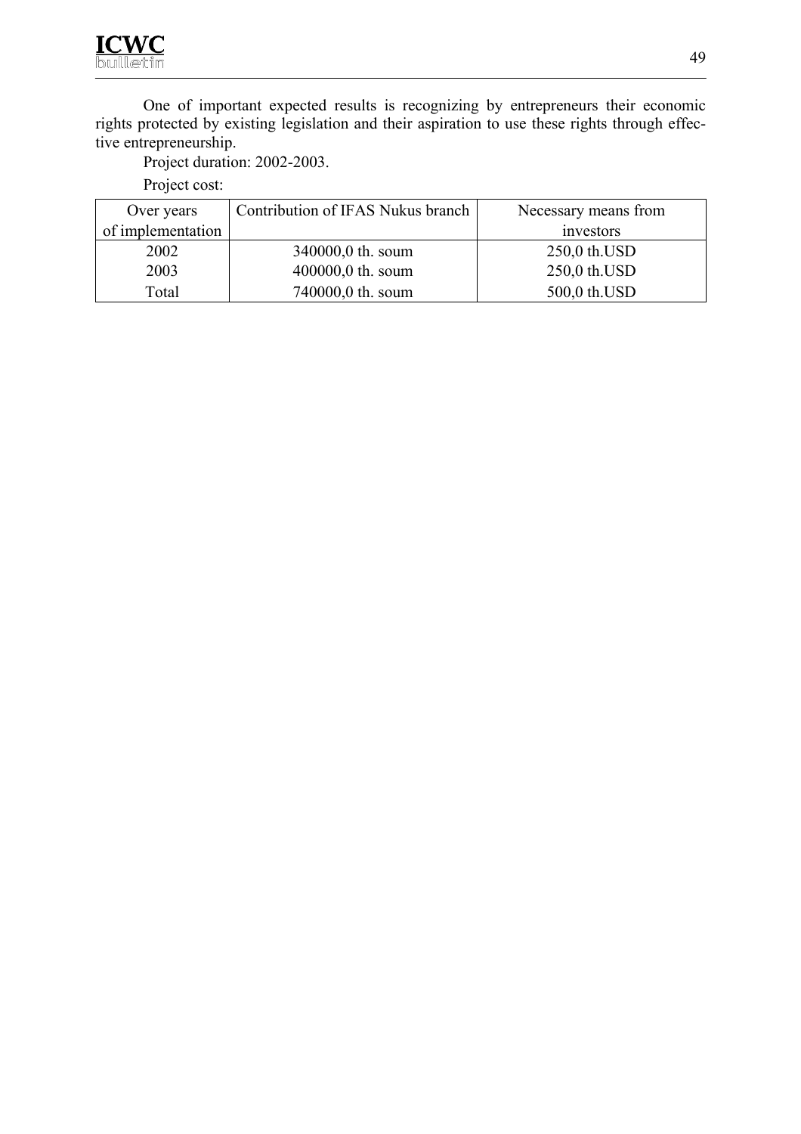One of important expected results is recognizing by entrepreneurs their economic rights protected by existing legislation and their aspiration to use these rights through effective entrepreneurship.

Project duration: 2002-2003.

Project cost:

| Over years        | Contribution of IFAS Nukus branch | Necessary means from |
|-------------------|-----------------------------------|----------------------|
| of implementation |                                   | investors            |
| 2002              | 340000,0 th. soum                 | 250,0 th. USD        |
| 2003              | 400000,0 th. soum                 | 250,0 th.USD         |
| Total             | 740000,0 th. soum                 | 500,0 th.USD         |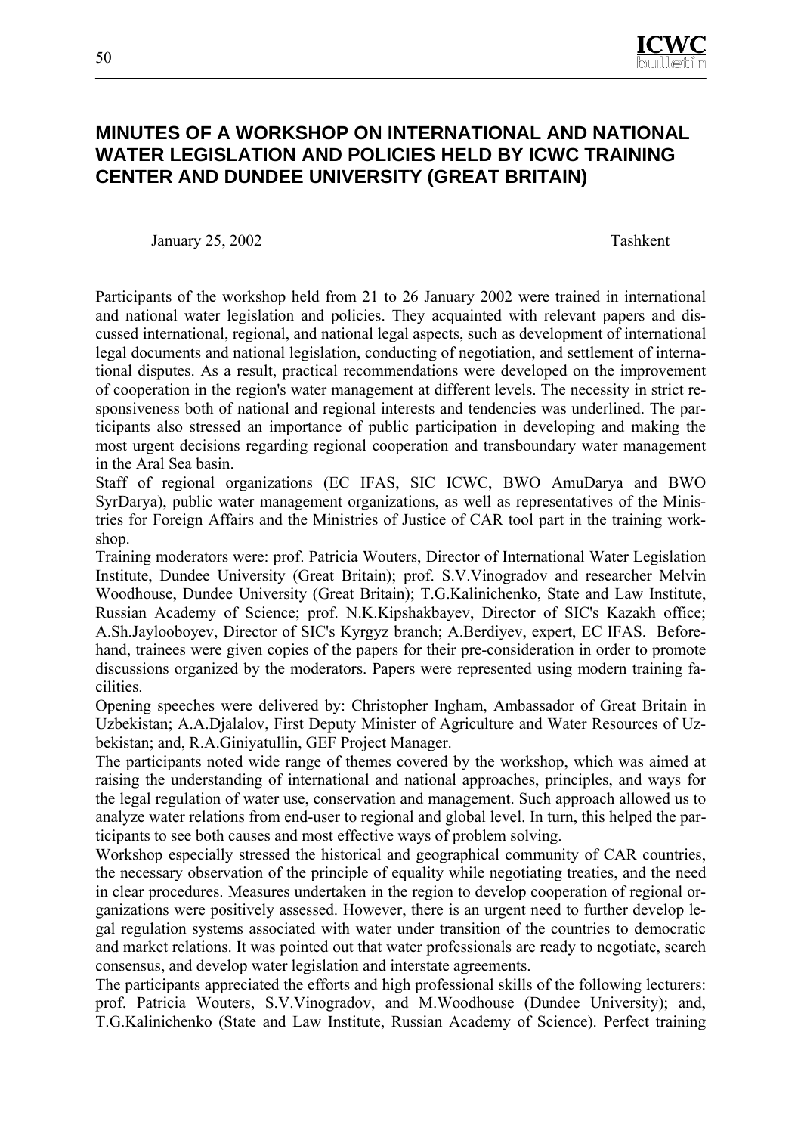

## **MINUTES OF A WORKSHOP ON INTERNATIONAL AND NATIONAL WATER LEGISLATION AND POLICIES HELD BY ICWC TRAINING CENTER AND DUNDEE UNIVERSITY (GREAT BRITAIN)**

January 25, 2002 Tashkent

Participants of the workshop held from 21 to 26 January 2002 were trained in international and national water legislation and policies. They acquainted with relevant papers and discussed international, regional, and national legal aspects, such as development of international legal documents and national legislation, conducting of negotiation, and settlement of international disputes. As a result, practical recommendations were developed on the improvement of cooperation in the region's water management at different levels. The necessity in strict responsiveness both of national and regional interests and tendencies was underlined. The participants also stressed an importance of public participation in developing and making the most urgent decisions regarding regional cooperation and transboundary water management in the Aral Sea basin.

Staff of regional organizations (EC IFAS, SIC ICWC, BWO AmuDarya and BWO SyrDarya), public water management organizations, as well as representatives of the Ministries for Foreign Affairs and the Ministries of Justice of CAR tool part in the training workshop.

Training moderators were: prof. Patricia Wouters, Director of International Water Legislation Institute, Dundee University (Great Britain); prof. S.V.Vinogradov and researcher Melvin Woodhouse, Dundee University (Great Britain); T.G.Kalinichenko, State and Law Institute, Russian Academy of Science; prof. N.K.Kipshakbayev, Director of SIC's Kazakh office; A.Sh.Jaylooboyev, Director of SIC's Kyrgyz branch; A.Berdiyev, expert, EC IFAS. Beforehand, trainees were given copies of the papers for their pre-consideration in order to promote discussions organized by the moderators. Papers were represented using modern training facilities.

Opening speeches were delivered by: Christopher Ingham, Ambassador of Great Britain in Uzbekistan; A.A.Djalalov, First Deputy Minister of Agriculture and Water Resources of Uzbekistan; and, R.A.Giniyatullin, GEF Project Manager.

The participants noted wide range of themes covered by the workshop, which was aimed at raising the understanding of international and national approaches, principles, and ways for the legal regulation of water use, conservation and management. Such approach allowed us to analyze water relations from end-user to regional and global level. In turn, this helped the participants to see both causes and most effective ways of problem solving.

Workshop especially stressed the historical and geographical community of CAR countries, the necessary observation of the principle of equality while negotiating treaties, and the need in clear procedures. Measures undertaken in the region to develop cooperation of regional organizations were positively assessed. However, there is an urgent need to further develop legal regulation systems associated with water under transition of the countries to democratic and market relations. It was pointed out that water professionals are ready to negotiate, search consensus, and develop water legislation and interstate agreements.

The participants appreciated the efforts and high professional skills of the following lecturers: prof. Patricia Wouters, S.V.Vinogradov, and M.Woodhouse (Dundee University); and, T.G.Kalinichenko (State and Law Institute, Russian Academy of Science). Perfect training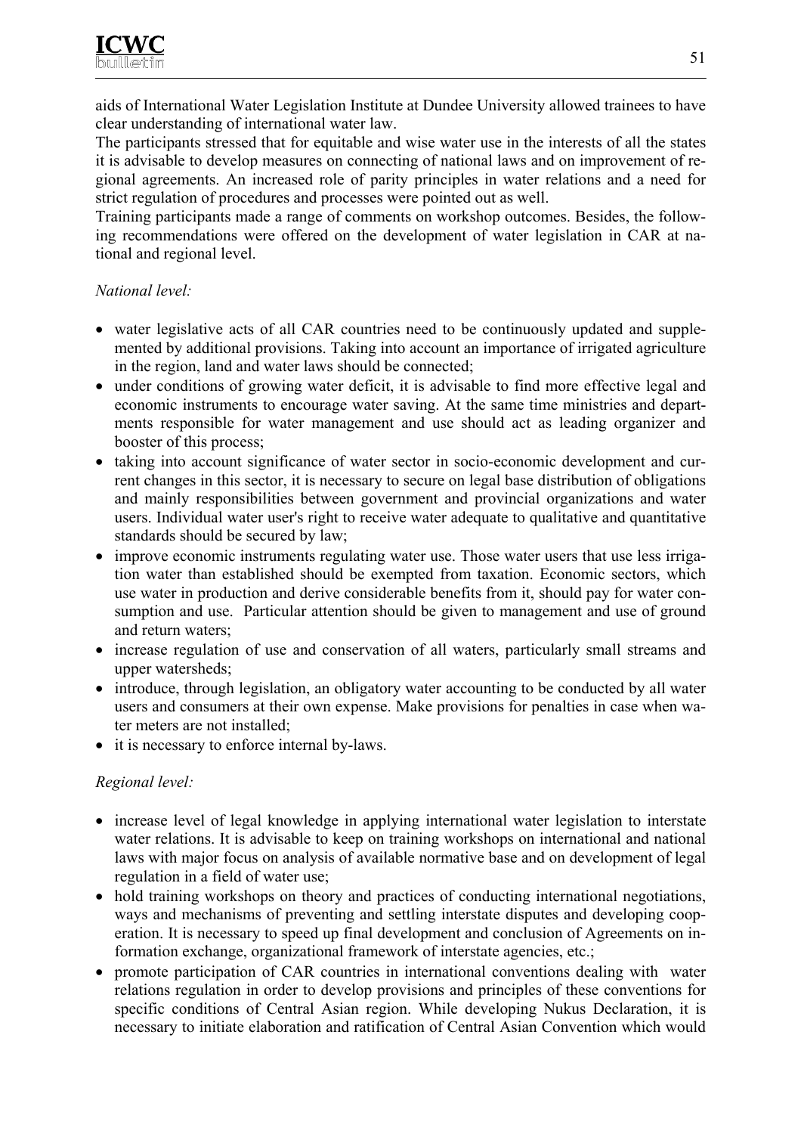aids of International Water Legislation Institute at Dundee University allowed trainees to have clear understanding of international water law.

The participants stressed that for equitable and wise water use in the interests of all the states it is advisable to develop measures on connecting of national laws and on improvement of regional agreements. An increased role of parity principles in water relations and a need for strict regulation of procedures and processes were pointed out as well.

Training participants made a range of comments on workshop outcomes. Besides, the following recommendations were offered on the development of water legislation in CAR at national and regional level.

#### *National level:*

- water legislative acts of all CAR countries need to be continuously updated and supplemented by additional provisions. Taking into account an importance of irrigated agriculture in the region, land and water laws should be connected;
- under conditions of growing water deficit, it is advisable to find more effective legal and economic instruments to encourage water saving. At the same time ministries and departments responsible for water management and use should act as leading organizer and booster of this process;
- taking into account significance of water sector in socio-economic development and current changes in this sector, it is necessary to secure on legal base distribution of obligations and mainly responsibilities between government and provincial organizations and water users. Individual water user's right to receive water adequate to qualitative and quantitative standards should be secured by law;
- improve economic instruments regulating water use. Those water users that use less irrigation water than established should be exempted from taxation. Economic sectors, which use water in production and derive considerable benefits from it, should pay for water consumption and use. Particular attention should be given to management and use of ground and return waters;
- increase regulation of use and conservation of all waters, particularly small streams and upper watersheds;
- introduce, through legislation, an obligatory water accounting to be conducted by all water users and consumers at their own expense. Make provisions for penalties in case when water meters are not installed;
- it is necessary to enforce internal by-laws.

#### *Regional level:*

- increase level of legal knowledge in applying international water legislation to interstate water relations. It is advisable to keep on training workshops on international and national laws with major focus on analysis of available normative base and on development of legal regulation in a field of water use;
- hold training workshops on theory and practices of conducting international negotiations, ways and mechanisms of preventing and settling interstate disputes and developing cooperation. It is necessary to speed up final development and conclusion of Agreements on information exchange, organizational framework of interstate agencies, etc.;
- promote participation of CAR countries in international conventions dealing with water relations regulation in order to develop provisions and principles of these conventions for specific conditions of Central Asian region. While developing Nukus Declaration, it is necessary to initiate elaboration and ratification of Central Asian Convention which would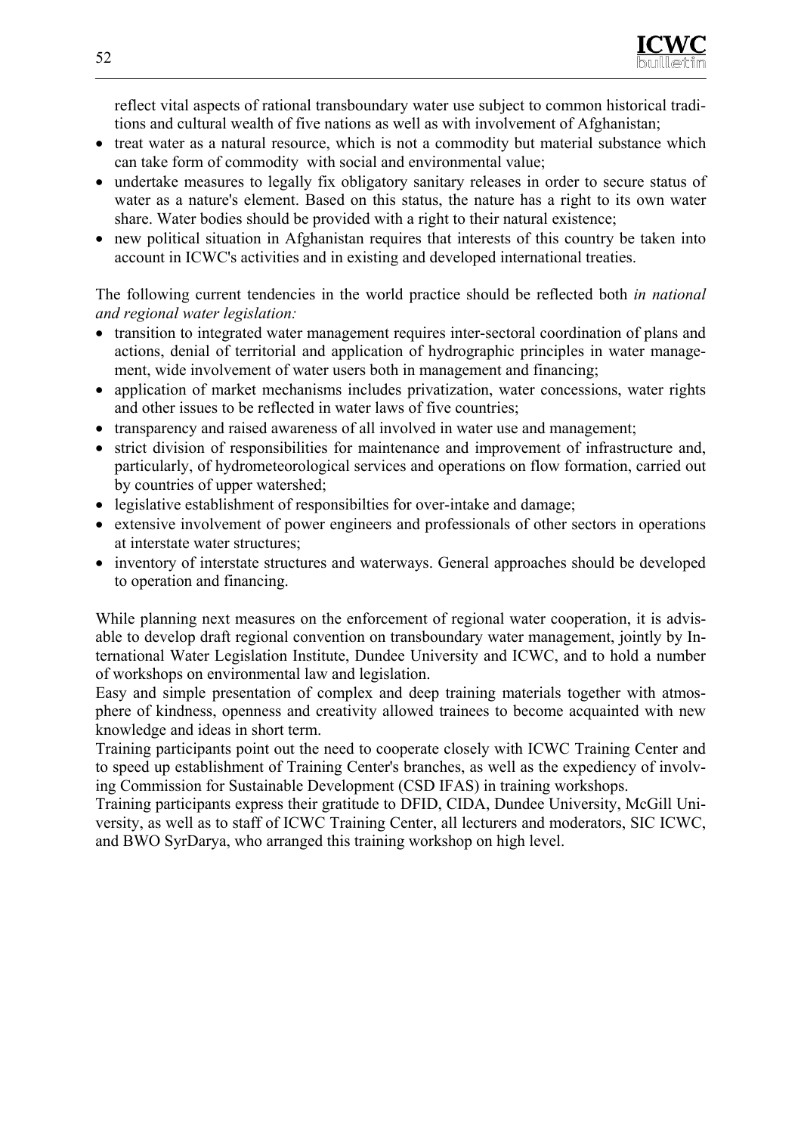reflect vital aspects of rational transboundary water use subject to common historical traditions and cultural wealth of five nations as well as with involvement of Afghanistan;

- treat water as a natural resource, which is not a commodity but material substance which can take form of commodity with social and environmental value;
- undertake measures to legally fix obligatory sanitary releases in order to secure status of water as a nature's element. Based on this status, the nature has a right to its own water share. Water bodies should be provided with a right to their natural existence;
- new political situation in Afghanistan requires that interests of this country be taken into account in ICWC's activities and in existing and developed international treaties.

The following current tendencies in the world practice should be reflected both *in national and regional water legislation:* 

- transition to integrated water management requires inter-sectoral coordination of plans and actions, denial of territorial and application of hydrographic principles in water management, wide involvement of water users both in management and financing;
- application of market mechanisms includes privatization, water concessions, water rights and other issues to be reflected in water laws of five countries;
- transparency and raised awareness of all involved in water use and management;
- strict division of responsibilities for maintenance and improvement of infrastructure and, particularly, of hydrometeorological services and operations on flow formation, carried out by countries of upper watershed;
- legislative establishment of responsibilties for over-intake and damage;
- extensive involvement of power engineers and professionals of other sectors in operations at interstate water structures;
- inventory of interstate structures and waterways. General approaches should be developed to operation and financing.

While planning next measures on the enforcement of regional water cooperation, it is advisable to develop draft regional convention on transboundary water management, jointly by International Water Legislation Institute, Dundee University and ICWC, and to hold a number of workshops on environmental law and legislation.

Easy and simple presentation of complex and deep training materials together with atmosphere of kindness, openness and creativity allowed trainees to become acquainted with new knowledge and ideas in short term.

Training participants point out the need to cooperate closely with ICWC Training Center and to speed up establishment of Training Center's branches, as well as the expediency of involving Commission for Sustainable Development (CSD IFAS) in training workshops.

Training participants express their gratitude to DFID, CIDA, Dundee University, McGill University, as well as to staff of ICWC Training Center, all lecturers and moderators, SIC ICWC, and BWO SyrDarya, who arranged this training workshop on high level.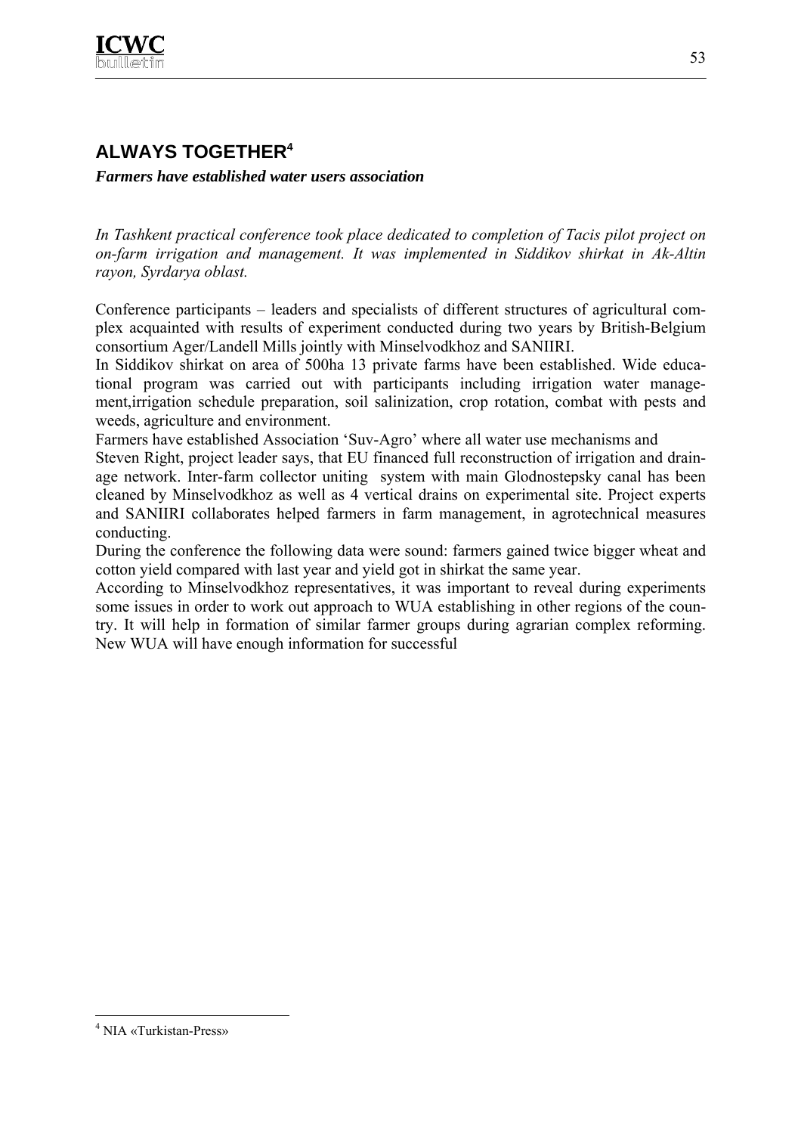

# **ALWAYS TOGETHER4**

*Farmers have established water users association* 

*In Tashkent practical conference took place dedicated to completion of Tacis pilot project on on-farm irrigation and management. It was implemented in Siddikov shirkat in Ak-Altin rayon, Syrdarya oblast.*

Conference participants – leaders and specialists of different structures of agricultural complex acquainted with results of experiment conducted during two years by British-Belgium consortium Ager/Landell Mills jointly with Minselvodkhoz and SANIIRI.

In Siddikov shirkat on area of 500ha 13 private farms have been established. Wide educational program was carried out with participants including irrigation water management,irrigation schedule preparation, soil salinization, crop rotation, combat with pests and weeds, agriculture and environment.

Farmers have established Association 'Suv-Agro' where all water use mechanisms and

Steven Right, project leader says, that EU financed full reconstruction of irrigation and drainage network. Inter-farm collector uniting system with main Glodnostepsky canal has been cleaned by Minselvodkhoz as well as 4 vertical drains on experimental site. Project experts and SANIIRI collaborates helped farmers in farm management, in agrotechnical measures conducting.

During the conference the following data were sound: farmers gained twice bigger wheat and cotton yield compared with last year and yield got in shirkat the same year.

According to Minselvodkhoz representatives, it was important to reveal during experiments some issues in order to work out approach to WUA establishing in other regions of the country. It will help in formation of similar farmer groups during agrarian complex reforming. New WUA will have enough information for successful

 $\overline{a}$ 

<sup>4</sup> NIA «Turkistan-Press»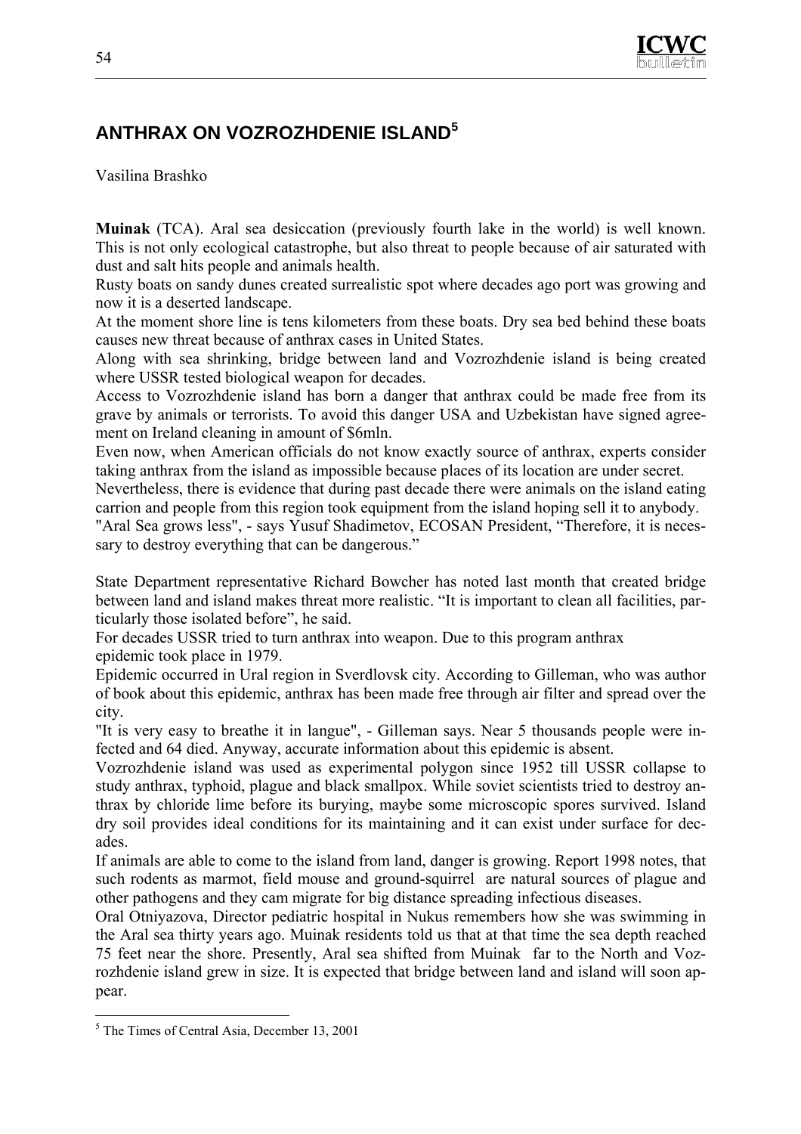

# **ANTHRAX ON VOZROZHDENIE ISLAND<sup>5</sup>**

Vasilina Brashko

**Muinak** (ТСА). Aral sea desiccation (previously fourth lake in the world) is well known. This is not only ecological catastrophe, but also threat to people because of air saturated with dust and salt hits people and animals health.

Rusty boats on sandy dunes created surrealistic spot where decades ago port was growing and now it is a deserted landscape.

At the moment shore line is tens kilometers from these boats. Dry sea bed behind these boats causes new threat because of anthrax cases in United States.

Along with sea shrinking, bridge between land and Vozrozhdenie island is being created where USSR tested biological weapon for decades.

Access to Vozrozhdenie island has born a danger that anthrax could be made free from its grave by animals or terrorists. To avoid this danger USA and Uzbekistan have signed agreement on Ireland cleaning in amount of \$6mln.

Even now, when American officials do not know exactly source of anthrax, experts consider taking anthrax from the island as impossible because places of its location are under secret.

Nevertheless, there is evidence that during past decade there were animals on the island eating carrion and people from this region took equipment from the island hoping sell it to anybody.

"Aral Sea grows less", - says Yusuf Shadimetov, ECOSAN President, "Therefore, it is necessary to destroy everything that can be dangerous."

State Department representative Richard Bowcher has noted last month that created bridge between land and island makes threat more realistic. "It is important to clean all facilities, particularly those isolated before", he said.

For decades USSR tried to turn anthrax into weapon. Due to this program anthrax epidemic took place in 1979.

Epidemic occurred in Ural region in Sverdlovsk city. According to Gilleman, who was author of book about this epidemic, anthrax has been made free through air filter and spread over the city.

"It is very easy to breathe it in langue", - Gilleman says. Near 5 thousands people were infected and 64 died. Anyway, accurate information about this epidemic is absent.

Vozrozhdenie island was used as experimental polygon since 1952 till USSR collapse to study anthrax, typhoid, plague and black smallpox. While soviet scientists tried to destroy anthrax by chloride lime before its burying, maybe some microscopic spores survived. Island dry soil provides ideal conditions for its maintaining and it can exist under surface for decades.

If animals are able to come to the island from land, danger is growing. Report 1998 notes, that such rodents as marmot, field mouse and ground-squirrel are natural sources of plague and other pathogens and they cam migrate for big distance spreading infectious diseases.

Oral Otniyazova, Director pediatric hospital in Nukus remembers how she was swimming in the Aral sea thirty years ago. Muinak residents told us that at that time the sea depth reached 75 feet near the shore. Presently, Aral sea shifted from Muinak far to the North and Vozrozhdenie island grew in size. It is expected that bridge between land and island will soon appear.

 $\overline{a}$ 

<sup>5</sup> The Times of Central Asia, December 13, 2001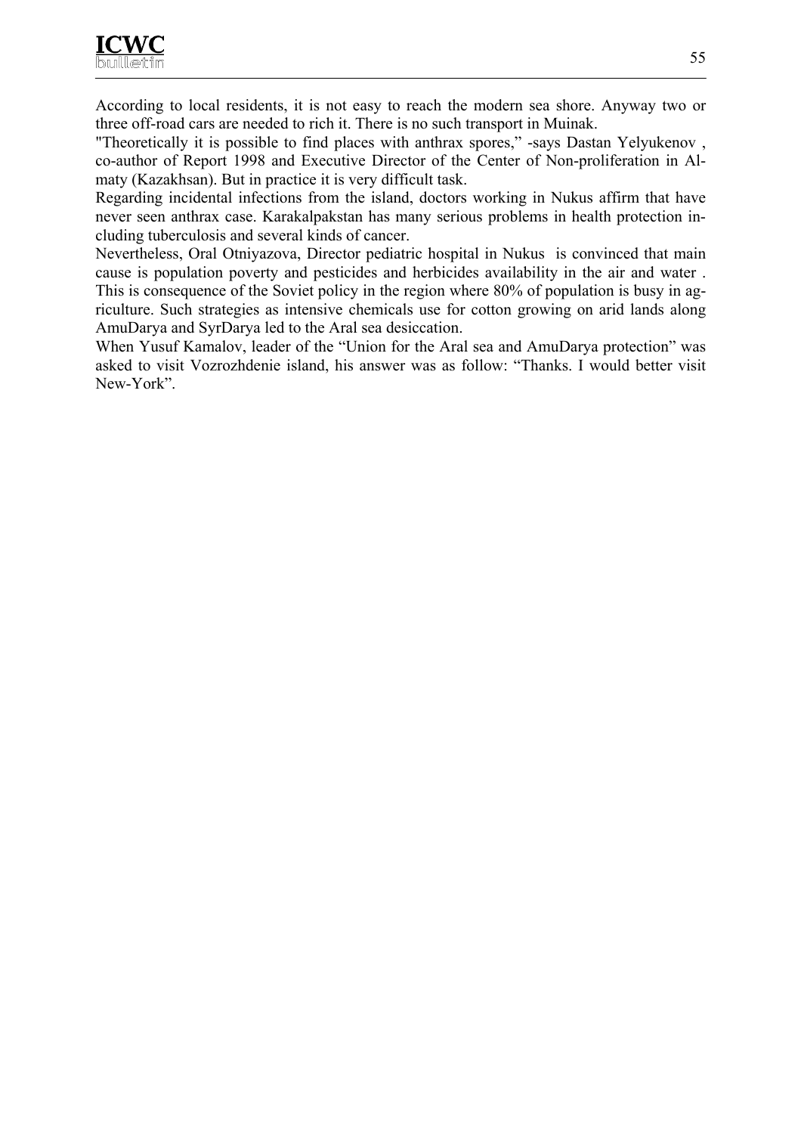According to local residents, it is not easy to reach the modern sea shore. Anyway two or three off-road cars are needed to rich it. There is no such transport in Muinak.

"Theoretically it is possible to find places with anthrax spores," -says Dastan Yelyukenov , co-author of Report 1998 and Executive Director of the Center of Non-proliferation in Almaty (Kazakhsan). But in practice it is very difficult task.

Regarding incidental infections from the island, doctors working in Nukus affirm that have never seen anthrax case. Karakalpakstan has many serious problems in health protection including tuberculosis and several kinds of cancer.

Nevertheless, Oral Otniyazova, Director pediatric hospital in Nukus is convinced that main cause is population poverty and pesticides and herbicides availability in the air and water . This is consequence of the Soviet policy in the region where 80% of population is busy in agriculture. Such strategies as intensive chemicals use for cotton growing on arid lands along AmuDarya and SyrDarya led to the Aral sea desiccation.

When Yusuf Kamalov, leader of the "Union for the Aral sea and AmuDarya protection" was asked to visit Vozrozhdenie island, his answer was as follow: "Thanks. I would better visit New-York".